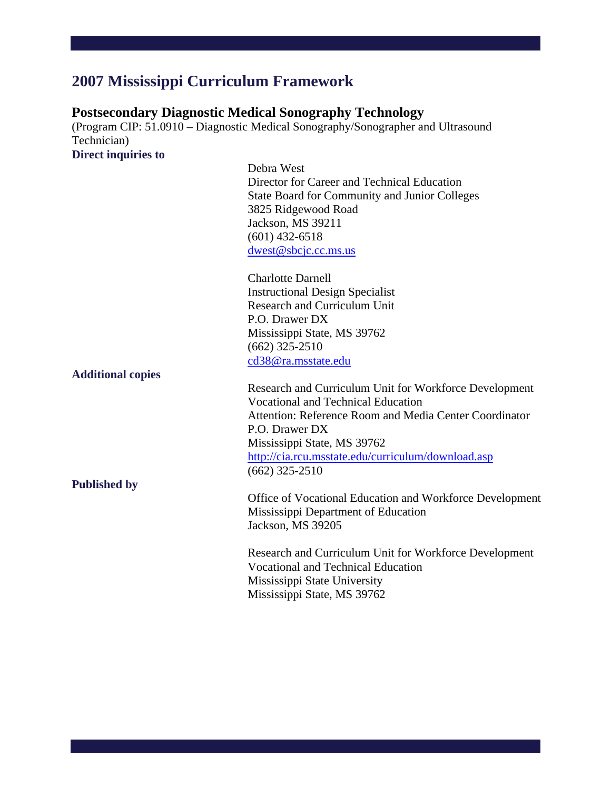# **2007 Mississippi Curriculum Framework**

# **Postsecondary Diagnostic Medical Sonography Technology**

(Program CIP: 51.0910 – Diagnostic Medical Sonography/Sonographer and Ultrasound Technician) **Direct inquiries to** 

> Debra West Director for Career and Technical Education State Board for Community and Junior Colleges 3825 Ridgewood Road Jackson, MS 39211 (601) 432-6518 dwest@sbcjc.cc.ms.us

Charlotte Darnell Instructional Design Specialist Research and Curriculum Unit P.O. Drawer DX Mississippi State, MS 39762 (662) 325-2510 cd38@ra.msstate.edu

**Additional copies** 

**Published by** 

Research and Curriculum Unit for Workforce Development Vocational and Technical Education Attention: Reference Room and Media Center Coordinator P.O. Drawer DX Mississippi State, MS 39762 http://cia.rcu.msstate.edu/curriculum/download.asp (662) 325-2510

Office of Vocational Education and Workforce Development Mississippi Department of Education Jackson, MS 39205

Research and Curriculum Unit for Workforce Development Vocational and Technical Education Mississippi State University Mississippi State, MS 39762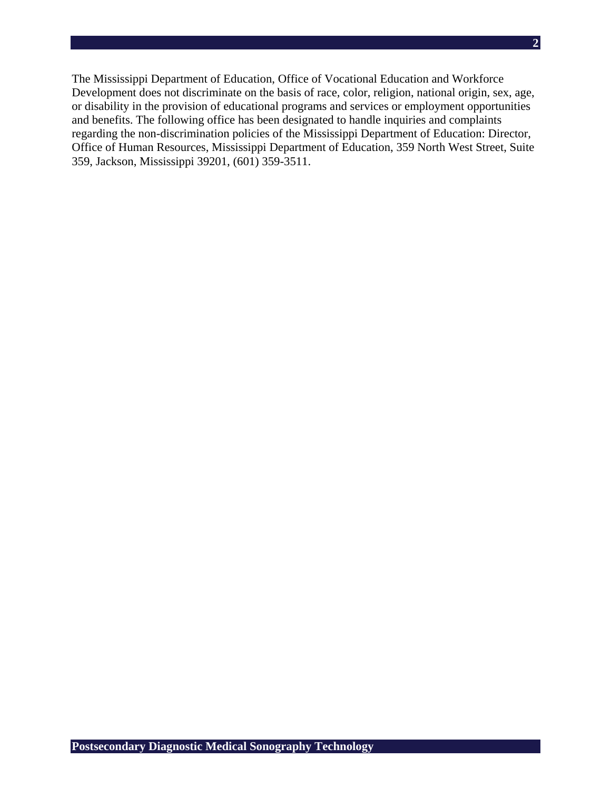The Mississippi Department of Education, Office of Vocational Education and Workforce Development does not discriminate on the basis of race, color, religion, national origin, sex, age, or disability in the provision of educational programs and services or employment opportunities and benefits. The following office has been designated to handle inquiries and complaints regarding the non-discrimination policies of the Mississippi Department of Education: Director, Office of Human Resources, Mississippi Department of Education, 359 North West Street, Suite 359, Jackson, Mississippi 39201, (601) 359-3511.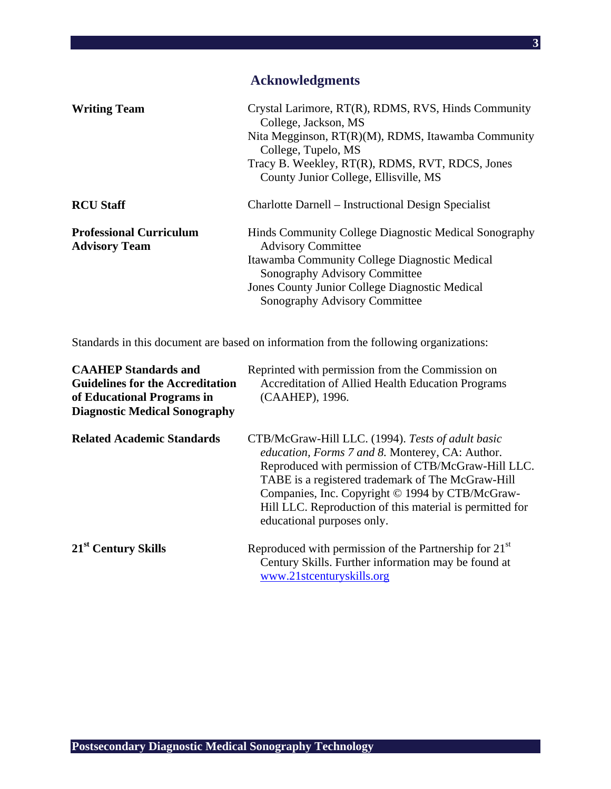# **Acknowledgments**

| <b>Writing Team</b>                                    | Crystal Larimore, RT(R), RDMS, RVS, Hinds Community<br>College, Jackson, MS<br>Nita Megginson, $RT(R)(M)$ , RDMS, Itawamba Community<br>College, Tupelo, MS<br>Tracy B. Weekley, RT(R), RDMS, RVT, RDCS, Jones<br>County Junior College, Ellisville, MS |
|--------------------------------------------------------|---------------------------------------------------------------------------------------------------------------------------------------------------------------------------------------------------------------------------------------------------------|
| <b>RCU Staff</b>                                       | Charlotte Darnell – Instructional Design Specialist                                                                                                                                                                                                     |
| <b>Professional Curriculum</b><br><b>Advisory Team</b> | Hinds Community College Diagnostic Medical Sonography<br><b>Advisory Committee</b><br>Itawamba Community College Diagnostic Medical<br>Sonography Advisory Committee<br>Jones County Junior College Diagnostic Medical<br>Sonography Advisory Committee |

Standards in this document are based on information from the following organizations:

| <b>CAAHEP Standards and</b><br><b>Guidelines for the Accreditation</b><br>of Educational Programs in<br><b>Diagnostic Medical Sonography</b> | Reprinted with permission from the Commission on<br><b>Accreditation of Allied Health Education Programs</b><br>(CAAHEP), 1996.                                                                                                                                                                                                                              |
|----------------------------------------------------------------------------------------------------------------------------------------------|--------------------------------------------------------------------------------------------------------------------------------------------------------------------------------------------------------------------------------------------------------------------------------------------------------------------------------------------------------------|
| <b>Related Academic Standards</b>                                                                                                            | CTB/McGraw-Hill LLC. (1994). Tests of adult basic<br>education, Forms 7 and 8. Monterey, CA: Author.<br>Reproduced with permission of CTB/McGraw-Hill LLC.<br>TABE is a registered trademark of The McGraw-Hill<br>Companies, Inc. Copyright © 1994 by CTB/McGraw-<br>Hill LLC. Reproduction of this material is permitted for<br>educational purposes only. |
| 21 <sup>st</sup> Century Skills                                                                                                              | Reproduced with permission of the Partnership for $21st$<br>Century Skills. Further information may be found at<br>www.21stcenturyskills.org                                                                                                                                                                                                                 |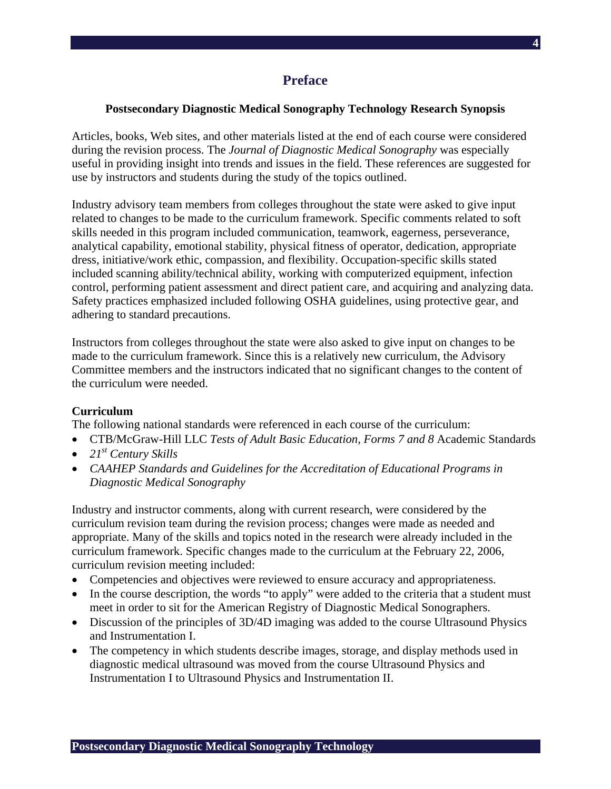### **Preface**

#### **Postsecondary Diagnostic Medical Sonography Technology Research Synopsis**

Articles, books, Web sites, and other materials listed at the end of each course were considered during the revision process. The *Journal of Diagnostic Medical Sonography* was especially useful in providing insight into trends and issues in the field. These references are suggested for use by instructors and students during the study of the topics outlined.

Industry advisory team members from colleges throughout the state were asked to give input related to changes to be made to the curriculum framework. Specific comments related to soft skills needed in this program included communication, teamwork, eagerness, perseverance, analytical capability, emotional stability, physical fitness of operator, dedication, appropriate dress, initiative/work ethic, compassion, and flexibility. Occupation-specific skills stated included scanning ability/technical ability, working with computerized equipment, infection control, performing patient assessment and direct patient care, and acquiring and analyzing data. Safety practices emphasized included following OSHA guidelines, using protective gear, and adhering to standard precautions.

Instructors from colleges throughout the state were also asked to give input on changes to be made to the curriculum framework. Since this is a relatively new curriculum, the Advisory Committee members and the instructors indicated that no significant changes to the content of the curriculum were needed.

#### **Curriculum**

The following national standards were referenced in each course of the curriculum:

- CTB/McGraw-Hill LLC *Tests of Adult Basic Education, Forms 7 and 8* Academic Standards
- *21st Century Skills*
- *CAAHEP Standards and Guidelines for the Accreditation of Educational Programs in Diagnostic Medical Sonography*

Industry and instructor comments, along with current research, were considered by the curriculum revision team during the revision process; changes were made as needed and appropriate. Many of the skills and topics noted in the research were already included in the curriculum framework. Specific changes made to the curriculum at the February 22, 2006, curriculum revision meeting included:

- Competencies and objectives were reviewed to ensure accuracy and appropriateness.
- In the course description, the words "to apply" were added to the criteria that a student must meet in order to sit for the American Registry of Diagnostic Medical Sonographers.
- Discussion of the principles of 3D/4D imaging was added to the course Ultrasound Physics and Instrumentation I.
- The competency in which students describe images, storage, and display methods used in diagnostic medical ultrasound was moved from the course Ultrasound Physics and Instrumentation I to Ultrasound Physics and Instrumentation II.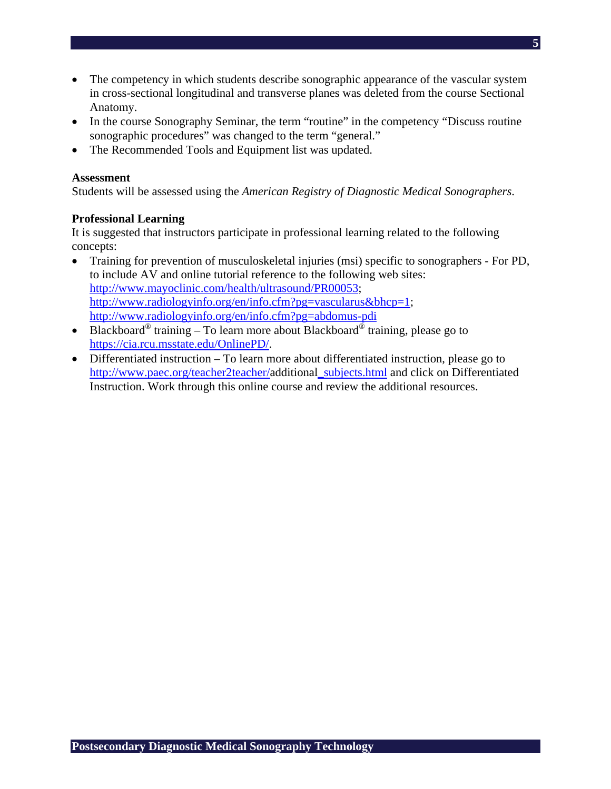- The competency in which students describe sonographic appearance of the vascular system in cross-sectional longitudinal and transverse planes was deleted from the course Sectional Anatomy.
- In the course Sonography Seminar, the term "routine" in the competency "Discuss routine" sonographic procedures" was changed to the term "general."
- The Recommended Tools and Equipment list was updated.

#### **Assessment**

Students will be assessed using the *American Registry of Diagnostic Medical Sonographers*.

### **Professional Learning**

It is suggested that instructors participate in professional learning related to the following concepts:

- Training for prevention of musculoskeletal injuries (msi) specific to sonographers For PD, to include AV and online tutorial reference to the following web sites: http://www.mayoclinic.com/health/ultrasound/PR00053; http://www.radiologyinfo.org/en/info.cfm?pg=vascularus&bhcp=1; http://www.radiologyinfo.org/en/info.cfm?pg=abdomus-pdi
- Blackboard<sup>®</sup> training To learn more about Blackboard<sup>®</sup> training, please go to https://cia.rcu.msstate.edu/OnlinePD/.
- Differentiated instruction To learn more about differentiated instruction, please go to http://www.paec.org/teacher2teacher/additional\_subjects.html and click on Differentiated Instruction. Work through this online course and review the additional resources.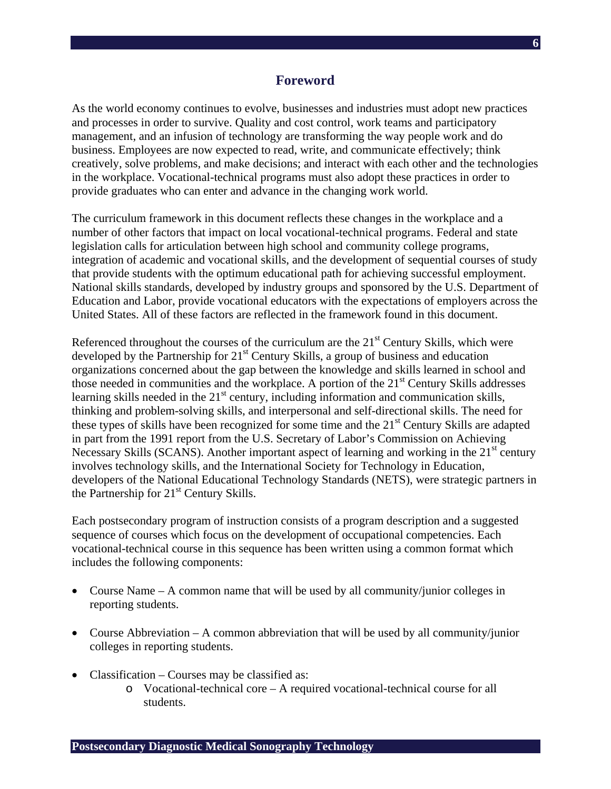### **Foreword**

As the world economy continues to evolve, businesses and industries must adopt new practices and processes in order to survive. Quality and cost control, work teams and participatory management, and an infusion of technology are transforming the way people work and do business. Employees are now expected to read, write, and communicate effectively; think creatively, solve problems, and make decisions; and interact with each other and the technologies in the workplace. Vocational-technical programs must also adopt these practices in order to provide graduates who can enter and advance in the changing work world.

The curriculum framework in this document reflects these changes in the workplace and a number of other factors that impact on local vocational-technical programs. Federal and state legislation calls for articulation between high school and community college programs, integration of academic and vocational skills, and the development of sequential courses of study that provide students with the optimum educational path for achieving successful employment. National skills standards, developed by industry groups and sponsored by the U.S. Department of Education and Labor, provide vocational educators with the expectations of employers across the United States. All of these factors are reflected in the framework found in this document.

Referenced throughout the courses of the curriculum are the  $21<sup>st</sup>$  Century Skills, which were developed by the Partnership for  $21<sup>st</sup>$  Century Skills, a group of business and education organizations concerned about the gap between the knowledge and skills learned in school and those needed in communities and the workplace. A portion of the  $21<sup>st</sup>$  Century Skills addresses learning skills needed in the  $21<sup>st</sup>$  century, including information and communication skills, thinking and problem-solving skills, and interpersonal and self-directional skills. The need for these types of skills have been recognized for some time and the  $21<sup>st</sup>$  Century Skills are adapted in part from the 1991 report from the U.S. Secretary of Labor's Commission on Achieving Necessary Skills (SCANS). Another important aspect of learning and working in the  $21<sup>st</sup>$  century involves technology skills, and the International Society for Technology in Education, developers of the National Educational Technology Standards (NETS), were strategic partners in the Partnership for  $21<sup>st</sup>$  Century Skills.

Each postsecondary program of instruction consists of a program description and a suggested sequence of courses which focus on the development of occupational competencies. Each vocational-technical course in this sequence has been written using a common format which includes the following components:

- Course Name A common name that will be used by all community/junior colleges in reporting students.
- Course Abbreviation A common abbreviation that will be used by all community/junior colleges in reporting students.
- Classification Courses may be classified as:
	- o Vocational-technical core A required vocational-technical course for all students.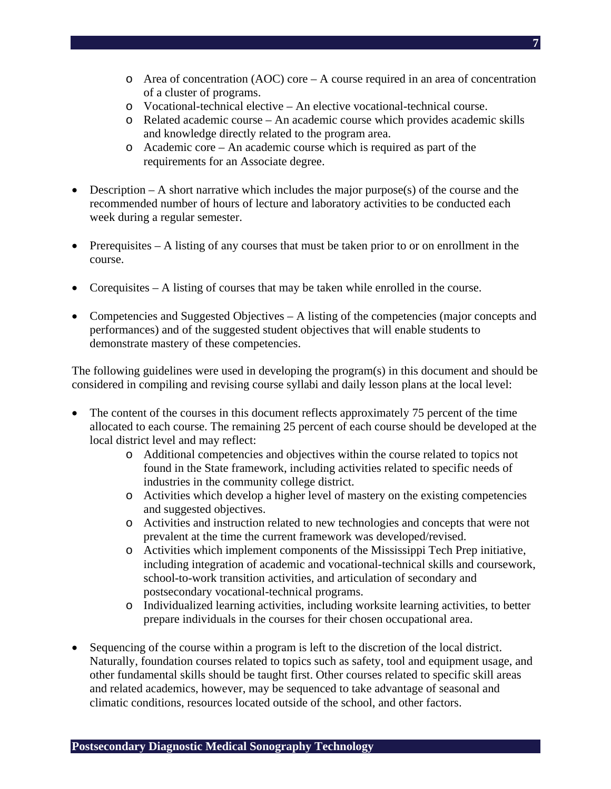- $\circ$  Area of concentration (AOC) core A course required in an area of concentration of a cluster of programs.
- o Vocational-technical elective An elective vocational-technical course.
- o Related academic course An academic course which provides academic skills and knowledge directly related to the program area.
- o Academic core An academic course which is required as part of the requirements for an Associate degree.
- Description  $-A$  short narrative which includes the major purpose(s) of the course and the recommended number of hours of lecture and laboratory activities to be conducted each week during a regular semester.
- Prerequisites A listing of any courses that must be taken prior to or on enrollment in the course.
- Corequisites A listing of courses that may be taken while enrolled in the course.
- Competencies and Suggested Objectives A listing of the competencies (major concepts and performances) and of the suggested student objectives that will enable students to demonstrate mastery of these competencies.

The following guidelines were used in developing the program(s) in this document and should be considered in compiling and revising course syllabi and daily lesson plans at the local level:

- The content of the courses in this document reflects approximately 75 percent of the time allocated to each course. The remaining 25 percent of each course should be developed at the local district level and may reflect:
	- o Additional competencies and objectives within the course related to topics not found in the State framework, including activities related to specific needs of industries in the community college district.
	- o Activities which develop a higher level of mastery on the existing competencies and suggested objectives.
	- o Activities and instruction related to new technologies and concepts that were not prevalent at the time the current framework was developed/revised.
	- o Activities which implement components of the Mississippi Tech Prep initiative, including integration of academic and vocational-technical skills and coursework, school-to-work transition activities, and articulation of secondary and postsecondary vocational-technical programs.
	- o Individualized learning activities, including worksite learning activities, to better prepare individuals in the courses for their chosen occupational area.
- Sequencing of the course within a program is left to the discretion of the local district. Naturally, foundation courses related to topics such as safety, tool and equipment usage, and other fundamental skills should be taught first. Other courses related to specific skill areas and related academics, however, may be sequenced to take advantage of seasonal and climatic conditions, resources located outside of the school, and other factors.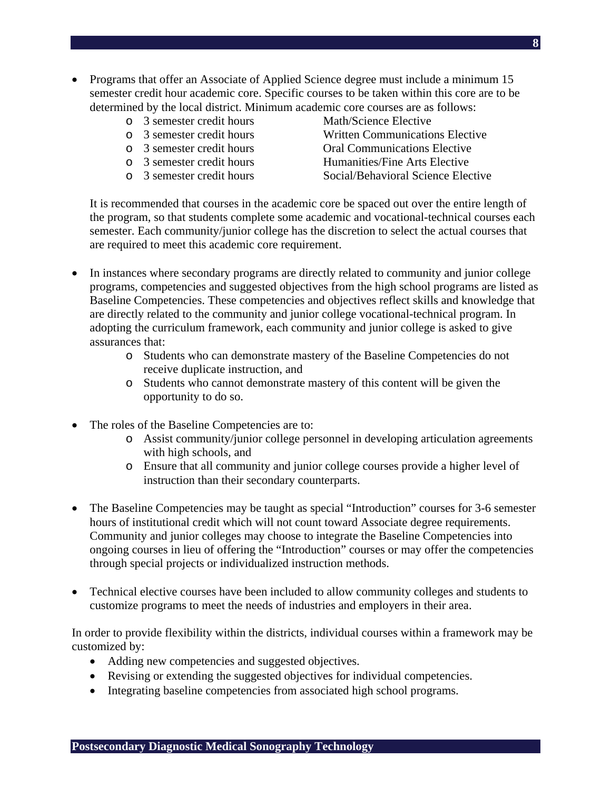- Programs that offer an Associate of Applied Science degree must include a minimum 15 semester credit hour academic core. Specific courses to be taken within this core are to be determined by the local district. Minimum academic core courses are as follows:
	- o 3 semester credit hours Math/Science Elective
	-
	-
	-
	-
- 
- o 3 semester credit hours Written Communications Elective
- o 3 semester credit hours Oral Communications Elective
- o 3 semester credit hours Humanities/Fine Arts Elective
- o 3 semester credit hours Social/Behavioral Science Elective

It is recommended that courses in the academic core be spaced out over the entire length of the program, so that students complete some academic and vocational-technical courses each semester. Each community/junior college has the discretion to select the actual courses that are required to meet this academic core requirement.

- In instances where secondary programs are directly related to community and junior college programs, competencies and suggested objectives from the high school programs are listed as Baseline Competencies. These competencies and objectives reflect skills and knowledge that are directly related to the community and junior college vocational-technical program. In adopting the curriculum framework, each community and junior college is asked to give assurances that:
	- o Students who can demonstrate mastery of the Baseline Competencies do not receive duplicate instruction, and
	- o Students who cannot demonstrate mastery of this content will be given the opportunity to do so.
- The roles of the Baseline Competencies are to:
	- o Assist community/junior college personnel in developing articulation agreements with high schools, and
	- o Ensure that all community and junior college courses provide a higher level of instruction than their secondary counterparts.
- The Baseline Competencies may be taught as special "Introduction" courses for 3-6 semester hours of institutional credit which will not count toward Associate degree requirements. Community and junior colleges may choose to integrate the Baseline Competencies into ongoing courses in lieu of offering the "Introduction" courses or may offer the competencies through special projects or individualized instruction methods.
- Technical elective courses have been included to allow community colleges and students to customize programs to meet the needs of industries and employers in their area.

In order to provide flexibility within the districts, individual courses within a framework may be customized by:

- Adding new competencies and suggested objectives.
- Revising or extending the suggested objectives for individual competencies.
- Integrating baseline competencies from associated high school programs.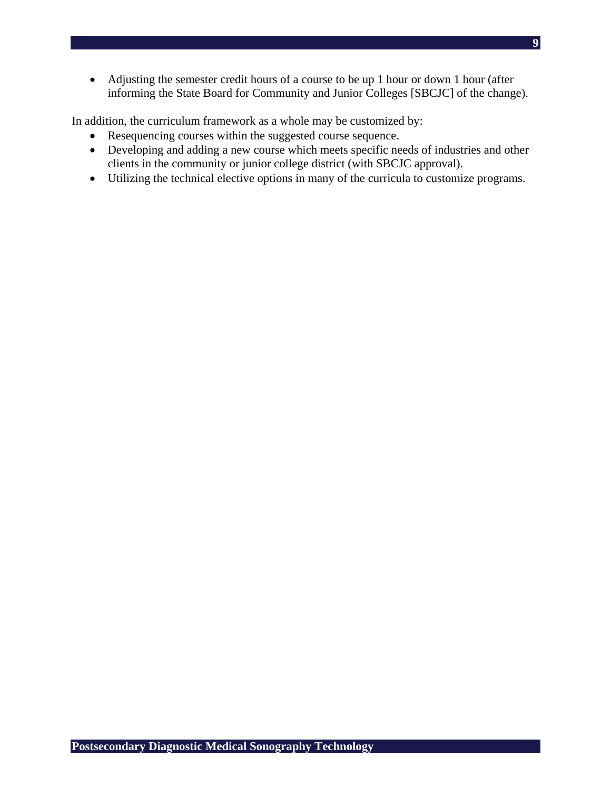• Adjusting the semester credit hours of a course to be up 1 hour or down 1 hour (after informing the State Board for Community and Junior Colleges [SBCJC] of the change).

In addition, the curriculum framework as a whole may be customized by:

- Resequencing courses within the suggested course sequence.
- Developing and adding a new course which meets specific needs of industries and other clients in the community or junior college district (with SBCJC approval).
- Utilizing the technical elective options in many of the curricula to customize programs.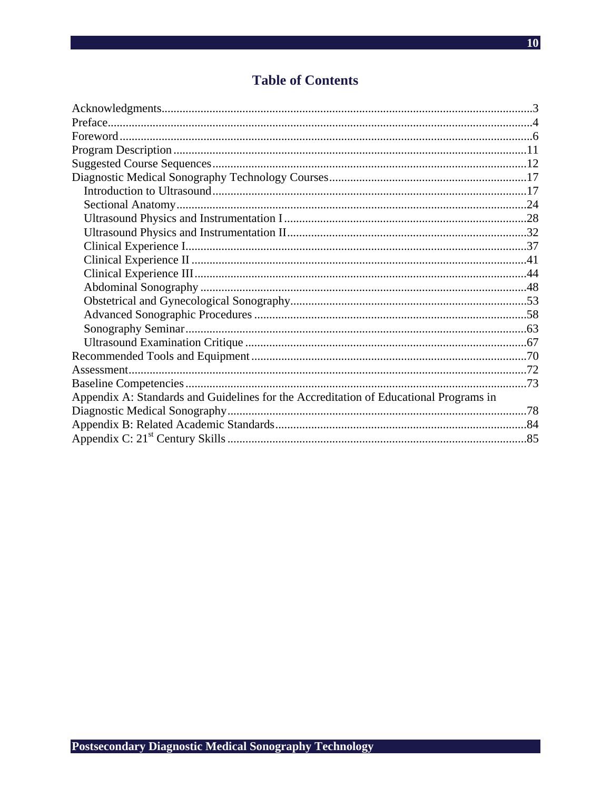# **Table of Contents**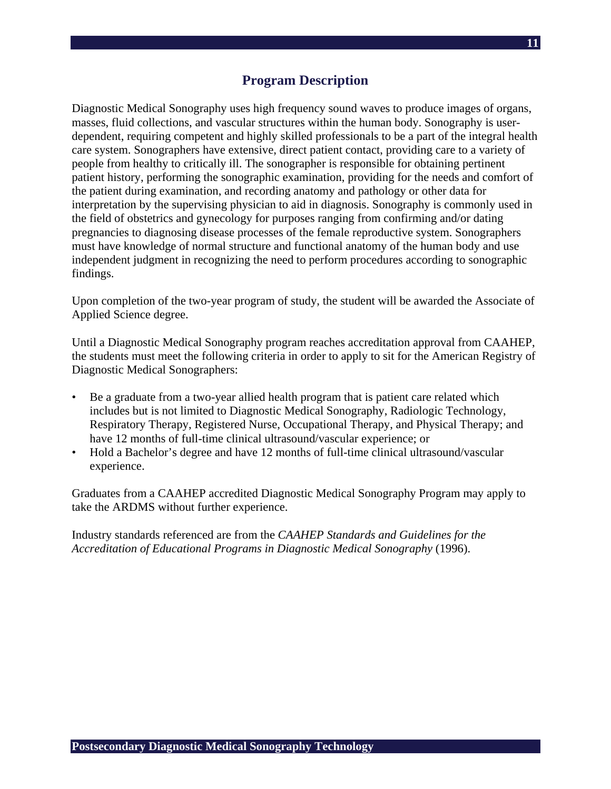# **Program Description**

Diagnostic Medical Sonography uses high frequency sound waves to produce images of organs, masses, fluid collections, and vascular structures within the human body. Sonography is userdependent, requiring competent and highly skilled professionals to be a part of the integral health care system. Sonographers have extensive, direct patient contact, providing care to a variety of people from healthy to critically ill. The sonographer is responsible for obtaining pertinent patient history, performing the sonographic examination, providing for the needs and comfort of the patient during examination, and recording anatomy and pathology or other data for interpretation by the supervising physician to aid in diagnosis. Sonography is commonly used in the field of obstetrics and gynecology for purposes ranging from confirming and/or dating pregnancies to diagnosing disease processes of the female reproductive system. Sonographers must have knowledge of normal structure and functional anatomy of the human body and use independent judgment in recognizing the need to perform procedures according to sonographic findings.

Upon completion of the two-year program of study, the student will be awarded the Associate of Applied Science degree.

Until a Diagnostic Medical Sonography program reaches accreditation approval from CAAHEP, the students must meet the following criteria in order to apply to sit for the American Registry of Diagnostic Medical Sonographers:

- Be a graduate from a two-year allied health program that is patient care related which includes but is not limited to Diagnostic Medical Sonography, Radiologic Technology, Respiratory Therapy, Registered Nurse, Occupational Therapy, and Physical Therapy; and have 12 months of full-time clinical ultrasound/vascular experience; or
- Hold a Bachelor's degree and have 12 months of full-time clinical ultrasound/vascular experience.

Graduates from a CAAHEP accredited Diagnostic Medical Sonography Program may apply to take the ARDMS without further experience.

Industry standards referenced are from the *CAAHEP Standards and Guidelines for the Accreditation of Educational Programs in Diagnostic Medical Sonography* (1996).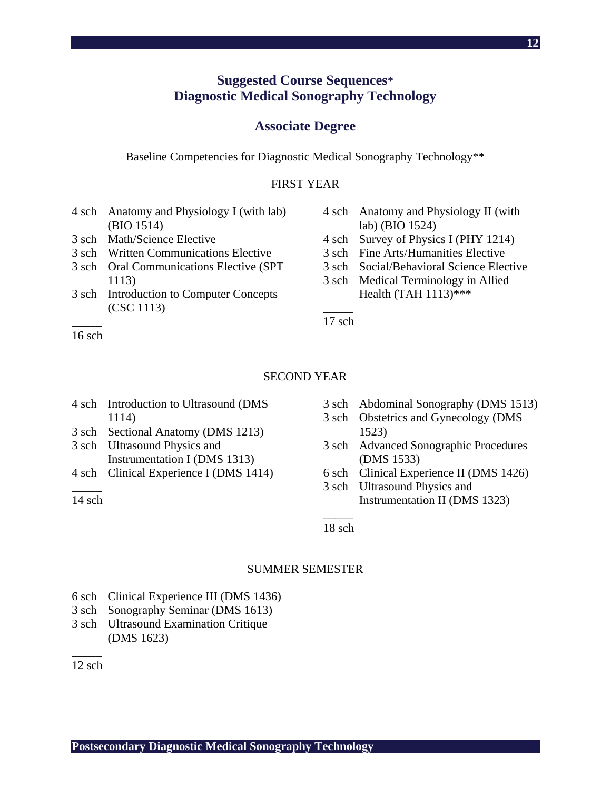# **Suggested Course Sequences**\* **Diagnostic Medical Sonography Technology**

#### **Associate Degree**

Baseline Competencies for Diagnostic Medical Sonography Technology\*\*

#### FIRST YEAR

- 4 sch Anatomy and Physiology I (with lab) (BIO 1514)
- 3 sch Math/Science Elective
- 3 sch Written Communications Elective
- 3 sch Oral Communications Elective (SPT 1113)
- 3 sch Introduction to Computer Concepts (CSC 1113)
- 4 sch Anatomy and Physiology II (with lab) (BIO 1524)
- 4 sch Survey of Physics I (PHY 1214)
- 3 sch Fine Arts/Humanities Elective
- 3 sch Social/Behavioral Science Elective
- 3 sch Medical Terminology in Allied Health (TAH 1113)\*\*\*

 $\overline{\phantom{a}}$ 17 sch

#### $\overline{\phantom{a}}$ 16 sch

#### SECOND YEAR

- 4 sch Introduction to Ultrasound (DMS 1114)
- 3 sch Sectional Anatomy (DMS 1213)
- 3 sch Ultrasound Physics and Instrumentation I (DMS 1313)
- 4 sch Clinical Experience I (DMS 1414)  $\overline{\phantom{a}}$

 $14$  sch

- 3 sch Abdominal Sonography (DMS 1513)
- 3 sch Obstetrics and Gynecology (DMS 1523)
- 3 sch Advanced Sonographic Procedures (DMS 1533)
- 6 sch Clinical Experience II (DMS 1426)
- 3 sch Ultrasound Physics and Instrumentation II (DMS 1323)

 $\overline{\phantom{a}}$ 18 sch

#### SUMMER SEMESTER

- 6 sch Clinical Experience III (DMS 1436)
- 3 sch Sonography Seminar (DMS 1613)
- 3 sch Ultrasound Examination Critique (DMS 1623)

 $\overline{\phantom{a}}$ 12 sch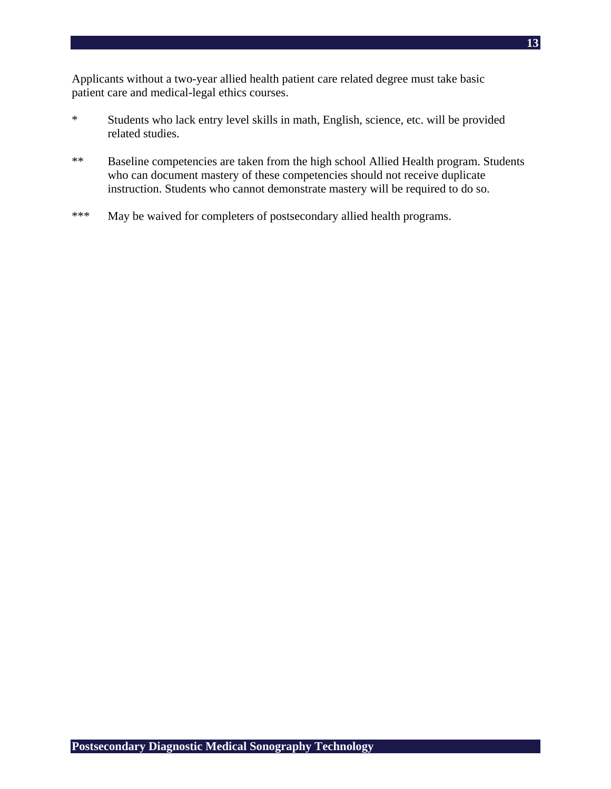Applicants without a two-year allied health patient care related degree must take basic patient care and medical-legal ethics courses.

- \* Students who lack entry level skills in math, English, science, etc. will be provided related studies.
- \*\* Baseline competencies are taken from the high school Allied Health program. Students who can document mastery of these competencies should not receive duplicate instruction. Students who cannot demonstrate mastery will be required to do so.
- \*\*\* May be waived for completers of postsecondary allied health programs.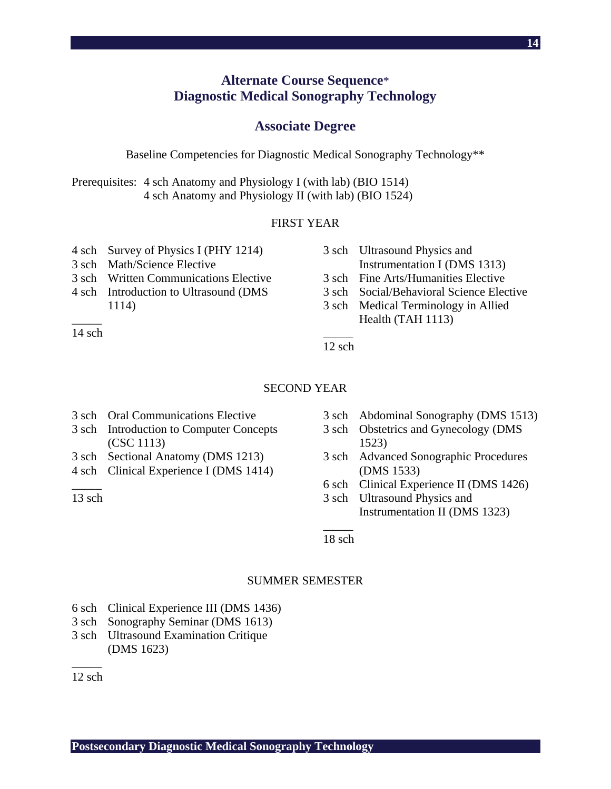# **Alternate Course Sequence**\* **Diagnostic Medical Sonography Technology**

#### **Associate Degree**

Baseline Competencies for Diagnostic Medical Sonography Technology\*\*

Prerequisites: 4 sch Anatomy and Physiology I (with lab) (BIO 1514) 4 sch Anatomy and Physiology II (with lab) (BIO 1524)

#### FIRST YEAR

- 4 sch Survey of Physics I (PHY 1214)
- 3 sch Math/Science Elective
- 3 sch Written Communications Elective
- 4 sch Introduction to Ultrasound (DMS 1114)
- 3 sch Ultrasound Physics and Instrumentation I (DMS 1313) 3 sch Fine Arts/Humanities Elective 3 sch Social/Behavioral Science Elective 3 sch Medical Terminology in Allied Health (TAH 1113)

 $\overline{\phantom{a}}$ 12 sch

#### SECOND YEAR

- 3 sch Oral Communications Elective
- 3 sch Introduction to Computer Concepts (CSC 1113)
- 3 sch Sectional Anatomy (DMS 1213)
- 4 sch Clinical Experience I (DMS 1414)

 $\overline{\phantom{a}}$  $13$  sch

 $\overline{\phantom{a}}$ 14 sch

- 3 sch Abdominal Sonography (DMS 1513)
- 3 sch Obstetrics and Gynecology (DMS 1523)
- 3 sch Advanced Sonographic Procedures (DMS 1533)
- 6 sch Clinical Experience II (DMS 1426)
- 3 sch Ultrasound Physics and Instrumentation II (DMS 1323)

 $\overline{\phantom{a}}$ 18 sch

#### SUMMER SEMESTER

- 6 sch Clinical Experience III (DMS 1436)
- 3 sch Sonography Seminar (DMS 1613)
- 3 sch Ultrasound Examination Critique (DMS 1623)

 $\overline{\phantom{a}}$  $12$  sch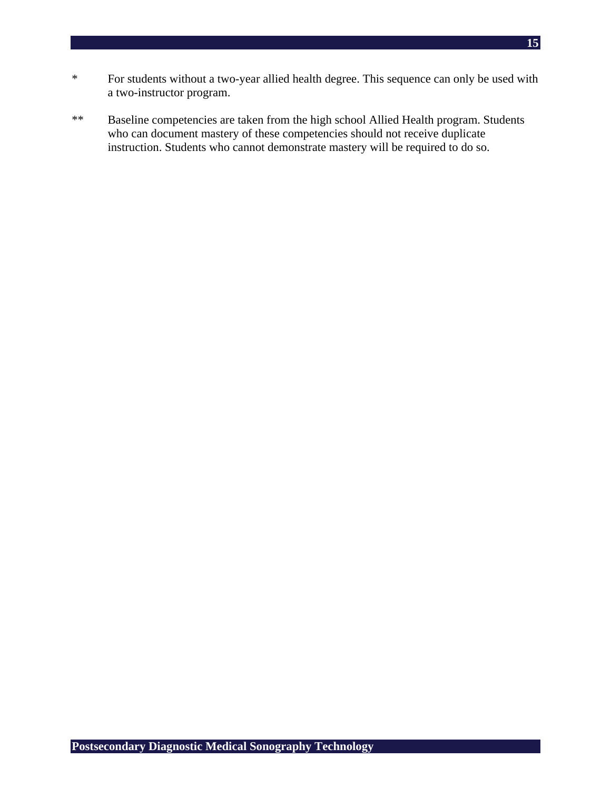- **15**
- \* For students without a two-year allied health degree. This sequence can only be used with a two-instructor program.
- \*\* Baseline competencies are taken from the high school Allied Health program. Students who can document mastery of these competencies should not receive duplicate instruction. Students who cannot demonstrate mastery will be required to do so.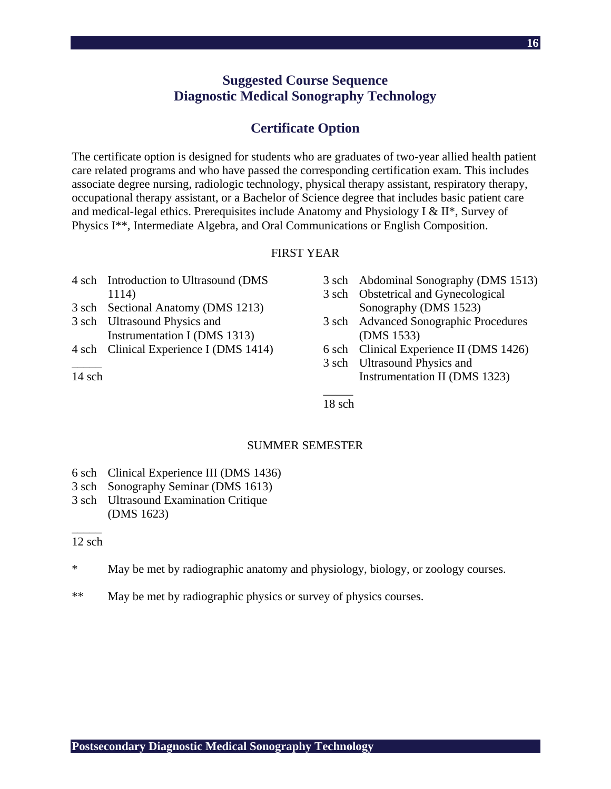# **Suggested Course Sequence Diagnostic Medical Sonography Technology**

# **Certificate Option**

The certificate option is designed for students who are graduates of two-year allied health patient care related programs and who have passed the corresponding certification exam. This includes associate degree nursing, radiologic technology, physical therapy assistant, respiratory therapy, occupational therapy assistant, or a Bachelor of Science degree that includes basic patient care and medical-legal ethics. Prerequisites include Anatomy and Physiology I & II\*, Survey of Physics I\*\*, Intermediate Algebra, and Oral Communications or English Composition.

#### FIRST YEAR

- 4 sch Introduction to Ultrasound (DMS 1114)
- 3 sch Sectional Anatomy (DMS 1213)
- 3 sch Ultrasound Physics and Instrumentation I (DMS 1313)
- 4 sch Clinical Experience I (DMS 1414)  $\overline{\phantom{a}}$

 $14$  sch

- 3 sch Abdominal Sonography (DMS 1513)
- 3 sch Obstetrical and Gynecological Sonography (DMS 1523)
- 3 sch Advanced Sonographic Procedures (DMS 1533)
- 6 sch Clinical Experience II (DMS 1426)
- 3 sch Ultrasound Physics and Instrumentation II (DMS 1323)

 $\overline{\phantom{a}}$ 18 sch

#### SUMMER SEMESTER

- 6 sch Clinical Experience III (DMS 1436)
- 3 sch Sonography Seminar (DMS 1613)
- 3 sch Ultrasound Examination Critique (DMS 1623)

#### $\overline{\phantom{a}}$  $12$  sch

- \* May be met by radiographic anatomy and physiology, biology, or zoology courses.
- \*\* May be met by radiographic physics or survey of physics courses.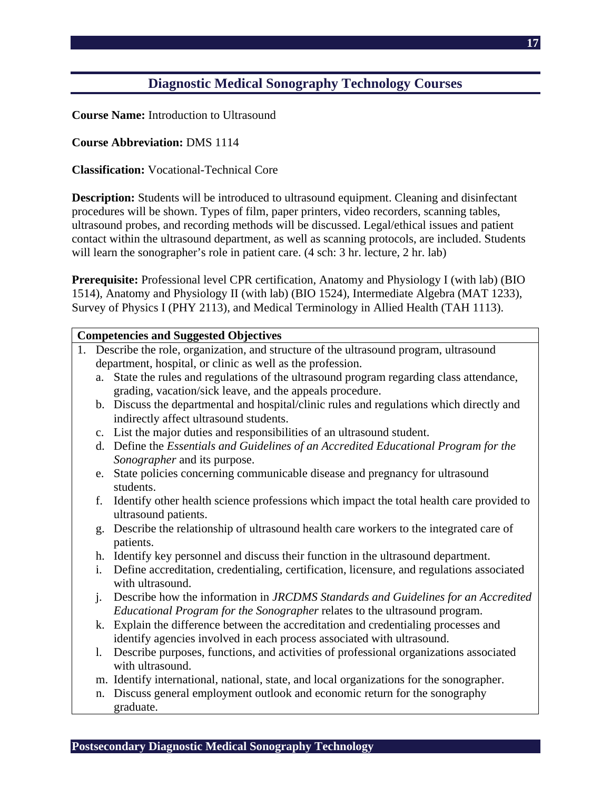# **Diagnostic Medical Sonography Technology Courses**

**Course Name:** Introduction to Ultrasound

**Course Abbreviation:** DMS 1114

**Classification:** Vocational-Technical Core

**Description:** Students will be introduced to ultrasound equipment. Cleaning and disinfectant procedures will be shown. Types of film, paper printers, video recorders, scanning tables, ultrasound probes, and recording methods will be discussed. Legal/ethical issues and patient contact within the ultrasound department, as well as scanning protocols, are included. Students will learn the sonographer's role in patient care. (4 sch: 3 hr. lecture, 2 hr. lab)

**Prerequisite:** Professional level CPR certification, Anatomy and Physiology I (with lab) (BIO 1514), Anatomy and Physiology II (with lab) (BIO 1524), Intermediate Algebra (MAT 1233), Survey of Physics I (PHY 2113), and Medical Terminology in Allied Health (TAH 1113).

|    |                | <b>Competencies and Suggested Objectives</b>                                                                  |
|----|----------------|---------------------------------------------------------------------------------------------------------------|
| 1. |                | Describe the role, organization, and structure of the ultrasound program, ultrasound                          |
|    |                | department, hospital, or clinic as well as the profession.                                                    |
|    |                | a. State the rules and regulations of the ultrasound program regarding class attendance,                      |
|    |                | grading, vacation/sick leave, and the appeals procedure.                                                      |
|    |                | b. Discuss the departmental and hospital/clinic rules and regulations which directly and                      |
|    |                | indirectly affect ultrasound students.                                                                        |
|    |                | c. List the major duties and responsibilities of an ultrasound student.                                       |
|    |                | d. Define the Essentials and Guidelines of an Accredited Educational Program for the                          |
|    |                | Sonographer and its purpose.                                                                                  |
|    |                | e. State policies concerning communicable disease and pregnancy for ultrasound                                |
|    |                | students.                                                                                                     |
|    | f.             | Identify other health science professions which impact the total health care provided to                      |
|    |                | ultrasound patients.                                                                                          |
|    | g.             | Describe the relationship of ultrasound health care workers to the integrated care of                         |
|    |                | patients.                                                                                                     |
|    |                | h. Identify key personnel and discuss their function in the ultrasound department.                            |
|    | $\mathbf{i}$ . | Define accreditation, credentialing, certification, licensure, and regulations associated<br>with ultrasound. |
|    | $\mathbf{i}$ . | Describe how the information in JRCDMS Standards and Guidelines for an Accredited                             |
|    |                | Educational Program for the Sonographer relates to the ultrasound program.                                    |
|    |                | k. Explain the difference between the accreditation and credentialing processes and                           |
|    |                | identify agencies involved in each process associated with ultrasound.                                        |
|    | 1.             | Describe purposes, functions, and activities of professional organizations associated                         |
|    |                | with ultrasound.                                                                                              |
|    |                | m. Identify international, national, state, and local organizations for the sonographer.                      |
|    | n.             | Discuss general employment outlook and economic return for the sonography                                     |
|    |                | graduate.                                                                                                     |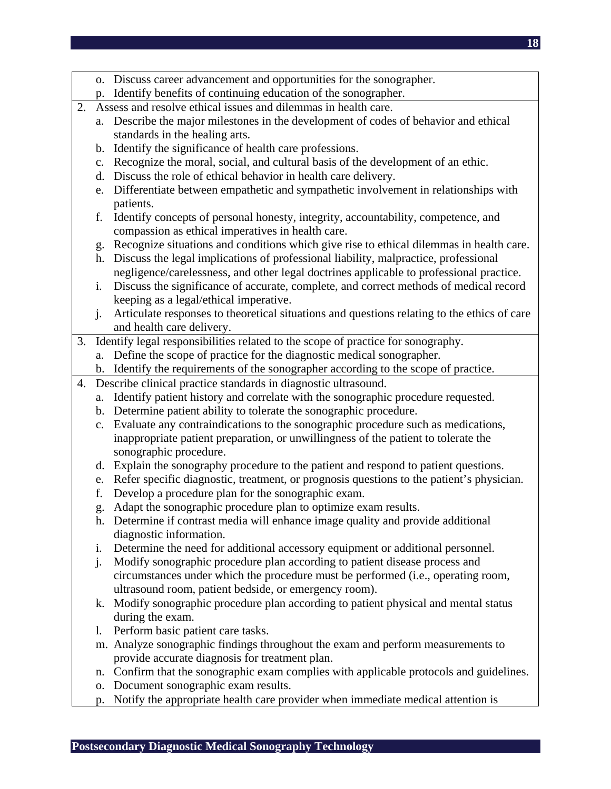- o. Discuss career advancement and opportunities for the sonographer.
- p. Identify benefits of continuing education of the sonographer.
- 2. Assess and resolve ethical issues and dilemmas in health care.
	- a. Describe the major milestones in the development of codes of behavior and ethical standards in the healing arts.
	- b. Identify the significance of health care professions.
	- c. Recognize the moral, social, and cultural basis of the development of an ethic.
	- d. Discuss the role of ethical behavior in health care delivery.
	- e. Differentiate between empathetic and sympathetic involvement in relationships with patients.
	- f. Identify concepts of personal honesty, integrity, accountability, competence, and compassion as ethical imperatives in health care.
	- g. Recognize situations and conditions which give rise to ethical dilemmas in health care.
	- h. Discuss the legal implications of professional liability, malpractice, professional negligence/carelessness, and other legal doctrines applicable to professional practice.
	- i. Discuss the significance of accurate, complete, and correct methods of medical record keeping as a legal/ethical imperative.
	- j. Articulate responses to theoretical situations and questions relating to the ethics of care and health care delivery.
- 3. Identify legal responsibilities related to the scope of practice for sonography.
	- a. Define the scope of practice for the diagnostic medical sonographer.
	- b. Identify the requirements of the sonographer according to the scope of practice.
- 4. Describe clinical practice standards in diagnostic ultrasound.
	- a. Identify patient history and correlate with the sonographic procedure requested.
	- b. Determine patient ability to tolerate the sonographic procedure.
	- c. Evaluate any contraindications to the sonographic procedure such as medications, inappropriate patient preparation, or unwillingness of the patient to tolerate the sonographic procedure.
	- d. Explain the sonography procedure to the patient and respond to patient questions.
	- e. Refer specific diagnostic, treatment, or prognosis questions to the patient's physician.
	- f. Develop a procedure plan for the sonographic exam.
	- g. Adapt the sonographic procedure plan to optimize exam results.
	- h. Determine if contrast media will enhance image quality and provide additional diagnostic information.
	- i. Determine the need for additional accessory equipment or additional personnel.
	- j. Modify sonographic procedure plan according to patient disease process and circumstances under which the procedure must be performed (i.e., operating room, ultrasound room, patient bedside, or emergency room).
	- k. Modify sonographic procedure plan according to patient physical and mental status during the exam.
	- l. Perform basic patient care tasks.
	- m. Analyze sonographic findings throughout the exam and perform measurements to provide accurate diagnosis for treatment plan.
	- n. Confirm that the sonographic exam complies with applicable protocols and guidelines.
	- o. Document sonographic exam results.
	- p. Notify the appropriate health care provider when immediate medical attention is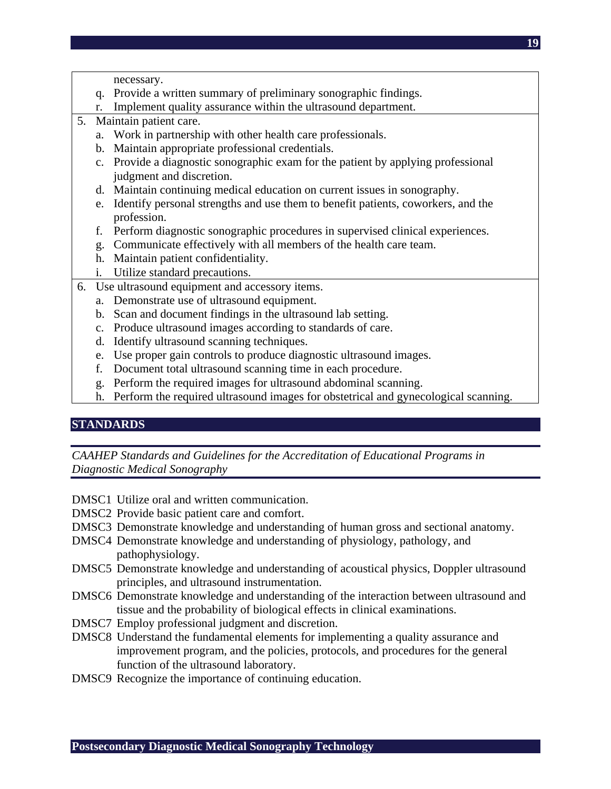necessary.

- q. Provide a written summary of preliminary sonographic findings.
- r. Implement quality assurance within the ultrasound department.
- 5. Maintain patient care.
	- a. Work in partnership with other health care professionals.
	- b. Maintain appropriate professional credentials.
	- c. Provide a diagnostic sonographic exam for the patient by applying professional judgment and discretion.
	- d. Maintain continuing medical education on current issues in sonography.
	- e. Identify personal strengths and use them to benefit patients, coworkers, and the profession.
	- f. Perform diagnostic sonographic procedures in supervised clinical experiences.
	- g. Communicate effectively with all members of the health care team.
	- h. Maintain patient confidentiality.
	- i. Utilize standard precautions.
- 6. Use ultrasound equipment and accessory items.
	- a. Demonstrate use of ultrasound equipment.
	- b. Scan and document findings in the ultrasound lab setting.
	- c. Produce ultrasound images according to standards of care.
	- d. Identify ultrasound scanning techniques.
	- e. Use proper gain controls to produce diagnostic ultrasound images.
	- f. Document total ultrasound scanning time in each procedure.
	- g. Perform the required images for ultrasound abdominal scanning.
	- h. Perform the required ultrasound images for obstetrical and gynecological scanning.

#### **STANDARDS**

*CAAHEP Standards and Guidelines for the Accreditation of Educational Programs in Diagnostic Medical Sonography* 

- DMSC1 Utilize oral and written communication.
- DMSC2 Provide basic patient care and comfort.
- DMSC3 Demonstrate knowledge and understanding of human gross and sectional anatomy.
- DMSC4 Demonstrate knowledge and understanding of physiology, pathology, and pathophysiology.
- DMSC5 Demonstrate knowledge and understanding of acoustical physics, Doppler ultrasound principles, and ultrasound instrumentation.
- DMSC6 Demonstrate knowledge and understanding of the interaction between ultrasound and tissue and the probability of biological effects in clinical examinations.
- DMSC7 Employ professional judgment and discretion.
- DMSC8 Understand the fundamental elements for implementing a quality assurance and improvement program, and the policies, protocols, and procedures for the general function of the ultrasound laboratory.
- DMSC9 Recognize the importance of continuing education.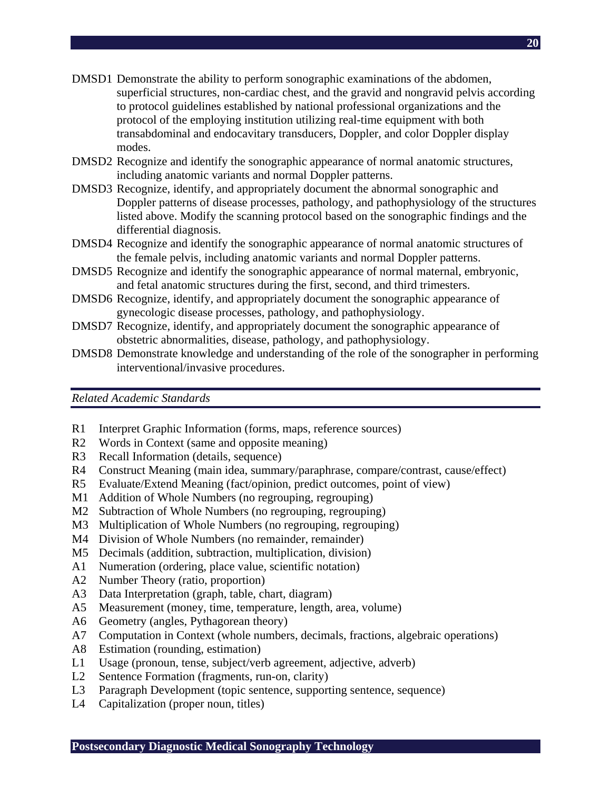- DMSD1 Demonstrate the ability to perform sonographic examinations of the abdomen, superficial structures, non-cardiac chest, and the gravid and nongravid pelvis according to protocol guidelines established by national professional organizations and the protocol of the employing institution utilizing real-time equipment with both transabdominal and endocavitary transducers, Doppler, and color Doppler display modes.
- DMSD2 Recognize and identify the sonographic appearance of normal anatomic structures, including anatomic variants and normal Doppler patterns.
- DMSD3 Recognize, identify, and appropriately document the abnormal sonographic and Doppler patterns of disease processes, pathology, and pathophysiology of the structures listed above. Modify the scanning protocol based on the sonographic findings and the differential diagnosis.
- DMSD4 Recognize and identify the sonographic appearance of normal anatomic structures of the female pelvis, including anatomic variants and normal Doppler patterns.
- DMSD5 Recognize and identify the sonographic appearance of normal maternal, embryonic, and fetal anatomic structures during the first, second, and third trimesters.
- DMSD6 Recognize, identify, and appropriately document the sonographic appearance of gynecologic disease processes, pathology, and pathophysiology.
- DMSD7 Recognize, identify, and appropriately document the sonographic appearance of obstetric abnormalities, disease, pathology, and pathophysiology.
- DMSD8 Demonstrate knowledge and understanding of the role of the sonographer in performing interventional/invasive procedures.

*Related Academic Standards* 

- R1 Interpret Graphic Information (forms, maps, reference sources)
- R2 Words in Context (same and opposite meaning)
- R3 Recall Information (details, sequence)
- R4 Construct Meaning (main idea, summary/paraphrase, compare/contrast, cause/effect)
- R5 Evaluate/Extend Meaning (fact/opinion, predict outcomes, point of view)
- M1 Addition of Whole Numbers (no regrouping, regrouping)
- M2 Subtraction of Whole Numbers (no regrouping, regrouping)
- M3 Multiplication of Whole Numbers (no regrouping, regrouping)
- M4 Division of Whole Numbers (no remainder, remainder)
- M5 Decimals (addition, subtraction, multiplication, division)
- A1 Numeration (ordering, place value, scientific notation)
- A2 Number Theory (ratio, proportion)
- A3 Data Interpretation (graph, table, chart, diagram)
- A5 Measurement (money, time, temperature, length, area, volume)
- A6 Geometry (angles, Pythagorean theory)
- A7 Computation in Context (whole numbers, decimals, fractions, algebraic operations)
- A8 Estimation (rounding, estimation)
- L1 Usage (pronoun, tense, subject/verb agreement, adjective, adverb)
- L2 Sentence Formation (fragments, run-on, clarity)
- L3 Paragraph Development (topic sentence, supporting sentence, sequence)
- L4 Capitalization (proper noun, titles)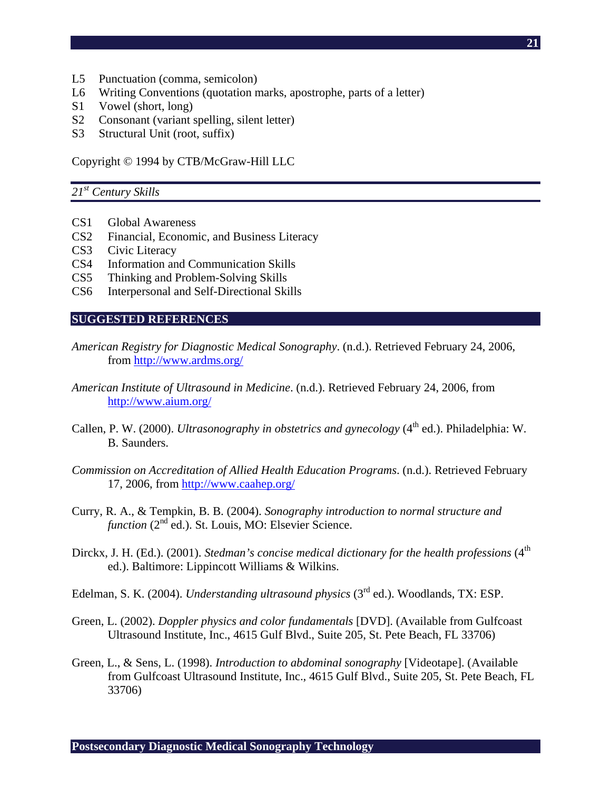- L5 Punctuation (comma, semicolon)
- L6 Writing Conventions (quotation marks, apostrophe, parts of a letter)
- S1 Vowel (short, long)
- S2 Consonant (variant spelling, silent letter)
- S3 Structural Unit (root, suffix)

Copyright © 1994 by CTB/McGraw-Hill LLC

#### *21st Century Skills*

- CS1 Global Awareness
- CS2 Financial, Economic, and Business Literacy
- CS3 Civic Literacy
- CS4 Information and Communication Skills
- CS5 Thinking and Problem-Solving Skills
- CS6 Interpersonal and Self-Directional Skills

#### **SUGGESTED REFERENCES**

- *American Registry for Diagnostic Medical Sonography*. (n.d.). Retrieved February 24, 2006, from http://www.ardms.org/
- *American Institute of Ultrasound in Medicine*. (n.d.). Retrieved February 24, 2006, from http://www.aium.org/
- Callen, P. W. (2000). *Ultrasonography in obstetrics and gynecology* (4<sup>th</sup> ed.). Philadelphia: W. B. Saunders.
- *Commission on Accreditation of Allied Health Education Programs*. (n.d.). Retrieved February 17, 2006, from http://www.caahep.org/
- Curry, R. A., & Tempkin, B. B. (2004). *Sonography introduction to normal structure and function* (2<sup>nd</sup> ed.). St. Louis, MO: Elsevier Science.
- Dirckx, J. H. (Ed.). (2001). *Stedman's concise medical dictionary for the health professions* (4<sup>th</sup> ed.). Baltimore: Lippincott Williams & Wilkins.
- Edelman, S. K. (2004). *Understanding ultrasound physics* (3rd ed.). Woodlands, TX: ESP.
- Green, L. (2002). *Doppler physics and color fundamentals* [DVD]. (Available from Gulfcoast Ultrasound Institute, Inc., 4615 Gulf Blvd., Suite 205, St. Pete Beach, FL 33706)
- Green, L., & Sens, L. (1998). *Introduction to abdominal sonography* [Videotape]. (Available from Gulfcoast Ultrasound Institute, Inc., 4615 Gulf Blvd., Suite 205, St. Pete Beach, FL 33706)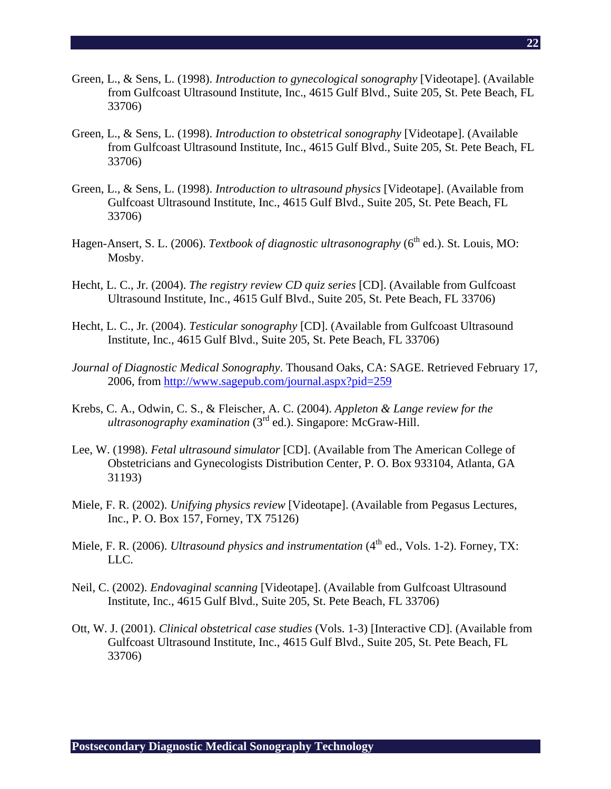- Green, L., & Sens, L. (1998). *Introduction to gynecological sonography* [Videotape]. (Available from Gulfcoast Ultrasound Institute, Inc., 4615 Gulf Blvd., Suite 205, St. Pete Beach, FL 33706)
- Green, L., & Sens, L. (1998). *Introduction to obstetrical sonography* [Videotape]. (Available from Gulfcoast Ultrasound Institute, Inc., 4615 Gulf Blvd., Suite 205, St. Pete Beach, FL 33706)
- Green, L., & Sens, L. (1998). *Introduction to ultrasound physics* [Videotape]. (Available from Gulfcoast Ultrasound Institute, Inc., 4615 Gulf Blvd., Suite 205, St. Pete Beach, FL 33706)
- Hagen-Ansert, S. L. (2006). *Textbook of diagnostic ultrasonography* (6<sup>th</sup> ed.). St. Louis, MO: Mosby.
- Hecht, L. C., Jr. (2004). *The registry review CD quiz series* [CD]. (Available from Gulfcoast Ultrasound Institute, Inc., 4615 Gulf Blvd., Suite 205, St. Pete Beach, FL 33706)
- Hecht, L. C., Jr. (2004). *Testicular sonography* [CD]. (Available from Gulfcoast Ultrasound Institute, Inc., 4615 Gulf Blvd., Suite 205, St. Pete Beach, FL 33706)
- *Journal of Diagnostic Medical Sonography*. Thousand Oaks, CA: SAGE. Retrieved February 17, 2006, from http://www.sagepub.com/journal.aspx?pid=259
- Krebs, C. A., Odwin, C. S., & Fleischer, A. C. (2004). *Appleton & Lange review for the ultrasonography examination* (3<sup>rd</sup> ed.). Singapore: McGraw-Hill.
- Lee, W. (1998). *Fetal ultrasound simulator* [CD]. (Available from The American College of Obstetricians and Gynecologists Distribution Center, P. O. Box 933104, Atlanta, GA 31193)
- Miele, F. R. (2002). *Unifying physics review* [Videotape]. (Available from Pegasus Lectures, Inc., P. O. Box 157, Forney, TX 75126)
- Miele, F. R. (2006). *Ultrasound physics and instrumentation* (4<sup>th</sup> ed., Vols. 1-2). Forney, TX: LLC.
- Neil, C. (2002). *Endovaginal scanning* [Videotape]. (Available from Gulfcoast Ultrasound Institute, Inc., 4615 Gulf Blvd., Suite 205, St. Pete Beach, FL 33706)
- Ott, W. J. (2001). *Clinical obstetrical case studies* (Vols. 1-3) [Interactive CD]. (Available from Gulfcoast Ultrasound Institute, Inc., 4615 Gulf Blvd., Suite 205, St. Pete Beach, FL 33706)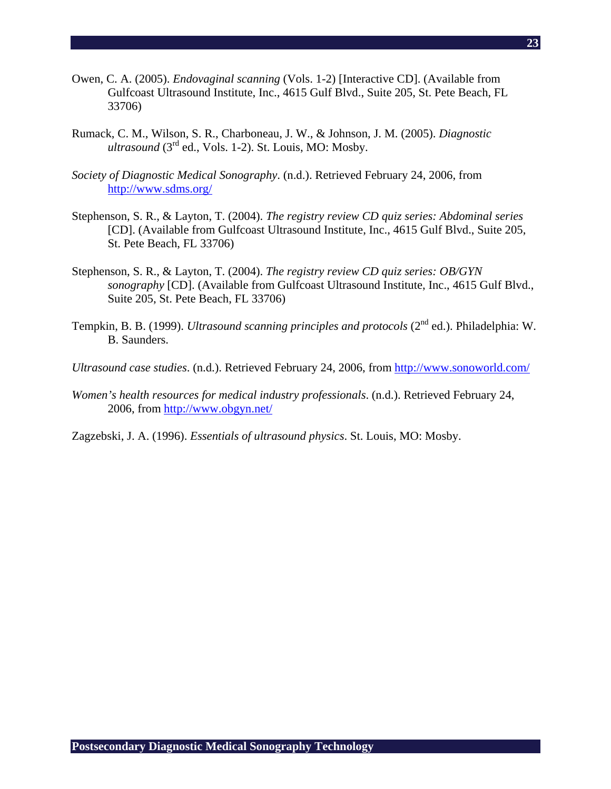- Owen, C. A. (2005). *Endovaginal scanning* (Vols. 1-2) [Interactive CD]. (Available from Gulfcoast Ultrasound Institute, Inc., 4615 Gulf Blvd., Suite 205, St. Pete Beach, FL 33706)
- Rumack, C. M., Wilson, S. R., Charboneau, J. W., & Johnson, J. M. (2005). *Diagnostic*   $ultrasound$  ( $3<sup>rd</sup>$  ed., Vols. 1-2). St. Louis, MO: Mosby.
- *Society of Diagnostic Medical Sonography*. (n.d.). Retrieved February 24, 2006, from http://www.sdms.org/
- Stephenson, S. R., & Layton, T. (2004). *The registry review CD quiz series: Abdominal series* [CD]. (Available from Gulfcoast Ultrasound Institute, Inc., 4615 Gulf Blvd., Suite 205, St. Pete Beach, FL 33706)
- Stephenson, S. R., & Layton, T. (2004). *The registry review CD quiz series: OB/GYN sonography* [CD]. (Available from Gulfcoast Ultrasound Institute, Inc., 4615 Gulf Blvd., Suite 205, St. Pete Beach, FL 33706)
- Tempkin, B. B. (1999). *Ultrasound scanning principles and protocols* (2<sup>nd</sup> ed.). Philadelphia: W. B. Saunders.
- *Ultrasound case studies*. (n.d.). Retrieved February 24, 2006, from http://www.sonoworld.com/
- *Women's health resources for medical industry professionals*. (n.d.). Retrieved February 24, 2006, from http://www.obgyn.net/
- Zagzebski, J. A. (1996). *Essentials of ultrasound physics*. St. Louis, MO: Mosby.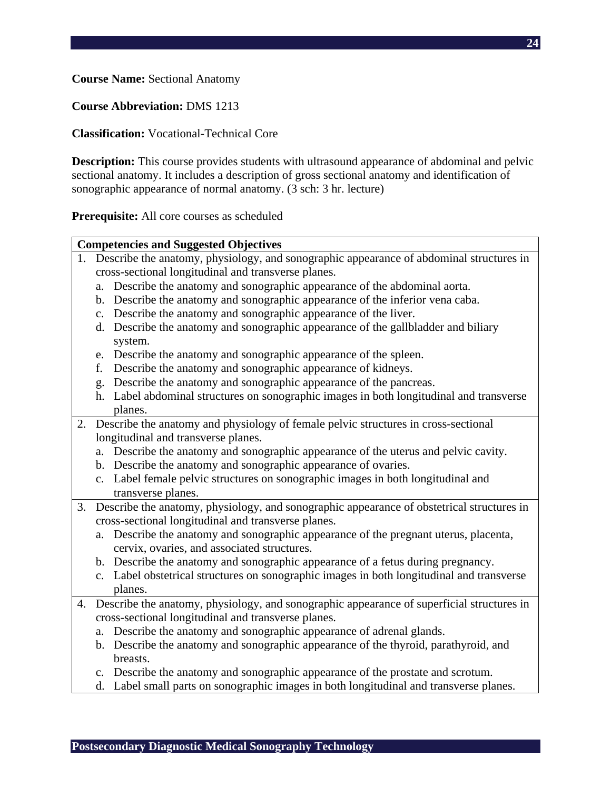**Course Name:** Sectional Anatomy

### **Course Abbreviation:** DMS 1213

### **Classification:** Vocational-Technical Core

**Description:** This course provides students with ultrasound appearance of abdominal and pelvic sectional anatomy. It includes a description of gross sectional anatomy and identification of sonographic appearance of normal anatomy. (3 sch: 3 hr. lecture)

**Prerequisite:** All core courses as scheduled

|    | <b>Competencies and Suggested Objectives</b>                                                 |
|----|----------------------------------------------------------------------------------------------|
| 1. | Describe the anatomy, physiology, and sonographic appearance of abdominal structures in      |
|    | cross-sectional longitudinal and transverse planes.                                          |
|    | Describe the anatomy and sonographic appearance of the abdominal aorta.<br>a.                |
|    | b. Describe the anatomy and sonographic appearance of the inferior vena caba.                |
|    | Describe the anatomy and sonographic appearance of the liver.<br>c.                          |
|    | Describe the anatomy and sonographic appearance of the gallbladder and biliary<br>d.         |
|    | system.                                                                                      |
|    | e. Describe the anatomy and sonographic appearance of the spleen.                            |
|    | Describe the anatomy and sonographic appearance of kidneys.<br>f.                            |
|    | Describe the anatomy and sonographic appearance of the pancreas.<br>g.                       |
|    | Label abdominal structures on sonographic images in both longitudinal and transverse<br>h.   |
|    | planes.                                                                                      |
| 2. | Describe the anatomy and physiology of female pelvic structures in cross-sectional           |
|    | longitudinal and transverse planes.                                                          |
|    | a. Describe the anatomy and sonographic appearance of the uterus and pelvic cavity.          |
|    | b. Describe the anatomy and sonographic appearance of ovaries.                               |
|    | c. Label female pelvic structures on sonographic images in both longitudinal and             |
|    | transverse planes.                                                                           |
| 3. | Describe the anatomy, physiology, and sonographic appearance of obstetrical structures in    |
|    | cross-sectional longitudinal and transverse planes.                                          |
|    | a. Describe the anatomy and sonographic appearance of the pregnant uterus, placenta,         |
|    | cervix, ovaries, and associated structures.                                                  |
|    | b. Describe the anatomy and sonographic appearance of a fetus during pregnancy.              |
|    | c. Label obstetrical structures on sonographic images in both longitudinal and transverse    |
|    | planes.                                                                                      |
|    | 4. Describe the anatomy, physiology, and sonographic appearance of superficial structures in |
|    | cross-sectional longitudinal and transverse planes.                                          |
|    | Describe the anatomy and sonographic appearance of adrenal glands.<br>a.                     |
|    | b. Describe the anatomy and sonographic appearance of the thyroid, parathyroid, and          |
|    | breasts.                                                                                     |

- c. Describe the anatomy and sonographic appearance of the prostate and scrotum.
- d. Label small parts on sonographic images in both longitudinal and transverse planes.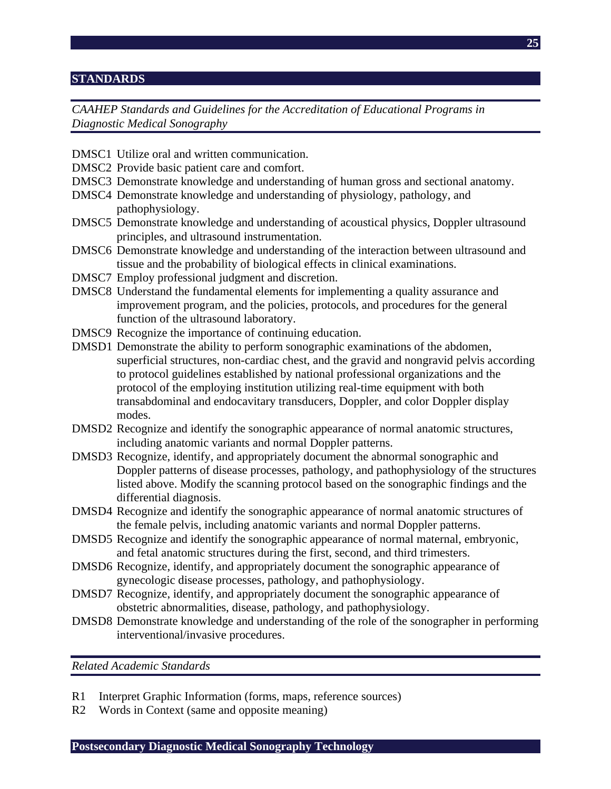### **STANDARDS**

*CAAHEP Standards and Guidelines for the Accreditation of Educational Programs in Diagnostic Medical Sonography* 

- DMSC1 Utilize oral and written communication.
- DMSC2 Provide basic patient care and comfort.
- DMSC3 Demonstrate knowledge and understanding of human gross and sectional anatomy.
- DMSC4 Demonstrate knowledge and understanding of physiology, pathology, and pathophysiology.
- DMSC5 Demonstrate knowledge and understanding of acoustical physics, Doppler ultrasound principles, and ultrasound instrumentation.
- DMSC6 Demonstrate knowledge and understanding of the interaction between ultrasound and tissue and the probability of biological effects in clinical examinations.
- DMSC7 Employ professional judgment and discretion.
- DMSC8 Understand the fundamental elements for implementing a quality assurance and improvement program, and the policies, protocols, and procedures for the general function of the ultrasound laboratory.
- DMSC9 Recognize the importance of continuing education.
- DMSD1 Demonstrate the ability to perform sonographic examinations of the abdomen, superficial structures, non-cardiac chest, and the gravid and nongravid pelvis according to protocol guidelines established by national professional organizations and the protocol of the employing institution utilizing real-time equipment with both transabdominal and endocavitary transducers, Doppler, and color Doppler display modes.
- DMSD2 Recognize and identify the sonographic appearance of normal anatomic structures, including anatomic variants and normal Doppler patterns.
- DMSD3 Recognize, identify, and appropriately document the abnormal sonographic and Doppler patterns of disease processes, pathology, and pathophysiology of the structures listed above. Modify the scanning protocol based on the sonographic findings and the differential diagnosis.
- DMSD4 Recognize and identify the sonographic appearance of normal anatomic structures of the female pelvis, including anatomic variants and normal Doppler patterns.
- DMSD5 Recognize and identify the sonographic appearance of normal maternal, embryonic, and fetal anatomic structures during the first, second, and third trimesters.
- DMSD6 Recognize, identify, and appropriately document the sonographic appearance of gynecologic disease processes, pathology, and pathophysiology.
- DMSD7 Recognize, identify, and appropriately document the sonographic appearance of obstetric abnormalities, disease, pathology, and pathophysiology.
- DMSD8 Demonstrate knowledge and understanding of the role of the sonographer in performing interventional/invasive procedures.

*Related Academic Standards* 

- R1 Interpret Graphic Information (forms, maps, reference sources)
- R2 Words in Context (same and opposite meaning)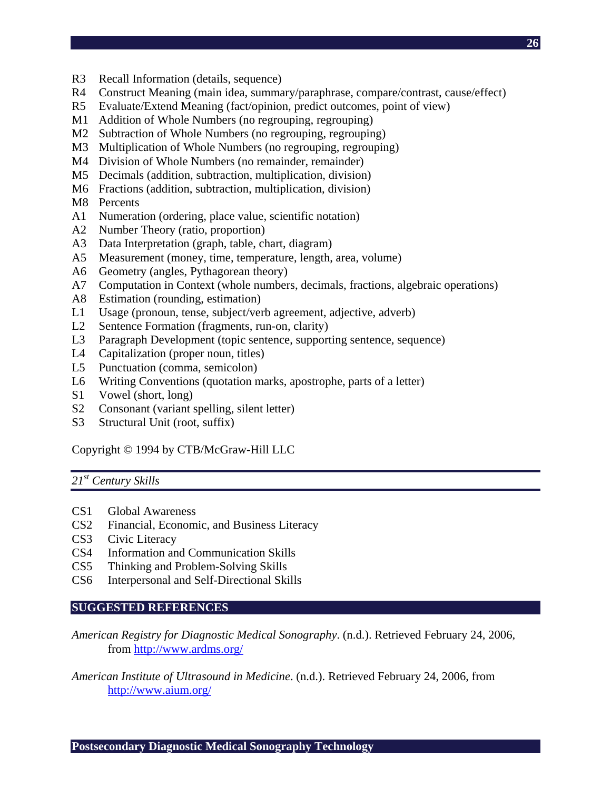- R3 Recall Information (details, sequence)
- R4 Construct Meaning (main idea, summary/paraphrase, compare/contrast, cause/effect)
- R5 Evaluate/Extend Meaning (fact/opinion, predict outcomes, point of view)
- M1 Addition of Whole Numbers (no regrouping, regrouping)
- M2 Subtraction of Whole Numbers (no regrouping, regrouping)
- M3 Multiplication of Whole Numbers (no regrouping, regrouping)
- M4 Division of Whole Numbers (no remainder, remainder)
- M5 Decimals (addition, subtraction, multiplication, division)
- M6 Fractions (addition, subtraction, multiplication, division)
- M8 Percents
- A1 Numeration (ordering, place value, scientific notation)
- A2 Number Theory (ratio, proportion)
- A3 Data Interpretation (graph, table, chart, diagram)
- A5 Measurement (money, time, temperature, length, area, volume)
- A6 Geometry (angles, Pythagorean theory)
- A7 Computation in Context (whole numbers, decimals, fractions, algebraic operations)
- A8 Estimation (rounding, estimation)
- L1 Usage (pronoun, tense, subject/verb agreement, adjective, adverb)
- L2 Sentence Formation (fragments, run-on, clarity)
- L3 Paragraph Development (topic sentence, supporting sentence, sequence)
- L4 Capitalization (proper noun, titles)
- L5 Punctuation (comma, semicolon)
- L6 Writing Conventions (quotation marks, apostrophe, parts of a letter)
- S1 Vowel (short, long)
- S2 Consonant (variant spelling, silent letter)
- S3 Structural Unit (root, suffix)

Copyright © 1994 by CTB/McGraw-Hill LLC

# *21st Century Skills*

- CS1 Global Awareness
- CS2 Financial, Economic, and Business Literacy
- CS3 Civic Literacy
- CS4 Information and Communication Skills
- CS5 Thinking and Problem-Solving Skills
- CS6 Interpersonal and Self-Directional Skills

# **SUGGESTED REFERENCES**

*American Registry for Diagnostic Medical Sonography*. (n.d.). Retrieved February 24, 2006, from http://www.ardms.org/

# *American Institute of Ultrasound in Medicine*. (n.d.). Retrieved February 24, 2006, from http://www.aium.org/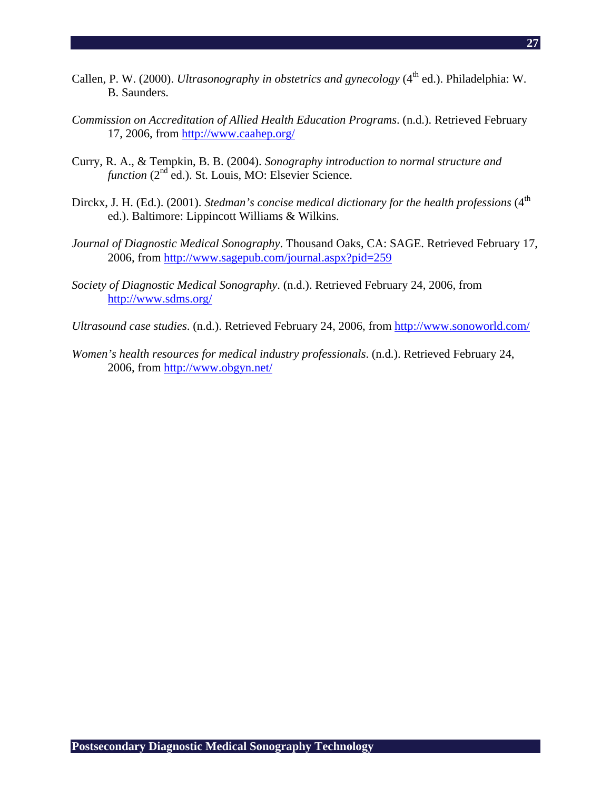- Callen, P. W. (2000). *Ultrasonography in obstetrics and gynecology* (4<sup>th</sup> ed.). Philadelphia: W. B. Saunders.
- *Commission on Accreditation of Allied Health Education Programs*. (n.d.). Retrieved February 17, 2006, from http://www.caahep.org/
- Curry, R. A., & Tempkin, B. B. (2004). *Sonography introduction to normal structure and function* (2<sup>nd</sup> ed.). St. Louis, MO: Elsevier Science.
- Dirckx, J. H. (Ed.). (2001). *Stedman's concise medical dictionary for the health professions* (4<sup>th</sup>) ed.). Baltimore: Lippincott Williams & Wilkins.
- *Journal of Diagnostic Medical Sonography*. Thousand Oaks, CA: SAGE. Retrieved February 17, 2006, from http://www.sagepub.com/journal.aspx?pid=259
- *Society of Diagnostic Medical Sonography*. (n.d.). Retrieved February 24, 2006, from http://www.sdms.org/
- *Ultrasound case studies*. (n.d.). Retrieved February 24, 2006, from http://www.sonoworld.com/
- *Women's health resources for medical industry professionals*. (n.d.). Retrieved February 24, 2006, from http://www.obgyn.net/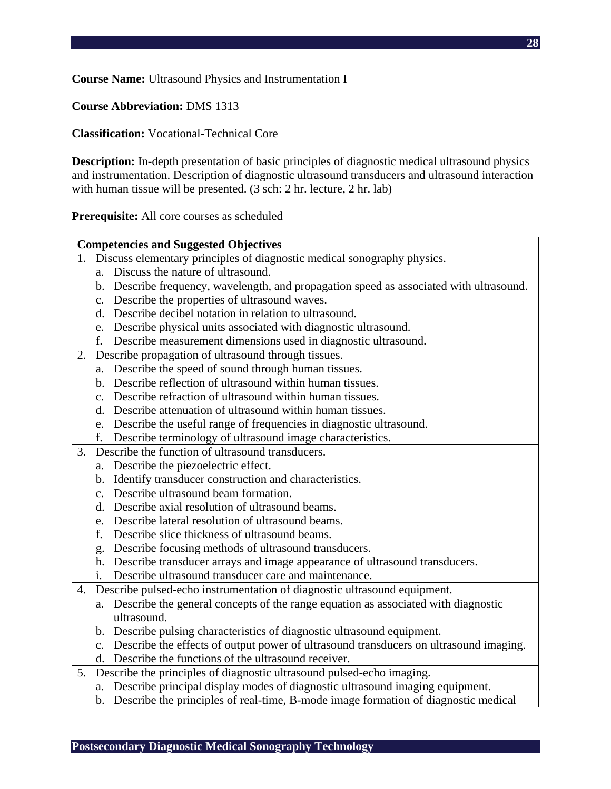**Course Name:** Ultrasound Physics and Instrumentation I

**Course Abbreviation:** DMS 1313

**Classification:** Vocational-Technical Core

**Description:** In-depth presentation of basic principles of diagnostic medical ultrasound physics and instrumentation. Description of diagnostic ultrasound transducers and ultrasound interaction with human tissue will be presented. (3 sch: 2 hr. lecture, 2 hr. lab)

**Prerequisite:** All core courses as scheduled

|    |                | <b>Competencies and Suggested Objectives</b>                                             |
|----|----------------|------------------------------------------------------------------------------------------|
|    |                | 1. Discuss elementary principles of diagnostic medical sonography physics.               |
|    | $a_{-}$        | Discuss the nature of ultrasound.                                                        |
|    |                | b. Describe frequency, wavelength, and propagation speed as associated with ultrasound.  |
|    |                | c. Describe the properties of ultrasound waves.                                          |
|    |                | d. Describe decibel notation in relation to ultrasound.                                  |
|    |                | e. Describe physical units associated with diagnostic ultrasound.                        |
|    | f.             | Describe measurement dimensions used in diagnostic ultrasound.                           |
| 2. |                | Describe propagation of ultrasound through tissues.                                      |
|    | a.             | Describe the speed of sound through human tissues.                                       |
|    |                | b. Describe reflection of ultrasound within human tissues.                               |
|    |                | c. Describe refraction of ultrasound within human tissues.                               |
|    |                | d. Describe attenuation of ultrasound within human tissues.                              |
|    | e.             | Describe the useful range of frequencies in diagnostic ultrasound.                       |
|    | f.             | Describe terminology of ultrasound image characteristics.                                |
| 3. |                | Describe the function of ultrasound transducers.                                         |
|    |                | a. Describe the piezoelectric effect.                                                    |
|    |                | b. Identify transducer construction and characteristics.                                 |
|    | $\mathbf{c}$ . | Describe ultrasound beam formation.                                                      |
|    | d.             | Describe axial resolution of ultrasound beams.                                           |
|    | e.             | Describe lateral resolution of ultrasound beams.                                         |
|    | f.             | Describe slice thickness of ultrasound beams.                                            |
|    |                | g. Describe focusing methods of ultrasound transducers.                                  |
|    |                | h. Describe transducer arrays and image appearance of ultrasound transducers.            |
|    | 1.             | Describe ultrasound transducer care and maintenance.                                     |
| 4. |                | Describe pulsed-echo instrumentation of diagnostic ultrasound equipment.                 |
|    |                | a. Describe the general concepts of the range equation as associated with diagnostic     |
|    |                | ultrasound.                                                                              |
|    |                | b. Describe pulsing characteristics of diagnostic ultrasound equipment.                  |
|    |                | c. Describe the effects of output power of ultrasound transducers on ultrasound imaging. |
|    |                | d. Describe the functions of the ultrasound receiver.                                    |
|    |                | 5. Describe the principles of diagnostic ultrasound pulsed-echo imaging.                 |
|    |                | a. Describe principal display modes of diagnostic ultrasound imaging equipment.          |
|    |                | b. Describe the principles of real-time, B-mode image formation of diagnostic medical    |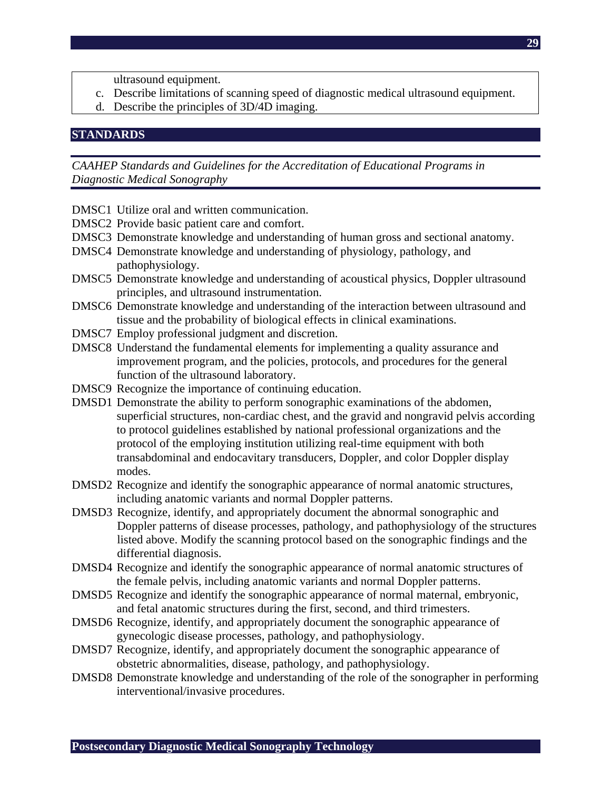- ultrasound equipment.
- c. Describe limitations of scanning speed of diagnostic medical ultrasound equipment.
- d. Describe the principles of 3D/4D imaging.

#### **STANDARDS**

*CAAHEP Standards and Guidelines for the Accreditation of Educational Programs in Diagnostic Medical Sonography* 

- DMSC1 Utilize oral and written communication.
- DMSC2 Provide basic patient care and comfort.
- DMSC3 Demonstrate knowledge and understanding of human gross and sectional anatomy.
- DMSC4 Demonstrate knowledge and understanding of physiology, pathology, and pathophysiology.
- DMSC5 Demonstrate knowledge and understanding of acoustical physics, Doppler ultrasound principles, and ultrasound instrumentation.
- DMSC6 Demonstrate knowledge and understanding of the interaction between ultrasound and tissue and the probability of biological effects in clinical examinations.
- DMSC7 Employ professional judgment and discretion.
- DMSC8 Understand the fundamental elements for implementing a quality assurance and improvement program, and the policies, protocols, and procedures for the general function of the ultrasound laboratory.
- DMSC9 Recognize the importance of continuing education.
- DMSD1 Demonstrate the ability to perform sonographic examinations of the abdomen, superficial structures, non-cardiac chest, and the gravid and nongravid pelvis according to protocol guidelines established by national professional organizations and the protocol of the employing institution utilizing real-time equipment with both transabdominal and endocavitary transducers, Doppler, and color Doppler display modes.
- DMSD2 Recognize and identify the sonographic appearance of normal anatomic structures, including anatomic variants and normal Doppler patterns.
- DMSD3 Recognize, identify, and appropriately document the abnormal sonographic and Doppler patterns of disease processes, pathology, and pathophysiology of the structures listed above. Modify the scanning protocol based on the sonographic findings and the differential diagnosis.
- DMSD4 Recognize and identify the sonographic appearance of normal anatomic structures of the female pelvis, including anatomic variants and normal Doppler patterns.
- DMSD5 Recognize and identify the sonographic appearance of normal maternal, embryonic, and fetal anatomic structures during the first, second, and third trimesters.
- DMSD6 Recognize, identify, and appropriately document the sonographic appearance of gynecologic disease processes, pathology, and pathophysiology.
- DMSD7 Recognize, identify, and appropriately document the sonographic appearance of obstetric abnormalities, disease, pathology, and pathophysiology.
- DMSD8 Demonstrate knowledge and understanding of the role of the sonographer in performing interventional/invasive procedures.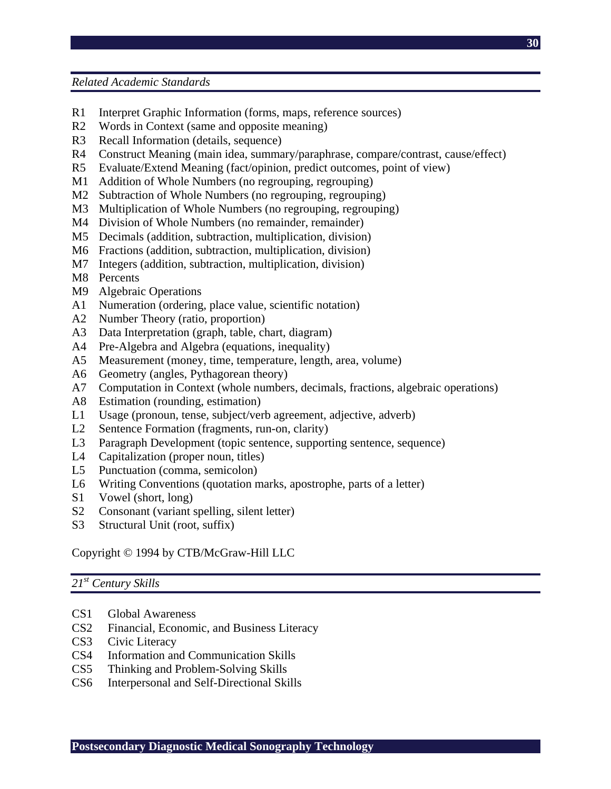*Related Academic Standards* 

- R1 Interpret Graphic Information (forms, maps, reference sources)
- R2 Words in Context (same and opposite meaning)
- R3 Recall Information (details, sequence)
- R4 Construct Meaning (main idea, summary/paraphrase, compare/contrast, cause/effect)
- R5 Evaluate/Extend Meaning (fact/opinion, predict outcomes, point of view)
- M1 Addition of Whole Numbers (no regrouping, regrouping)
- M2 Subtraction of Whole Numbers (no regrouping, regrouping)
- M3 Multiplication of Whole Numbers (no regrouping, regrouping)
- M4 Division of Whole Numbers (no remainder, remainder)
- M5 Decimals (addition, subtraction, multiplication, division)
- M6 Fractions (addition, subtraction, multiplication, division)
- M7 Integers (addition, subtraction, multiplication, division)
- M8 Percents
- M9 Algebraic Operations
- A1 Numeration (ordering, place value, scientific notation)
- A2 Number Theory (ratio, proportion)
- A3 Data Interpretation (graph, table, chart, diagram)
- A4 Pre-Algebra and Algebra (equations, inequality)
- A5 Measurement (money, time, temperature, length, area, volume)
- A6 Geometry (angles, Pythagorean theory)
- A7 Computation in Context (whole numbers, decimals, fractions, algebraic operations)
- A8 Estimation (rounding, estimation)
- L1 Usage (pronoun, tense, subject/verb agreement, adjective, adverb)
- L2 Sentence Formation (fragments, run-on, clarity)
- L3 Paragraph Development (topic sentence, supporting sentence, sequence)
- L4 Capitalization (proper noun, titles)
- L5 Punctuation (comma, semicolon)
- L6 Writing Conventions (quotation marks, apostrophe, parts of a letter)
- S1 Vowel (short, long)
- S2 Consonant (variant spelling, silent letter)
- S3 Structural Unit (root, suffix)

# Copyright © 1994 by CTB/McGraw-Hill LLC

# *21st Century Skills*

- CS1 Global Awareness
- CS2 Financial, Economic, and Business Literacy
- CS3 Civic Literacy
- CS4 Information and Communication Skills
- CS5 Thinking and Problem-Solving Skills
- CS6 Interpersonal and Self-Directional Skills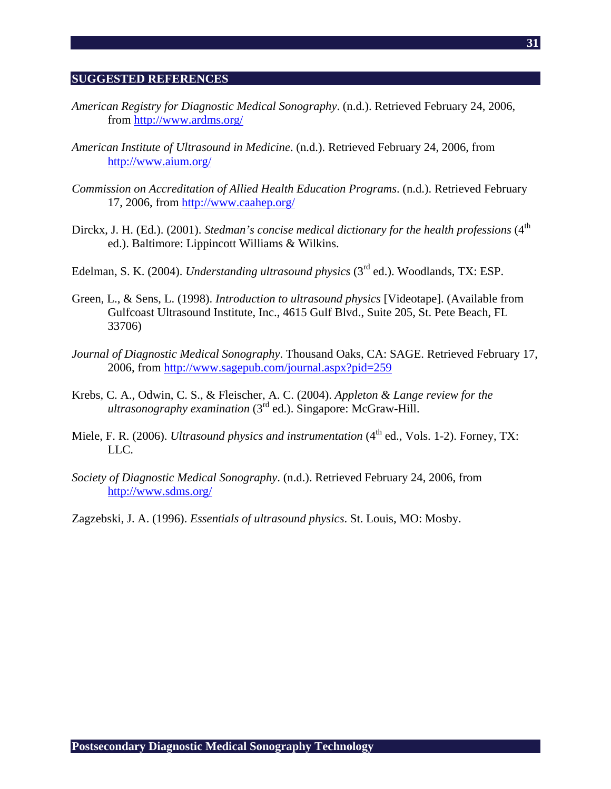#### **SUGGESTED REFERENCES**

- *American Registry for Diagnostic Medical Sonography*. (n.d.). Retrieved February 24, 2006, from http://www.ardms.org/
- *American Institute of Ultrasound in Medicine*. (n.d.). Retrieved February 24, 2006, from http://www.aium.org/
- *Commission on Accreditation of Allied Health Education Programs*. (n.d.). Retrieved February 17, 2006, from http://www.caahep.org/
- Dirckx, J. H. (Ed.). (2001). *Stedman's concise medical dictionary for the health professions* (4<sup>th</sup> ed.). Baltimore: Lippincott Williams & Wilkins.
- Edelman, S. K. (2004). *Understanding ultrasound physics* (3rd ed.). Woodlands, TX: ESP.
- Green, L., & Sens, L. (1998). *Introduction to ultrasound physics* [Videotape]. (Available from Gulfcoast Ultrasound Institute, Inc., 4615 Gulf Blvd., Suite 205, St. Pete Beach, FL 33706)
- *Journal of Diagnostic Medical Sonography*. Thousand Oaks, CA: SAGE. Retrieved February 17, 2006, from http://www.sagepub.com/journal.aspx?pid=259
- Krebs, C. A., Odwin, C. S., & Fleischer, A. C. (2004). *Appleton & Lange review for the ultrasonography examination* (3rd ed.). Singapore: McGraw-Hill.
- Miele, F. R. (2006). *Ultrasound physics and instrumentation* (4<sup>th</sup> ed., Vols. 1-2). Forney, TX: LLC.
- *Society of Diagnostic Medical Sonography*. (n.d.). Retrieved February 24, 2006, from http://www.sdms.org/

Zagzebski, J. A. (1996). *Essentials of ultrasound physics*. St. Louis, MO: Mosby.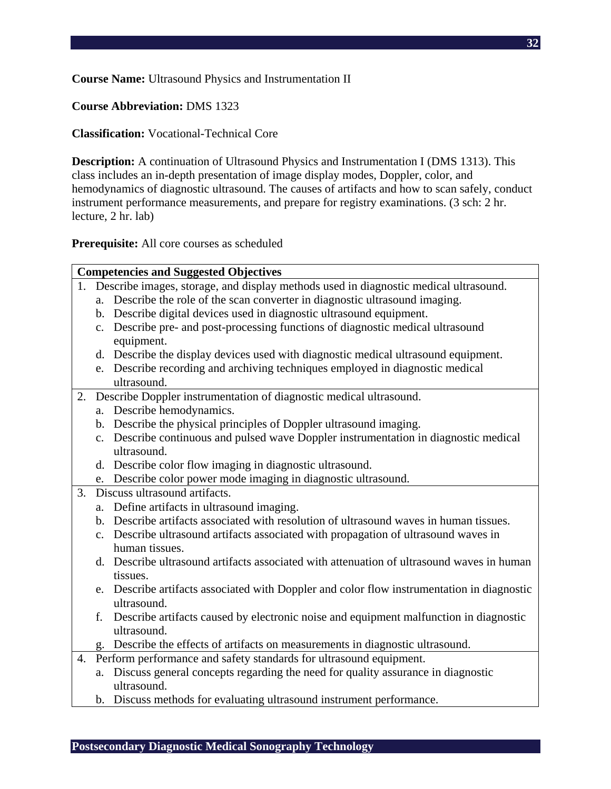**Course Name:** Ultrasound Physics and Instrumentation II

### **Course Abbreviation:** DMS 1323

**Classification:** Vocational-Technical Core

**Description:** A continuation of Ultrasound Physics and Instrumentation I (DMS 1313). This class includes an in-depth presentation of image display modes, Doppler, color, and hemodynamics of diagnostic ultrasound. The causes of artifacts and how to scan safely, conduct instrument performance measurements, and prepare for registry examinations. (3 sch: 2 hr. lecture, 2 hr. lab)

**Prerequisite:** All core courses as scheduled

|    |    | <b>Competencies and Suggested Objectives</b>                                                          |
|----|----|-------------------------------------------------------------------------------------------------------|
|    |    | 1. Describe images, storage, and display methods used in diagnostic medical ultrasound.               |
|    | a. | Describe the role of the scan converter in diagnostic ultrasound imaging.                             |
|    |    | b. Describe digital devices used in diagnostic ultrasound equipment.                                  |
|    |    | c. Describe pre- and post-processing functions of diagnostic medical ultrasound                       |
|    |    | equipment.                                                                                            |
|    |    | d. Describe the display devices used with diagnostic medical ultrasound equipment.                    |
|    |    | e. Describe recording and archiving techniques employed in diagnostic medical                         |
|    |    | ultrasound.                                                                                           |
| 2. |    | Describe Doppler instrumentation of diagnostic medical ultrasound.                                    |
|    |    | a. Describe hemodynamics.                                                                             |
|    |    | b. Describe the physical principles of Doppler ultrasound imaging.                                    |
|    |    | c. Describe continuous and pulsed wave Doppler instrumentation in diagnostic medical                  |
|    |    | ultrasound.                                                                                           |
|    |    | d. Describe color flow imaging in diagnostic ultrasound.                                              |
|    |    | e. Describe color power mode imaging in diagnostic ultrasound.                                        |
| 3. |    | Discuss ultrasound artifacts.                                                                         |
|    |    | a. Define artifacts in ultrasound imaging.                                                            |
|    |    | b. Describe artifacts associated with resolution of ultrasound waves in human tissues.                |
|    |    | c. Describe ultrasound artifacts associated with propagation of ultrasound waves in<br>human tissues. |
|    |    |                                                                                                       |
|    |    |                                                                                                       |
|    |    | d. Describe ultrasound artifacts associated with attenuation of ultrasound waves in human<br>tissues. |
|    |    | e. Describe artifacts associated with Doppler and color flow instrumentation in diagnostic            |
|    |    | ultrasound.                                                                                           |
|    | f. | Describe artifacts caused by electronic noise and equipment malfunction in diagnostic                 |
|    |    | ultrasound.                                                                                           |
|    |    | g. Describe the effects of artifacts on measurements in diagnostic ultrasound.                        |
| 4. |    | Perform performance and safety standards for ultrasound equipment.                                    |
|    |    | a. Discuss general concepts regarding the need for quality assurance in diagnostic                    |
|    |    | ultrasound.<br>b. Discuss methods for evaluating ultrasound instrument performance.                   |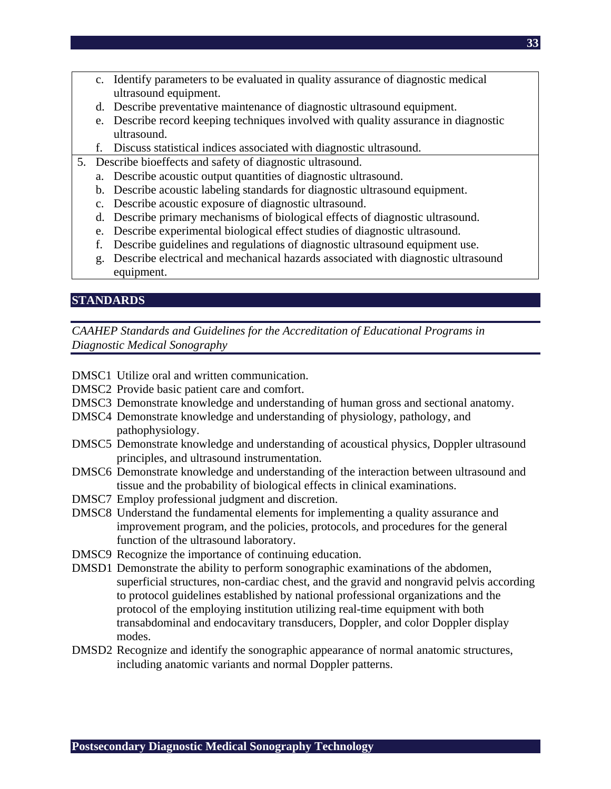- c. Identify parameters to be evaluated in quality assurance of diagnostic medical ultrasound equipment.
- d. Describe preventative maintenance of diagnostic ultrasound equipment.
- e. Describe record keeping techniques involved with quality assurance in diagnostic ultrasound.
- f. Discuss statistical indices associated with diagnostic ultrasound.
- 5. Describe bioeffects and safety of diagnostic ultrasound.
	- a. Describe acoustic output quantities of diagnostic ultrasound.
	- b. Describe acoustic labeling standards for diagnostic ultrasound equipment.
	- c. Describe acoustic exposure of diagnostic ultrasound.
	- d. Describe primary mechanisms of biological effects of diagnostic ultrasound.
	- e. Describe experimental biological effect studies of diagnostic ultrasound.
	- f. Describe guidelines and regulations of diagnostic ultrasound equipment use.
	- g. Describe electrical and mechanical hazards associated with diagnostic ultrasound equipment.

#### **STANDARDS**

*CAAHEP Standards and Guidelines for the Accreditation of Educational Programs in Diagnostic Medical Sonography* 

- DMSC1 Utilize oral and written communication.
- DMSC2 Provide basic patient care and comfort.
- DMSC3 Demonstrate knowledge and understanding of human gross and sectional anatomy.
- DMSC4 Demonstrate knowledge and understanding of physiology, pathology, and pathophysiology.
- DMSC5 Demonstrate knowledge and understanding of acoustical physics, Doppler ultrasound principles, and ultrasound instrumentation.
- DMSC6 Demonstrate knowledge and understanding of the interaction between ultrasound and tissue and the probability of biological effects in clinical examinations.
- DMSC7 Employ professional judgment and discretion.
- DMSC8 Understand the fundamental elements for implementing a quality assurance and improvement program, and the policies, protocols, and procedures for the general function of the ultrasound laboratory.
- DMSC9 Recognize the importance of continuing education.
- DMSD1 Demonstrate the ability to perform sonographic examinations of the abdomen, superficial structures, non-cardiac chest, and the gravid and nongravid pelvis according to protocol guidelines established by national professional organizations and the protocol of the employing institution utilizing real-time equipment with both transabdominal and endocavitary transducers, Doppler, and color Doppler display modes.
- DMSD2 Recognize and identify the sonographic appearance of normal anatomic structures, including anatomic variants and normal Doppler patterns.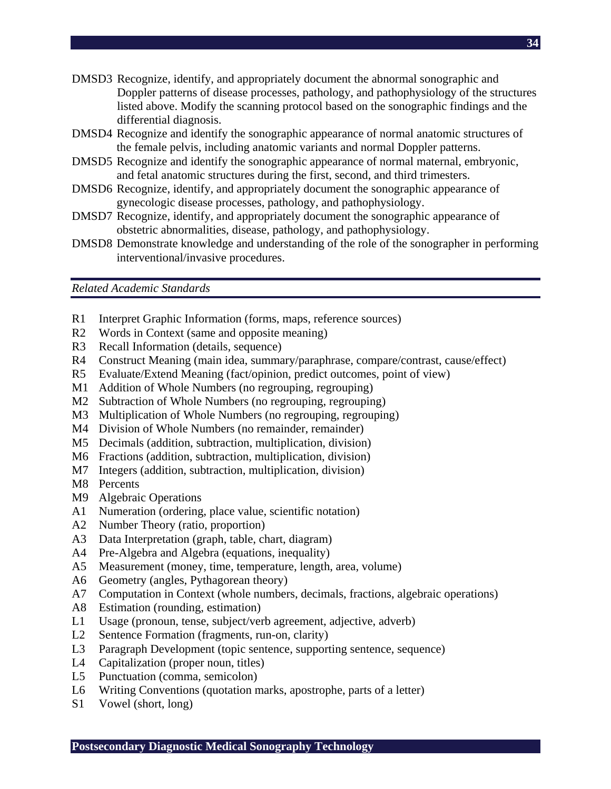- DMSD3 Recognize, identify, and appropriately document the abnormal sonographic and Doppler patterns of disease processes, pathology, and pathophysiology of the structures listed above. Modify the scanning protocol based on the sonographic findings and the differential diagnosis.
- DMSD4 Recognize and identify the sonographic appearance of normal anatomic structures of the female pelvis, including anatomic variants and normal Doppler patterns.
- DMSD5 Recognize and identify the sonographic appearance of normal maternal, embryonic, and fetal anatomic structures during the first, second, and third trimesters.
- DMSD6 Recognize, identify, and appropriately document the sonographic appearance of gynecologic disease processes, pathology, and pathophysiology.
- DMSD7 Recognize, identify, and appropriately document the sonographic appearance of obstetric abnormalities, disease, pathology, and pathophysiology.
- DMSD8 Demonstrate knowledge and understanding of the role of the sonographer in performing interventional/invasive procedures.

*Related Academic Standards* 

- R1 Interpret Graphic Information (forms, maps, reference sources)
- R2 Words in Context (same and opposite meaning)
- R3 Recall Information (details, sequence)
- R4 Construct Meaning (main idea, summary/paraphrase, compare/contrast, cause/effect)
- R5 Evaluate/Extend Meaning (fact/opinion, predict outcomes, point of view)
- M1 Addition of Whole Numbers (no regrouping, regrouping)
- M2 Subtraction of Whole Numbers (no regrouping, regrouping)
- M3 Multiplication of Whole Numbers (no regrouping, regrouping)
- M4 Division of Whole Numbers (no remainder, remainder)
- M5 Decimals (addition, subtraction, multiplication, division)
- M6 Fractions (addition, subtraction, multiplication, division)
- M7 Integers (addition, subtraction, multiplication, division)
- M8 Percents
- M9 Algebraic Operations
- A1 Numeration (ordering, place value, scientific notation)
- A2 Number Theory (ratio, proportion)
- A3 Data Interpretation (graph, table, chart, diagram)
- A4 Pre-Algebra and Algebra (equations, inequality)
- A5 Measurement (money, time, temperature, length, area, volume)
- A6 Geometry (angles, Pythagorean theory)
- A7 Computation in Context (whole numbers, decimals, fractions, algebraic operations)
- A8 Estimation (rounding, estimation)
- L1 Usage (pronoun, tense, subject/verb agreement, adjective, adverb)
- L2 Sentence Formation (fragments, run-on, clarity)
- L3 Paragraph Development (topic sentence, supporting sentence, sequence)
- L4 Capitalization (proper noun, titles)
- L5 Punctuation (comma, semicolon)
- L6 Writing Conventions (quotation marks, apostrophe, parts of a letter)
- S1 Vowel (short, long)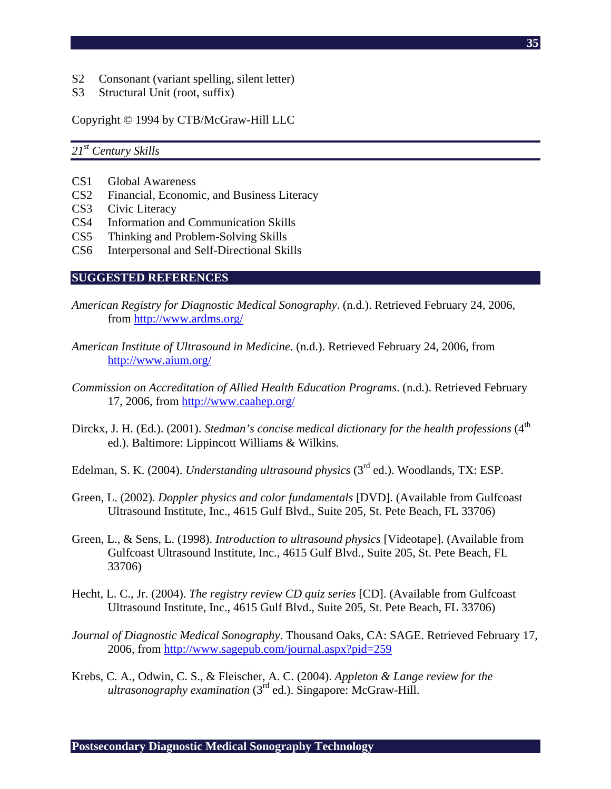- S2 Consonant (variant spelling, silent letter)
- S3 Structural Unit (root, suffix)

Copyright © 1994 by CTB/McGraw-Hill LLC

#### *21st Century Skills*

- CS1 Global Awareness
- CS2 Financial, Economic, and Business Literacy
- CS3 Civic Literacy
- CS4 Information and Communication Skills
- CS5 Thinking and Problem-Solving Skills
- CS6 Interpersonal and Self-Directional Skills

#### **SUGGESTED REFERENCES**

- *American Registry for Diagnostic Medical Sonography*. (n.d.). Retrieved February 24, 2006, from http://www.ardms.org/
- *American Institute of Ultrasound in Medicine*. (n.d.). Retrieved February 24, 2006, from http://www.aium.org/
- *Commission on Accreditation of Allied Health Education Programs*. (n.d.). Retrieved February 17, 2006, from http://www.caahep.org/
- Dirckx, J. H. (Ed.). (2001). *Stedman's concise medical dictionary for the health professions* (4<sup>th</sup> ed.). Baltimore: Lippincott Williams & Wilkins.
- Edelman, S. K. (2004). *Understanding ultrasound physics* (3rd ed.). Woodlands, TX: ESP.
- Green, L. (2002). *Doppler physics and color fundamentals* [DVD]. (Available from Gulfcoast Ultrasound Institute, Inc., 4615 Gulf Blvd., Suite 205, St. Pete Beach, FL 33706)
- Green, L., & Sens, L. (1998). *Introduction to ultrasound physics* [Videotape]. (Available from Gulfcoast Ultrasound Institute, Inc., 4615 Gulf Blvd., Suite 205, St. Pete Beach, FL 33706)
- Hecht, L. C., Jr. (2004). *The registry review CD quiz series* [CD]. (Available from Gulfcoast Ultrasound Institute, Inc., 4615 Gulf Blvd., Suite 205, St. Pete Beach, FL 33706)
- *Journal of Diagnostic Medical Sonography*. Thousand Oaks, CA: SAGE. Retrieved February 17, 2006, from http://www.sagepub.com/journal.aspx?pid=259
- Krebs, C. A., Odwin, C. S., & Fleischer, A. C. (2004). *Appleton & Lange review for the ultrasonography examination* (3rd ed.). Singapore: McGraw-Hill.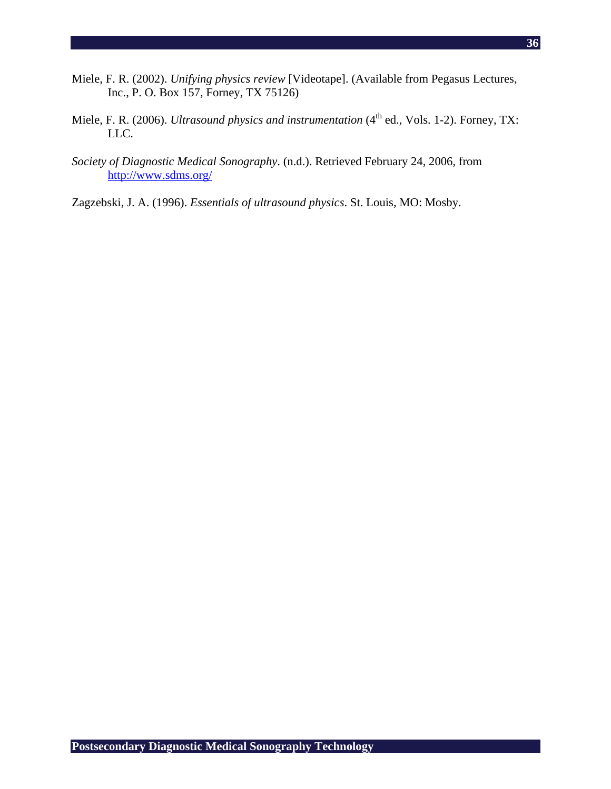- Miele, F. R. (2002). *Unifying physics review* [Videotape]. (Available from Pegasus Lectures, Inc., P. O. Box 157, Forney, TX 75126)
- Miele, F. R. (2006). *Ultrasound physics and instrumentation* (4<sup>th</sup> ed., Vols. 1-2). Forney, TX: LLC.
- *Society of Diagnostic Medical Sonography*. (n.d.). Retrieved February 24, 2006, from http://www.sdms.org/
- Zagzebski, J. A. (1996). *Essentials of ultrasound physics*. St. Louis, MO: Mosby.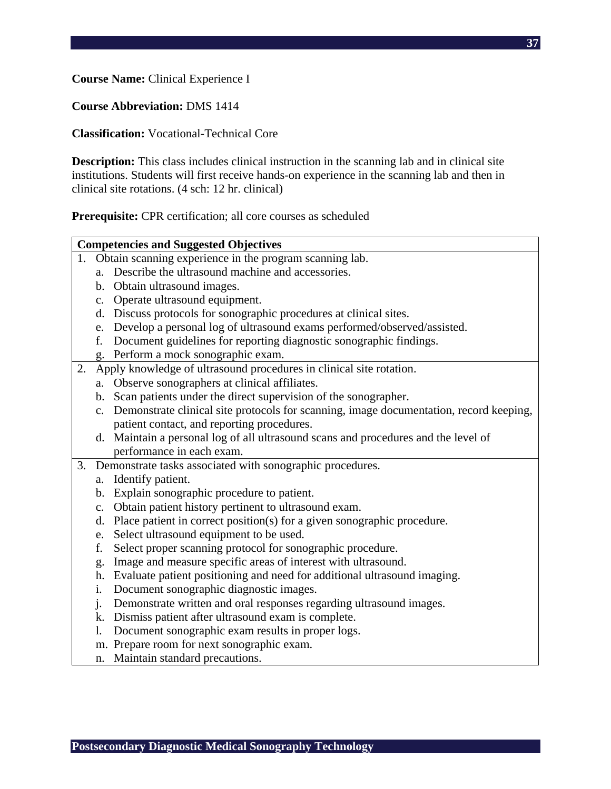**Course Name:** Clinical Experience I

**Course Abbreviation:** DMS 1414

**Classification:** Vocational-Technical Core

**Description:** This class includes clinical instruction in the scanning lab and in clinical site institutions. Students will first receive hands-on experience in the scanning lab and then in clinical site rotations. (4 sch: 12 hr. clinical)

**Prerequisite:** CPR certification; all core courses as scheduled

| <b>Competencies and Suggested Objectives</b> |                |                                                                                        |  |  |  |  |
|----------------------------------------------|----------------|----------------------------------------------------------------------------------------|--|--|--|--|
| 1.                                           |                | Obtain scanning experience in the program scanning lab.                                |  |  |  |  |
|                                              | a <sub>z</sub> | Describe the ultrasound machine and accessories.                                       |  |  |  |  |
|                                              | $\mathbf{b}$ . | Obtain ultrasound images.                                                              |  |  |  |  |
|                                              | $C_{\bullet}$  | Operate ultrasound equipment.                                                          |  |  |  |  |
|                                              | d.             | Discuss protocols for sonographic procedures at clinical sites.                        |  |  |  |  |
|                                              | e.             | Develop a personal log of ultrasound exams performed/observed/assisted.                |  |  |  |  |
|                                              | f.             | Document guidelines for reporting diagnostic sonographic findings.                     |  |  |  |  |
|                                              | g.             | Perform a mock sonographic exam.                                                       |  |  |  |  |
| 2.                                           |                | Apply knowledge of ultrasound procedures in clinical site rotation.                    |  |  |  |  |
|                                              | a.             | Observe sonographers at clinical affiliates.                                           |  |  |  |  |
|                                              | $\mathbf{b}$ . | Scan patients under the direct supervision of the sonographer.                         |  |  |  |  |
|                                              | c.             | Demonstrate clinical site protocols for scanning, image documentation, record keeping, |  |  |  |  |
|                                              |                | patient contact, and reporting procedures.                                             |  |  |  |  |
|                                              |                | d. Maintain a personal log of all ultrasound scans and procedures and the level of     |  |  |  |  |
|                                              |                | performance in each exam.                                                              |  |  |  |  |
| 3.                                           |                | Demonstrate tasks associated with sonographic procedures.                              |  |  |  |  |
|                                              | a.             | Identify patient.                                                                      |  |  |  |  |
|                                              | $\mathbf{b}$ . | Explain sonographic procedure to patient.                                              |  |  |  |  |
|                                              | $C_{\bullet}$  | Obtain patient history pertinent to ultrasound exam.                                   |  |  |  |  |
|                                              | d.             | Place patient in correct position(s) for a given sonographic procedure.                |  |  |  |  |
|                                              | e.             | Select ultrasound equipment to be used.                                                |  |  |  |  |
|                                              | f.             | Select proper scanning protocol for sonographic procedure.                             |  |  |  |  |
|                                              | g.             | Image and measure specific areas of interest with ultrasound.                          |  |  |  |  |
|                                              | h.             | Evaluate patient positioning and need for additional ultrasound imaging.               |  |  |  |  |
|                                              | i.             | Document sonographic diagnostic images.                                                |  |  |  |  |
|                                              | j.             | Demonstrate written and oral responses regarding ultrasound images.                    |  |  |  |  |
|                                              | k.             | Dismiss patient after ultrasound exam is complete.                                     |  |  |  |  |
|                                              | 1.             | Document sonographic exam results in proper logs.                                      |  |  |  |  |
|                                              | m.             | Prepare room for next sonographic exam.                                                |  |  |  |  |
|                                              | n.             | Maintain standard precautions.                                                         |  |  |  |  |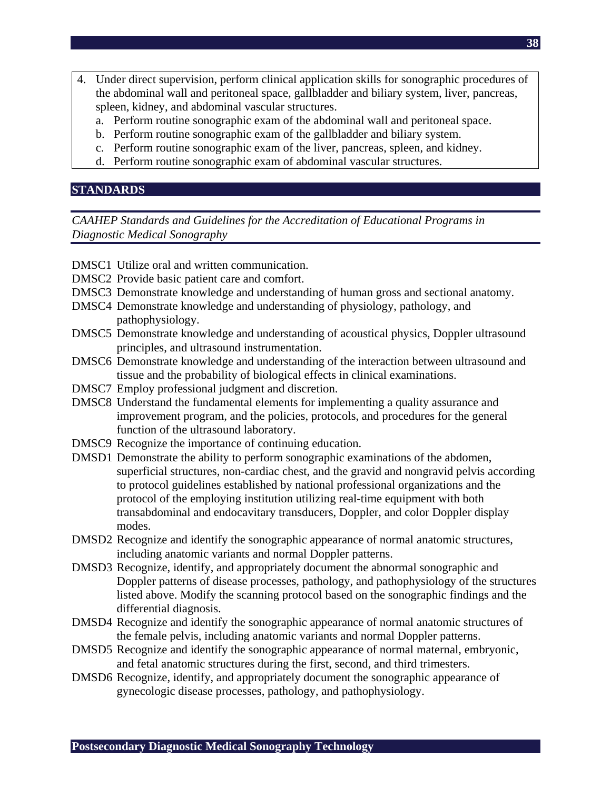- 4. Under direct supervision, perform clinical application skills for sonographic procedures of the abdominal wall and peritoneal space, gallbladder and biliary system, liver, pancreas, spleen, kidney, and abdominal vascular structures.
	- a. Perform routine sonographic exam of the abdominal wall and peritoneal space.
	- b. Perform routine sonographic exam of the gallbladder and biliary system.
	- c. Perform routine sonographic exam of the liver, pancreas, spleen, and kidney.
	- d. Perform routine sonographic exam of abdominal vascular structures.

## **STANDARDS**

- DMSC1 Utilize oral and written communication.
- DMSC2 Provide basic patient care and comfort.
- DMSC3 Demonstrate knowledge and understanding of human gross and sectional anatomy.
- DMSC4 Demonstrate knowledge and understanding of physiology, pathology, and pathophysiology.
- DMSC5 Demonstrate knowledge and understanding of acoustical physics, Doppler ultrasound principles, and ultrasound instrumentation.
- DMSC6 Demonstrate knowledge and understanding of the interaction between ultrasound and tissue and the probability of biological effects in clinical examinations.
- DMSC7 Employ professional judgment and discretion.
- DMSC8 Understand the fundamental elements for implementing a quality assurance and improvement program, and the policies, protocols, and procedures for the general function of the ultrasound laboratory.
- DMSC9 Recognize the importance of continuing education.
- DMSD1 Demonstrate the ability to perform sonographic examinations of the abdomen, superficial structures, non-cardiac chest, and the gravid and nongravid pelvis according to protocol guidelines established by national professional organizations and the protocol of the employing institution utilizing real-time equipment with both transabdominal and endocavitary transducers, Doppler, and color Doppler display modes.
- DMSD2 Recognize and identify the sonographic appearance of normal anatomic structures, including anatomic variants and normal Doppler patterns.
- DMSD3 Recognize, identify, and appropriately document the abnormal sonographic and Doppler patterns of disease processes, pathology, and pathophysiology of the structures listed above. Modify the scanning protocol based on the sonographic findings and the differential diagnosis.
- DMSD4 Recognize and identify the sonographic appearance of normal anatomic structures of the female pelvis, including anatomic variants and normal Doppler patterns.
- DMSD5 Recognize and identify the sonographic appearance of normal maternal, embryonic, and fetal anatomic structures during the first, second, and third trimesters.
- DMSD6 Recognize, identify, and appropriately document the sonographic appearance of gynecologic disease processes, pathology, and pathophysiology.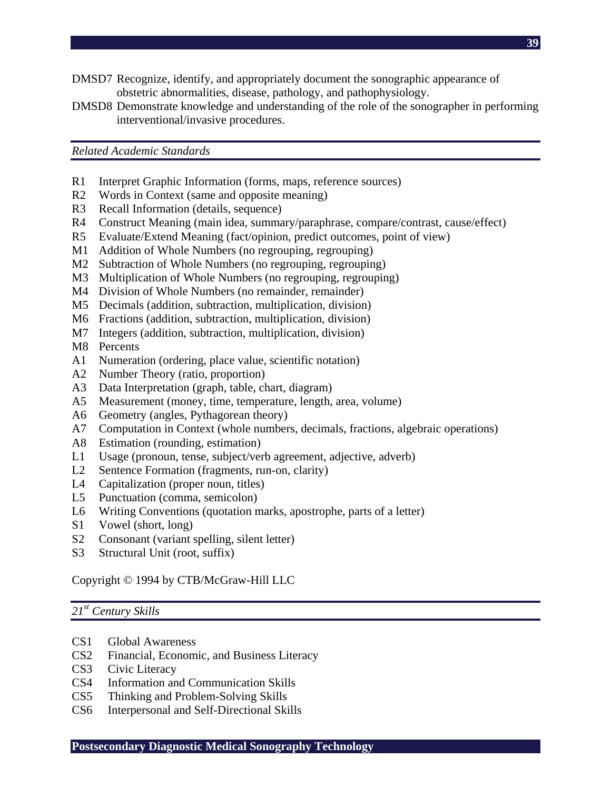- DMSD7 Recognize, identify, and appropriately document the sonographic appearance of obstetric abnormalities, disease, pathology, and pathophysiology.
- DMSD8 Demonstrate knowledge and understanding of the role of the sonographer in performing interventional/invasive procedures.

*Related Academic Standards* 

- R1 Interpret Graphic Information (forms, maps, reference sources)
- R2 Words in Context (same and opposite meaning)
- R3 Recall Information (details, sequence)
- R4 Construct Meaning (main idea, summary/paraphrase, compare/contrast, cause/effect)
- R5 Evaluate/Extend Meaning (fact/opinion, predict outcomes, point of view)
- M1 Addition of Whole Numbers (no regrouping, regrouping)
- M2 Subtraction of Whole Numbers (no regrouping, regrouping)
- M3 Multiplication of Whole Numbers (no regrouping, regrouping)
- M4 Division of Whole Numbers (no remainder, remainder)
- M5 Decimals (addition, subtraction, multiplication, division)
- M6 Fractions (addition, subtraction, multiplication, division)
- M7 Integers (addition, subtraction, multiplication, division)
- M8 Percents
- A1 Numeration (ordering, place value, scientific notation)
- A2 Number Theory (ratio, proportion)
- A3 Data Interpretation (graph, table, chart, diagram)
- A5 Measurement (money, time, temperature, length, area, volume)
- A6 Geometry (angles, Pythagorean theory)
- A7 Computation in Context (whole numbers, decimals, fractions, algebraic operations)
- A8 Estimation (rounding, estimation)
- L1 Usage (pronoun, tense, subject/verb agreement, adjective, adverb)
- L2 Sentence Formation (fragments, run-on, clarity)
- L4 Capitalization (proper noun, titles)
- L5 Punctuation (comma, semicolon)
- L6 Writing Conventions (quotation marks, apostrophe, parts of a letter)
- S1 Vowel (short, long)
- S2 Consonant (variant spelling, silent letter)
- S3 Structural Unit (root, suffix)

#### Copyright © 1994 by CTB/McGraw-Hill LLC

#### *21st Century Skills*

- CS1 Global Awareness
- CS2 Financial, Economic, and Business Literacy
- CS3 Civic Literacy
- CS4 Information and Communication Skills
- CS5 Thinking and Problem-Solving Skills
- CS6 Interpersonal and Self-Directional Skills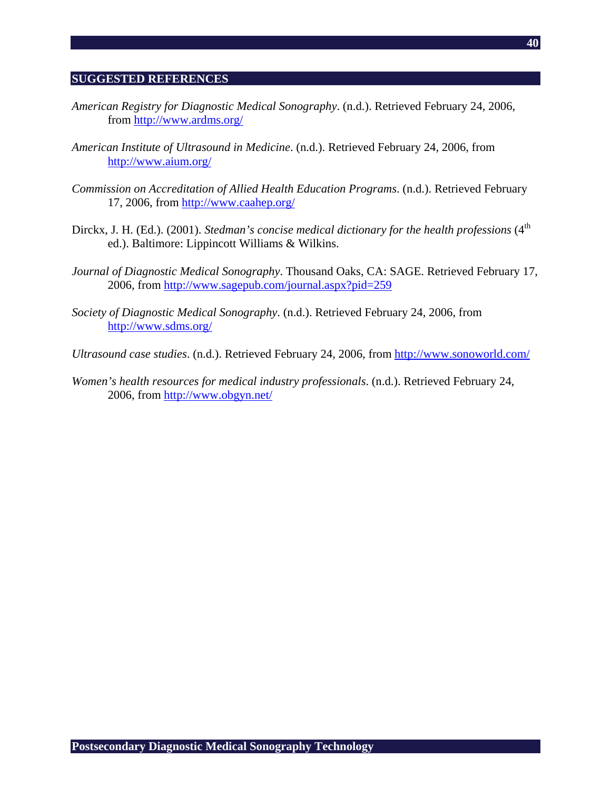#### **SUGGESTED REFERENCES**

- *American Registry for Diagnostic Medical Sonography*. (n.d.). Retrieved February 24, 2006, from http://www.ardms.org/
- *American Institute of Ultrasound in Medicine*. (n.d.). Retrieved February 24, 2006, from http://www.aium.org/
- *Commission on Accreditation of Allied Health Education Programs*. (n.d.). Retrieved February 17, 2006, from http://www.caahep.org/
- Dirckx, J. H. (Ed.). (2001). *Stedman's concise medical dictionary for the health professions* (4<sup>th</sup> ed.). Baltimore: Lippincott Williams & Wilkins.
- *Journal of Diagnostic Medical Sonography*. Thousand Oaks, CA: SAGE. Retrieved February 17, 2006, from http://www.sagepub.com/journal.aspx?pid=259
- *Society of Diagnostic Medical Sonography*. (n.d.). Retrieved February 24, 2006, from http://www.sdms.org/
- *Ultrasound case studies*. (n.d.). Retrieved February 24, 2006, from http://www.sonoworld.com/
- *Women's health resources for medical industry professionals*. (n.d.). Retrieved February 24, 2006, from http://www.obgyn.net/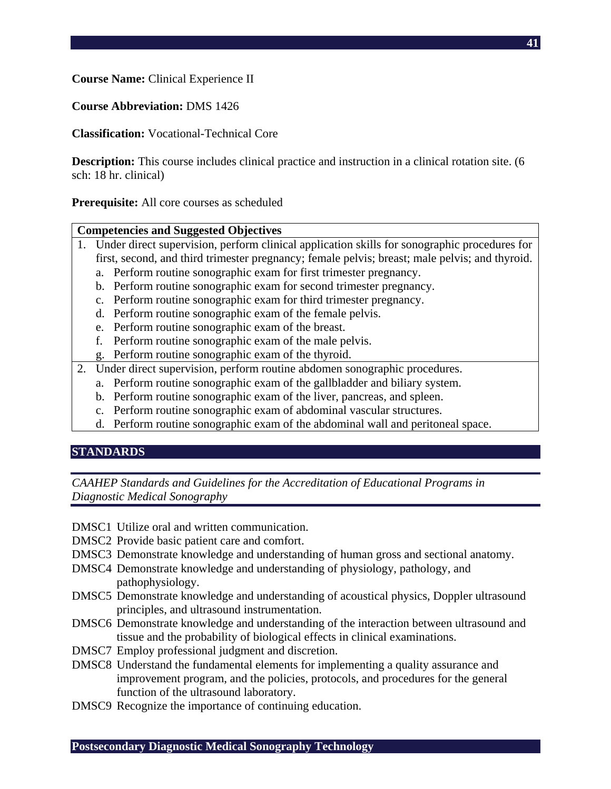**Course Name:** Clinical Experience II

**Course Abbreviation:** DMS 1426

**Classification:** Vocational-Technical Core

**Description:** This course includes clinical practice and instruction in a clinical rotation site. (6 sch: 18 hr. clinical)

**Prerequisite:** All core courses as scheduled

## **Competencies and Suggested Objectives**

- 1. Under direct supervision, perform clinical application skills for sonographic procedures for first, second, and third trimester pregnancy; female pelvis; breast; male pelvis; and thyroid.
	- a. Perform routine sonographic exam for first trimester pregnancy.
	- b. Perform routine sonographic exam for second trimester pregnancy.
	- c. Perform routine sonographic exam for third trimester pregnancy.
	- d. Perform routine sonographic exam of the female pelvis.
	- e. Perform routine sonographic exam of the breast.
	- f. Perform routine sonographic exam of the male pelvis.
	- g. Perform routine sonographic exam of the thyroid.
- 2. Under direct supervision, perform routine abdomen sonographic procedures.
	- a. Perform routine sonographic exam of the gallbladder and biliary system.
	- b. Perform routine sonographic exam of the liver, pancreas, and spleen.
	- c. Perform routine sonographic exam of abdominal vascular structures.
	- d. Perform routine sonographic exam of the abdominal wall and peritoneal space.

## **STANDARDS**

- DMSC1 Utilize oral and written communication.
- DMSC2 Provide basic patient care and comfort.
- DMSC3 Demonstrate knowledge and understanding of human gross and sectional anatomy.
- DMSC4 Demonstrate knowledge and understanding of physiology, pathology, and pathophysiology.
- DMSC5 Demonstrate knowledge and understanding of acoustical physics, Doppler ultrasound principles, and ultrasound instrumentation.
- DMSC6 Demonstrate knowledge and understanding of the interaction between ultrasound and tissue and the probability of biological effects in clinical examinations.
- DMSC7 Employ professional judgment and discretion.
- DMSC8 Understand the fundamental elements for implementing a quality assurance and improvement program, and the policies, protocols, and procedures for the general function of the ultrasound laboratory.
- DMSC9 Recognize the importance of continuing education.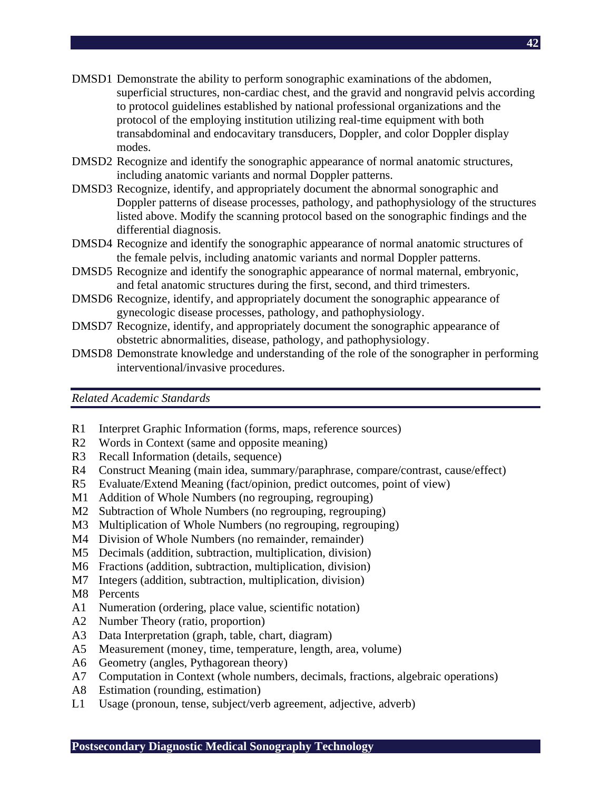- DMSD1 Demonstrate the ability to perform sonographic examinations of the abdomen, superficial structures, non-cardiac chest, and the gravid and nongravid pelvis according to protocol guidelines established by national professional organizations and the protocol of the employing institution utilizing real-time equipment with both transabdominal and endocavitary transducers, Doppler, and color Doppler display modes.
- DMSD2 Recognize and identify the sonographic appearance of normal anatomic structures, including anatomic variants and normal Doppler patterns.
- DMSD3 Recognize, identify, and appropriately document the abnormal sonographic and Doppler patterns of disease processes, pathology, and pathophysiology of the structures listed above. Modify the scanning protocol based on the sonographic findings and the differential diagnosis.
- DMSD4 Recognize and identify the sonographic appearance of normal anatomic structures of the female pelvis, including anatomic variants and normal Doppler patterns.
- DMSD5 Recognize and identify the sonographic appearance of normal maternal, embryonic, and fetal anatomic structures during the first, second, and third trimesters.
- DMSD6 Recognize, identify, and appropriately document the sonographic appearance of gynecologic disease processes, pathology, and pathophysiology.
- DMSD7 Recognize, identify, and appropriately document the sonographic appearance of obstetric abnormalities, disease, pathology, and pathophysiology.
- DMSD8 Demonstrate knowledge and understanding of the role of the sonographer in performing interventional/invasive procedures.

*Related Academic Standards* 

- R1 Interpret Graphic Information (forms, maps, reference sources)
- R2 Words in Context (same and opposite meaning)
- R3 Recall Information (details, sequence)
- R4 Construct Meaning (main idea, summary/paraphrase, compare/contrast, cause/effect)
- R5 Evaluate/Extend Meaning (fact/opinion, predict outcomes, point of view)
- M1 Addition of Whole Numbers (no regrouping, regrouping)
- M2 Subtraction of Whole Numbers (no regrouping, regrouping)
- M3 Multiplication of Whole Numbers (no regrouping, regrouping)
- M4 Division of Whole Numbers (no remainder, remainder)
- M5 Decimals (addition, subtraction, multiplication, division)
- M6 Fractions (addition, subtraction, multiplication, division)
- M7 Integers (addition, subtraction, multiplication, division)
- M8 Percents
- A1 Numeration (ordering, place value, scientific notation)
- A2 Number Theory (ratio, proportion)
- A3 Data Interpretation (graph, table, chart, diagram)
- A5 Measurement (money, time, temperature, length, area, volume)
- A6 Geometry (angles, Pythagorean theory)
- A7 Computation in Context (whole numbers, decimals, fractions, algebraic operations)
- A8 Estimation (rounding, estimation)
- L1 Usage (pronoun, tense, subject/verb agreement, adjective, adverb)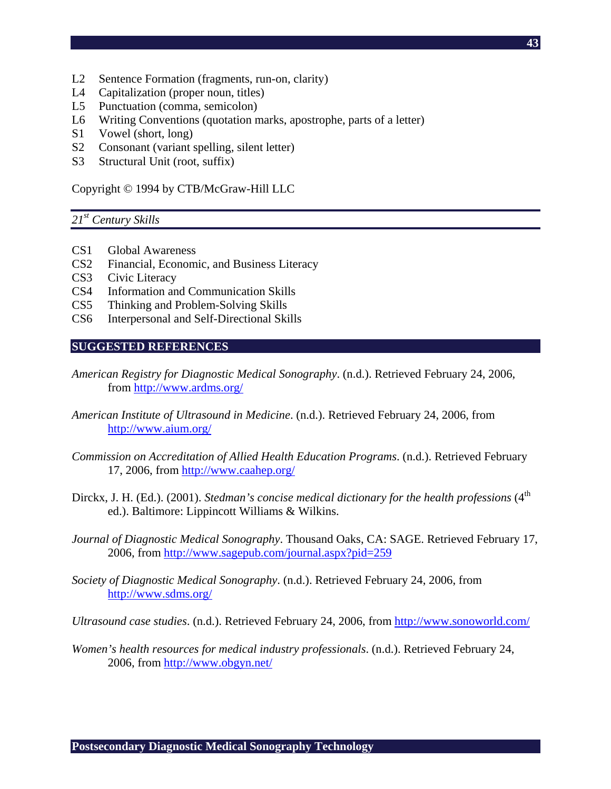- **43**
- L2 Sentence Formation (fragments, run-on, clarity)
- L4 Capitalization (proper noun, titles)
- L5 Punctuation (comma, semicolon)
- L6 Writing Conventions (quotation marks, apostrophe, parts of a letter)
- S1 Vowel (short, long)
- S2 Consonant (variant spelling, silent letter)
- S3 Structural Unit (root, suffix)

Copyright © 1994 by CTB/McGraw-Hill LLC

#### *21st Century Skills*

- CS1 Global Awareness
- CS2 Financial, Economic, and Business Literacy
- CS3 Civic Literacy
- CS4 Information and Communication Skills
- CS5 Thinking and Problem-Solving Skills
- CS6 Interpersonal and Self-Directional Skills

#### **SUGGESTED REFERENCES**

- *American Registry for Diagnostic Medical Sonography*. (n.d.). Retrieved February 24, 2006, from http://www.ardms.org/
- *American Institute of Ultrasound in Medicine*. (n.d.). Retrieved February 24, 2006, from http://www.aium.org/
- *Commission on Accreditation of Allied Health Education Programs*. (n.d.). Retrieved February 17, 2006, from http://www.caahep.org/
- Dirckx, J. H. (Ed.). (2001). *Stedman's concise medical dictionary for the health professions* (4<sup>th</sup> ed.). Baltimore: Lippincott Williams & Wilkins.
- *Journal of Diagnostic Medical Sonography*. Thousand Oaks, CA: SAGE. Retrieved February 17, 2006, from http://www.sagepub.com/journal.aspx?pid=259
- *Society of Diagnostic Medical Sonography*. (n.d.). Retrieved February 24, 2006, from http://www.sdms.org/
- *Ultrasound case studies*. (n.d.). Retrieved February 24, 2006, from http://www.sonoworld.com/
- *Women's health resources for medical industry professionals*. (n.d.). Retrieved February 24, 2006, from http://www.obgyn.net/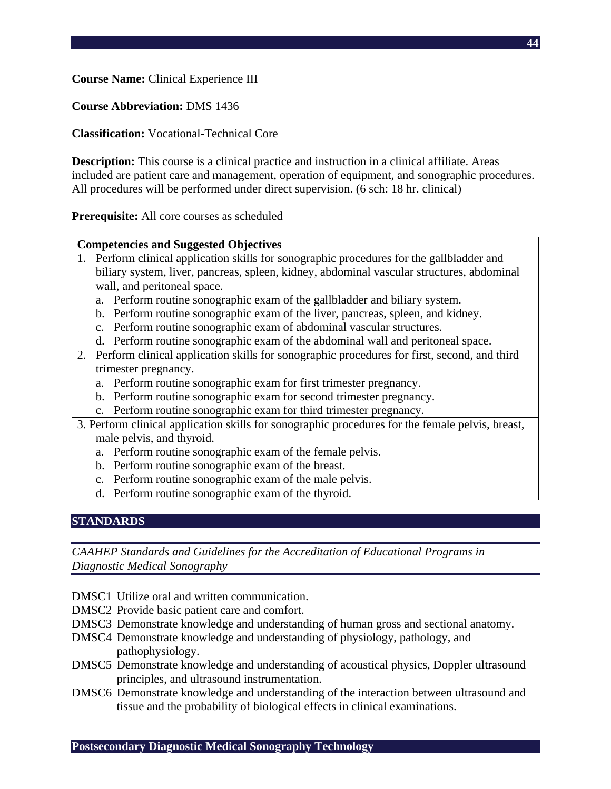**Course Name:** Clinical Experience III

**Course Abbreviation:** DMS 1436

**Classification:** Vocational-Technical Core

**Description:** This course is a clinical practice and instruction in a clinical affiliate. Areas included are patient care and management, operation of equipment, and sonographic procedures. All procedures will be performed under direct supervision. (6 sch: 18 hr. clinical)

**Prerequisite:** All core courses as scheduled

#### **Competencies and Suggested Objectives**

- 1. Perform clinical application skills for sonographic procedures for the gallbladder and biliary system, liver, pancreas, spleen, kidney, abdominal vascular structures, abdominal wall, and peritoneal space.
	- a. Perform routine sonographic exam of the gallbladder and biliary system.
	- b. Perform routine sonographic exam of the liver, pancreas, spleen, and kidney.
	- c. Perform routine sonographic exam of abdominal vascular structures.
	- d. Perform routine sonographic exam of the abdominal wall and peritoneal space.
- 2. Perform clinical application skills for sonographic procedures for first, second, and third trimester pregnancy.
	- a. Perform routine sonographic exam for first trimester pregnancy.
	- b. Perform routine sonographic exam for second trimester pregnancy.
	- c. Perform routine sonographic exam for third trimester pregnancy.
- 3. Perform clinical application skills for sonographic procedures for the female pelvis, breast, male pelvis, and thyroid.
	- a. Perform routine sonographic exam of the female pelvis.
	- b. Perform routine sonographic exam of the breast.
	- c. Perform routine sonographic exam of the male pelvis.
	- d. Perform routine sonographic exam of the thyroid.

## **STANDARDS**

- DMSC1 Utilize oral and written communication.
- DMSC2 Provide basic patient care and comfort.
- DMSC3 Demonstrate knowledge and understanding of human gross and sectional anatomy.
- DMSC4 Demonstrate knowledge and understanding of physiology, pathology, and pathophysiology.
- DMSC5 Demonstrate knowledge and understanding of acoustical physics, Doppler ultrasound principles, and ultrasound instrumentation.
- DMSC6 Demonstrate knowledge and understanding of the interaction between ultrasound and tissue and the probability of biological effects in clinical examinations.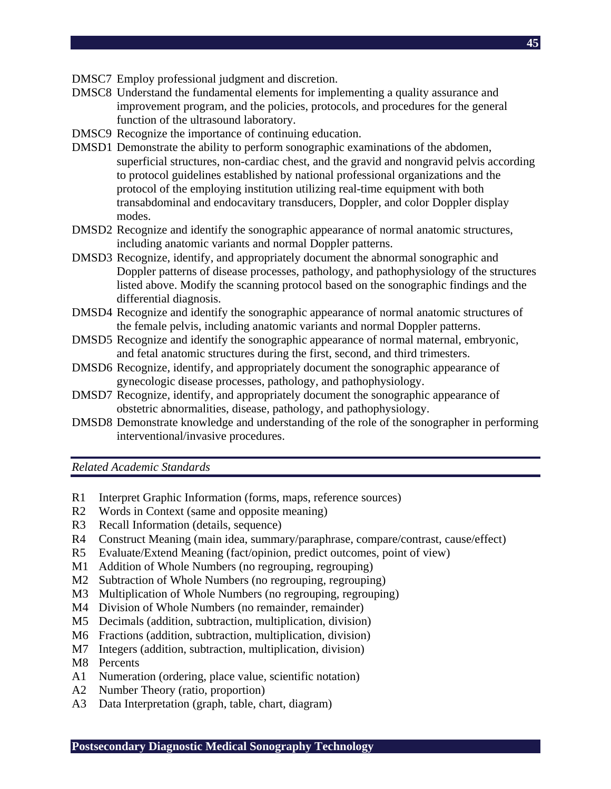- DMSC7 Employ professional judgment and discretion.
- DMSC8 Understand the fundamental elements for implementing a quality assurance and improvement program, and the policies, protocols, and procedures for the general function of the ultrasound laboratory.
- DMSC9 Recognize the importance of continuing education.
- DMSD1 Demonstrate the ability to perform sonographic examinations of the abdomen, superficial structures, non-cardiac chest, and the gravid and nongravid pelvis according to protocol guidelines established by national professional organizations and the protocol of the employing institution utilizing real-time equipment with both transabdominal and endocavitary transducers, Doppler, and color Doppler display modes.
- DMSD2 Recognize and identify the sonographic appearance of normal anatomic structures, including anatomic variants and normal Doppler patterns.
- DMSD3 Recognize, identify, and appropriately document the abnormal sonographic and Doppler patterns of disease processes, pathology, and pathophysiology of the structures listed above. Modify the scanning protocol based on the sonographic findings and the differential diagnosis.
- DMSD4 Recognize and identify the sonographic appearance of normal anatomic structures of the female pelvis, including anatomic variants and normal Doppler patterns.
- DMSD5 Recognize and identify the sonographic appearance of normal maternal, embryonic, and fetal anatomic structures during the first, second, and third trimesters.
- DMSD6 Recognize, identify, and appropriately document the sonographic appearance of gynecologic disease processes, pathology, and pathophysiology.
- DMSD7 Recognize, identify, and appropriately document the sonographic appearance of obstetric abnormalities, disease, pathology, and pathophysiology.
- DMSD8 Demonstrate knowledge and understanding of the role of the sonographer in performing interventional/invasive procedures.

*Related Academic Standards* 

- R1 Interpret Graphic Information (forms, maps, reference sources)
- R2 Words in Context (same and opposite meaning)
- R3 Recall Information (details, sequence)
- R4 Construct Meaning (main idea, summary/paraphrase, compare/contrast, cause/effect)
- R5 Evaluate/Extend Meaning (fact/opinion, predict outcomes, point of view)
- M1 Addition of Whole Numbers (no regrouping, regrouping)
- M2 Subtraction of Whole Numbers (no regrouping, regrouping)
- M3 Multiplication of Whole Numbers (no regrouping, regrouping)
- M4 Division of Whole Numbers (no remainder, remainder)
- M5 Decimals (addition, subtraction, multiplication, division)
- M6 Fractions (addition, subtraction, multiplication, division)
- M7 Integers (addition, subtraction, multiplication, division)
- M8 Percents
- A1 Numeration (ordering, place value, scientific notation)
- A2 Number Theory (ratio, proportion)
- A3 Data Interpretation (graph, table, chart, diagram)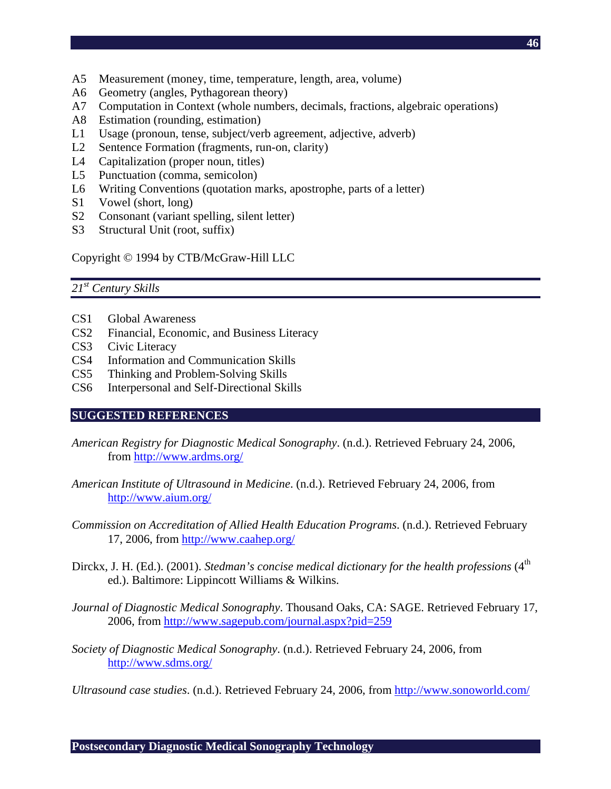- A5 Measurement (money, time, temperature, length, area, volume)
- A6 Geometry (angles, Pythagorean theory)
- A7 Computation in Context (whole numbers, decimals, fractions, algebraic operations)
- A8 Estimation (rounding, estimation)
- L1 Usage (pronoun, tense, subject/verb agreement, adjective, adverb)
- L2 Sentence Formation (fragments, run-on, clarity)
- L4 Capitalization (proper noun, titles)
- L5 Punctuation (comma, semicolon)
- L6 Writing Conventions (quotation marks, apostrophe, parts of a letter)
- S1 Vowel (short, long)
- S2 Consonant (variant spelling, silent letter)
- S3 Structural Unit (root, suffix)

Copyright © 1994 by CTB/McGraw-Hill LLC

#### *21st Century Skills*

- CS1 Global Awareness
- CS2 Financial, Economic, and Business Literacy
- CS3 Civic Literacy
- CS4 Information and Communication Skills
- CS5 Thinking and Problem-Solving Skills
- CS6 Interpersonal and Self-Directional Skills

#### **SUGGESTED REFERENCES**

- *American Registry for Diagnostic Medical Sonography*. (n.d.). Retrieved February 24, 2006, from http://www.ardms.org/
- *American Institute of Ultrasound in Medicine*. (n.d.). Retrieved February 24, 2006, from http://www.aium.org/
- *Commission on Accreditation of Allied Health Education Programs*. (n.d.). Retrieved February 17, 2006, from http://www.caahep.org/
- Dirckx, J. H. (Ed.). (2001). *Stedman's concise medical dictionary for the health professions* (4<sup>th</sup> ed.). Baltimore: Lippincott Williams & Wilkins.
- *Journal of Diagnostic Medical Sonography*. Thousand Oaks, CA: SAGE. Retrieved February 17, 2006, from http://www.sagepub.com/journal.aspx?pid=259
- *Society of Diagnostic Medical Sonography*. (n.d.). Retrieved February 24, 2006, from http://www.sdms.org/

*Ultrasound case studies*. (n.d.). Retrieved February 24, 2006, from http://www.sonoworld.com/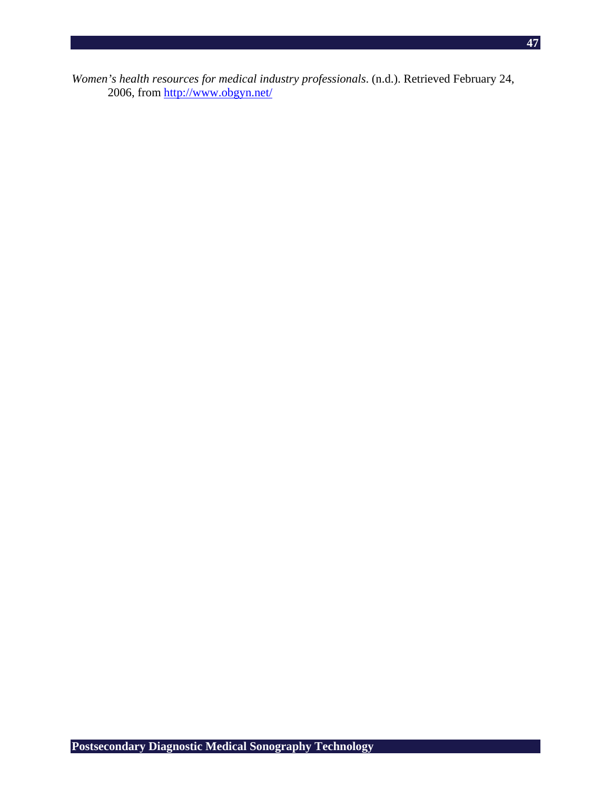**47**

*Women's health resources for medical industry professionals*. (n.d.). Retrieved February 24, 2006, from http://www.obgyn.net/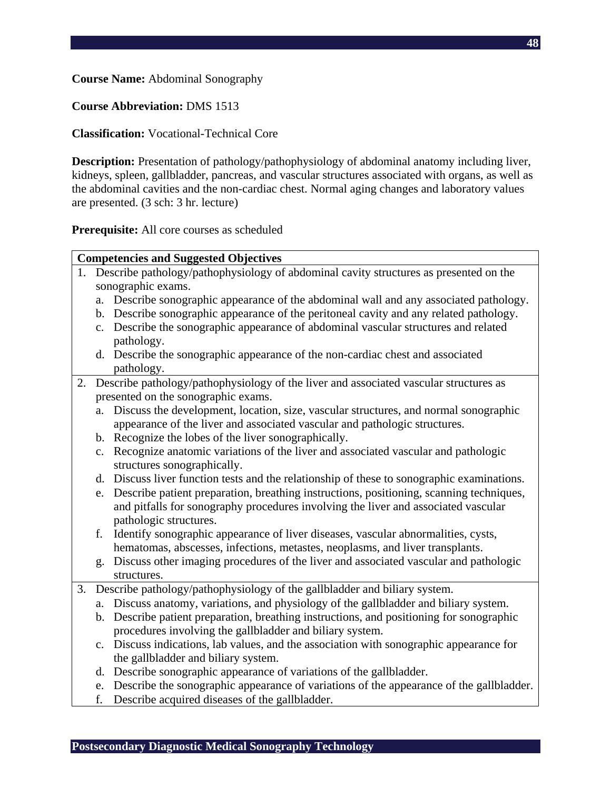**Course Name:** Abdominal Sonography

**Course Abbreviation:** DMS 1513

**Classification:** Vocational-Technical Core

**Description:** Presentation of pathology/pathophysiology of abdominal anatomy including liver, kidneys, spleen, gallbladder, pancreas, and vascular structures associated with organs, as well as the abdominal cavities and the non-cardiac chest. Normal aging changes and laboratory values are presented. (3 sch: 3 hr. lecture)

**Prerequisite:** All core courses as scheduled

|    | <b>Competencies and Suggested Objectives</b> |                                                                                                                                                                                |  |  |  |
|----|----------------------------------------------|--------------------------------------------------------------------------------------------------------------------------------------------------------------------------------|--|--|--|
|    |                                              | 1. Describe pathology/pathophysiology of abdominal cavity structures as presented on the                                                                                       |  |  |  |
|    |                                              | sonographic exams.                                                                                                                                                             |  |  |  |
|    | a.                                           | Describe sonographic appearance of the abdominal wall and any associated pathology.                                                                                            |  |  |  |
|    |                                              | b. Describe sonographic appearance of the peritoneal cavity and any related pathology.                                                                                         |  |  |  |
|    |                                              | c. Describe the sonographic appearance of abdominal vascular structures and related                                                                                            |  |  |  |
|    |                                              | pathology.                                                                                                                                                                     |  |  |  |
|    |                                              | d. Describe the sonographic appearance of the non-cardiac chest and associated                                                                                                 |  |  |  |
|    |                                              | pathology.                                                                                                                                                                     |  |  |  |
| 2. |                                              | Describe pathology/pathophysiology of the liver and associated vascular structures as                                                                                          |  |  |  |
|    |                                              | presented on the sonographic exams.                                                                                                                                            |  |  |  |
|    | a.                                           | Discuss the development, location, size, vascular structures, and normal sonographic                                                                                           |  |  |  |
|    |                                              | appearance of the liver and associated vascular and pathologic structures.                                                                                                     |  |  |  |
|    |                                              | b. Recognize the lobes of the liver sonographically.                                                                                                                           |  |  |  |
|    | c.                                           | Recognize anatomic variations of the liver and associated vascular and pathologic                                                                                              |  |  |  |
|    |                                              | structures sonographically.                                                                                                                                                    |  |  |  |
|    |                                              | d. Discuss liver function tests and the relationship of these to sonographic examinations.                                                                                     |  |  |  |
|    | e.                                           | Describe patient preparation, breathing instructions, positioning, scanning techniques,                                                                                        |  |  |  |
|    |                                              | and pitfalls for sonography procedures involving the liver and associated vascular                                                                                             |  |  |  |
|    |                                              | pathologic structures.                                                                                                                                                         |  |  |  |
|    | f.                                           | Identify sonographic appearance of liver diseases, vascular abnormalities, cysts,                                                                                              |  |  |  |
|    |                                              | hematomas, abscesses, infections, metastes, neoplasms, and liver transplants.                                                                                                  |  |  |  |
|    | g.                                           | Discuss other imaging procedures of the liver and associated vascular and pathologic                                                                                           |  |  |  |
| 3. |                                              | structures.<br>Describe pathology/pathophysiology of the gallbladder and biliary system.                                                                                       |  |  |  |
|    |                                              |                                                                                                                                                                                |  |  |  |
|    | a.                                           | Discuss anatomy, variations, and physiology of the gallbladder and biliary system.<br>b. Describe patient preparation, breathing instructions, and positioning for sonographic |  |  |  |
|    |                                              | procedures involving the gallbladder and biliary system.                                                                                                                       |  |  |  |
|    |                                              | c. Discuss indications, lab values, and the association with sonographic appearance for                                                                                        |  |  |  |
|    |                                              | the gallbladder and biliary system.                                                                                                                                            |  |  |  |
|    |                                              | d. Describe sonographic appearance of variations of the gallbladder.                                                                                                           |  |  |  |
|    |                                              | e. Describe the sonographic appearance of variations of the appearance of the gallbladder.                                                                                     |  |  |  |
|    | f.                                           | Describe acquired diseases of the gallbladder.                                                                                                                                 |  |  |  |
|    |                                              |                                                                                                                                                                                |  |  |  |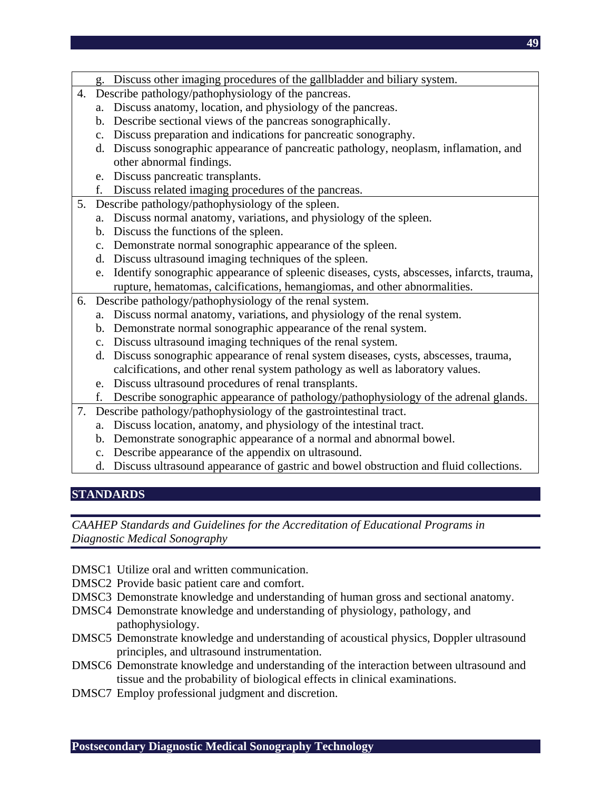- g. Discuss other imaging procedures of the gallbladder and biliary system.
- 4. Describe pathology/pathophysiology of the pancreas.
	- a. Discuss anatomy, location, and physiology of the pancreas.
	- b. Describe sectional views of the pancreas sonographically.
	- c. Discuss preparation and indications for pancreatic sonography.
	- d. Discuss sonographic appearance of pancreatic pathology, neoplasm, inflamation, and other abnormal findings.
	- e. Discuss pancreatic transplants.
	- f. Discuss related imaging procedures of the pancreas.
- 5. Describe pathology/pathophysiology of the spleen.
	- a. Discuss normal anatomy, variations, and physiology of the spleen.
	- b. Discuss the functions of the spleen.
	- c. Demonstrate normal sonographic appearance of the spleen.
	- d. Discuss ultrasound imaging techniques of the spleen.
	- e. Identify sonographic appearance of spleenic diseases, cysts, abscesses, infarcts, trauma, rupture, hematomas, calcifications, hemangiomas, and other abnormalities.
- 6. Describe pathology/pathophysiology of the renal system.
	- a. Discuss normal anatomy, variations, and physiology of the renal system.
	- b. Demonstrate normal sonographic appearance of the renal system.
	- c. Discuss ultrasound imaging techniques of the renal system.
	- d. Discuss sonographic appearance of renal system diseases, cysts, abscesses, trauma, calcifications, and other renal system pathology as well as laboratory values.
	- e. Discuss ultrasound procedures of renal transplants.
	- f. Describe sonographic appearance of pathology/pathophysiology of the adrenal glands.
- 7. Describe pathology/pathophysiology of the gastrointestinal tract.
	- a. Discuss location, anatomy, and physiology of the intestinal tract.
	- b. Demonstrate sonographic appearance of a normal and abnormal bowel.
	- c. Describe appearance of the appendix on ultrasound.
	- d. Discuss ultrasound appearance of gastric and bowel obstruction and fluid collections.

## **STANDARDS**

- DMSC1 Utilize oral and written communication.
- DMSC2 Provide basic patient care and comfort.
- DMSC3 Demonstrate knowledge and understanding of human gross and sectional anatomy.
- DMSC4 Demonstrate knowledge and understanding of physiology, pathology, and pathophysiology.
- DMSC5 Demonstrate knowledge and understanding of acoustical physics, Doppler ultrasound principles, and ultrasound instrumentation.
- DMSC6 Demonstrate knowledge and understanding of the interaction between ultrasound and tissue and the probability of biological effects in clinical examinations.
- DMSC7 Employ professional judgment and discretion.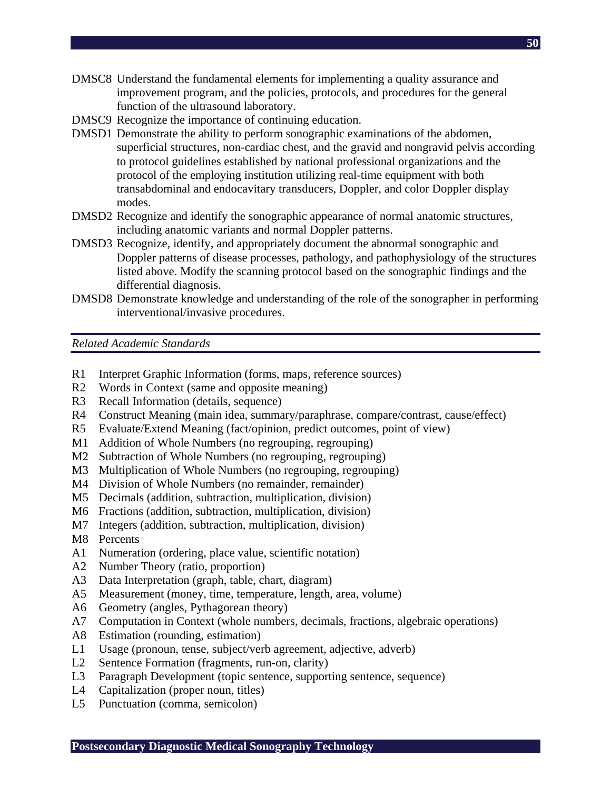- DMSC8 Understand the fundamental elements for implementing a quality assurance and improvement program, and the policies, protocols, and procedures for the general function of the ultrasound laboratory.
- DMSC9 Recognize the importance of continuing education.
- DMSD1 Demonstrate the ability to perform sonographic examinations of the abdomen, superficial structures, non-cardiac chest, and the gravid and nongravid pelvis according to protocol guidelines established by national professional organizations and the protocol of the employing institution utilizing real-time equipment with both transabdominal and endocavitary transducers, Doppler, and color Doppler display modes.
- DMSD2 Recognize and identify the sonographic appearance of normal anatomic structures, including anatomic variants and normal Doppler patterns.
- DMSD3 Recognize, identify, and appropriately document the abnormal sonographic and Doppler patterns of disease processes, pathology, and pathophysiology of the structures listed above. Modify the scanning protocol based on the sonographic findings and the differential diagnosis.
- DMSD8 Demonstrate knowledge and understanding of the role of the sonographer in performing interventional/invasive procedures.

*Related Academic Standards* 

- R1 Interpret Graphic Information (forms, maps, reference sources)
- R2 Words in Context (same and opposite meaning)
- R3 Recall Information (details, sequence)
- R4 Construct Meaning (main idea, summary/paraphrase, compare/contrast, cause/effect)
- R5 Evaluate/Extend Meaning (fact/opinion, predict outcomes, point of view)
- M1 Addition of Whole Numbers (no regrouping, regrouping)
- M2 Subtraction of Whole Numbers (no regrouping, regrouping)
- M3 Multiplication of Whole Numbers (no regrouping, regrouping)
- M4 Division of Whole Numbers (no remainder, remainder)
- M5 Decimals (addition, subtraction, multiplication, division)
- M6 Fractions (addition, subtraction, multiplication, division)
- M7 Integers (addition, subtraction, multiplication, division)
- M8 Percents
- A1 Numeration (ordering, place value, scientific notation)
- A2 Number Theory (ratio, proportion)
- A3 Data Interpretation (graph, table, chart, diagram)
- A5 Measurement (money, time, temperature, length, area, volume)
- A6 Geometry (angles, Pythagorean theory)
- A7 Computation in Context (whole numbers, decimals, fractions, algebraic operations)
- A8 Estimation (rounding, estimation)
- L1 Usage (pronoun, tense, subject/verb agreement, adjective, adverb)
- L2 Sentence Formation (fragments, run-on, clarity)
- L3 Paragraph Development (topic sentence, supporting sentence, sequence)
- L4 Capitalization (proper noun, titles)
- L5 Punctuation (comma, semicolon)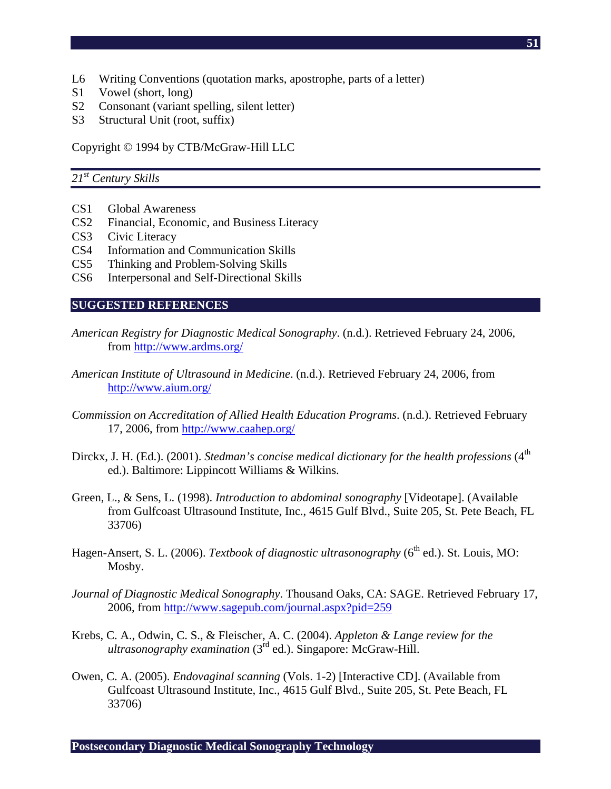- L6 Writing Conventions (quotation marks, apostrophe, parts of a letter)
- S1 Vowel (short, long)
- S2 Consonant (variant spelling, silent letter)
- S3 Structural Unit (root, suffix)

Copyright © 1994 by CTB/McGraw-Hill LLC

## *21st Century Skills*

- CS1 Global Awareness
- CS2 Financial, Economic, and Business Literacy
- CS3 Civic Literacy
- CS4 Information and Communication Skills
- CS5 Thinking and Problem-Solving Skills
- CS6 Interpersonal and Self-Directional Skills

#### **SUGGESTED REFERENCES**

- *American Registry for Diagnostic Medical Sonography*. (n.d.). Retrieved February 24, 2006, from http://www.ardms.org/
- *American Institute of Ultrasound in Medicine*. (n.d.). Retrieved February 24, 2006, from http://www.aium.org/
- *Commission on Accreditation of Allied Health Education Programs*. (n.d.). Retrieved February 17, 2006, from http://www.caahep.org/
- Dirckx, J. H. (Ed.). (2001). *Stedman's concise medical dictionary for the health professions* (4<sup>th</sup> ed.). Baltimore: Lippincott Williams & Wilkins.
- Green, L., & Sens, L. (1998). *Introduction to abdominal sonography* [Videotape]. (Available from Gulfcoast Ultrasound Institute, Inc., 4615 Gulf Blvd., Suite 205, St. Pete Beach, FL 33706)
- Hagen-Ansert, S. L. (2006). *Textbook of diagnostic ultrasonography* (6<sup>th</sup> ed.). St. Louis, MO: Mosby.
- *Journal of Diagnostic Medical Sonography*. Thousand Oaks, CA: SAGE. Retrieved February 17, 2006, from http://www.sagepub.com/journal.aspx?pid=259
- Krebs, C. A., Odwin, C. S., & Fleischer, A. C. (2004). *Appleton & Lange review for the ultrasonography examination* (3rd ed.). Singapore: McGraw-Hill.
- Owen, C. A. (2005). *Endovaginal scanning* (Vols. 1-2) [Interactive CD]. (Available from Gulfcoast Ultrasound Institute, Inc., 4615 Gulf Blvd., Suite 205, St. Pete Beach, FL 33706)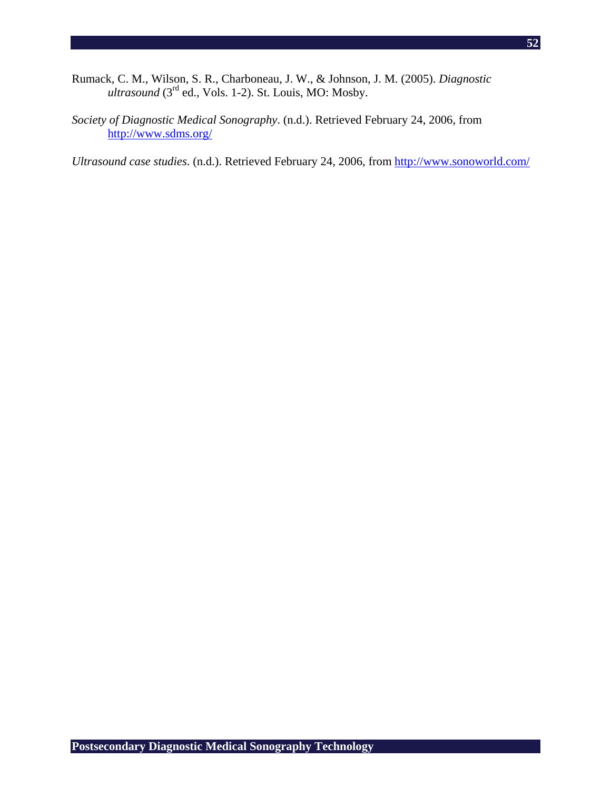- Rumack, C. M., Wilson, S. R., Charboneau, J. W., & Johnson, J. M. (2005). *Diagnostic ultrasound* (3rd ed., Vols. 1-2). St. Louis, MO: Mosby.
- *Society of Diagnostic Medical Sonography*. (n.d.). Retrieved February 24, 2006, from http://www.sdms.org/

*Ultrasound case studies*. (n.d.). Retrieved February 24, 2006, from http://www.sonoworld.com/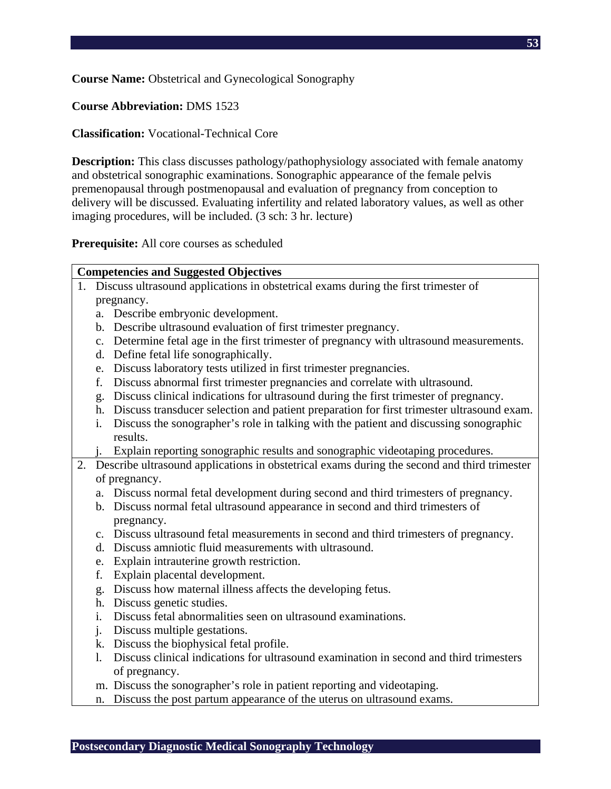**Course Name:** Obstetrical and Gynecological Sonography

## **Course Abbreviation:** DMS 1523

## **Classification:** Vocational-Technical Core

**Description:** This class discusses pathology/pathophysiology associated with female anatomy and obstetrical sonographic examinations. Sonographic appearance of the female pelvis premenopausal through postmenopausal and evaluation of pregnancy from conception to delivery will be discussed. Evaluating infertility and related laboratory values, as well as other imaging procedures, will be included. (3 sch: 3 hr. lecture)

**Prerequisite:** All core courses as scheduled

#### **Competencies and Suggested Objectives**

- 1. Discuss ultrasound applications in obstetrical exams during the first trimester of pregnancy.
	- a. Describe embryonic development.
	- b. Describe ultrasound evaluation of first trimester pregnancy.
	- c. Determine fetal age in the first trimester of pregnancy with ultrasound measurements.
	- d. Define fetal life sonographically.
	- e. Discuss laboratory tests utilized in first trimester pregnancies.
	- f. Discuss abnormal first trimester pregnancies and correlate with ultrasound.
	- g. Discuss clinical indications for ultrasound during the first trimester of pregnancy.
	- h. Discuss transducer selection and patient preparation for first trimester ultrasound exam.
	- i. Discuss the sonographer's role in talking with the patient and discussing sonographic results.
	- j. Explain reporting sonographic results and sonographic videotaping procedures.
- 2. Describe ultrasound applications in obstetrical exams during the second and third trimester of pregnancy.
	- a. Discuss normal fetal development during second and third trimesters of pregnancy.
	- b. Discuss normal fetal ultrasound appearance in second and third trimesters of pregnancy.
	- c. Discuss ultrasound fetal measurements in second and third trimesters of pregnancy.
	- d. Discuss amniotic fluid measurements with ultrasound.
	- e. Explain intrauterine growth restriction.
	- f. Explain placental development.
	- g. Discuss how maternal illness affects the developing fetus.
	- h. Discuss genetic studies.
	- i. Discuss fetal abnormalities seen on ultrasound examinations.
	- j. Discuss multiple gestations.
	- k. Discuss the biophysical fetal profile.
	- l. Discuss clinical indications for ultrasound examination in second and third trimesters of pregnancy.
	- m. Discuss the sonographer's role in patient reporting and videotaping.
	- n. Discuss the post partum appearance of the uterus on ultrasound exams.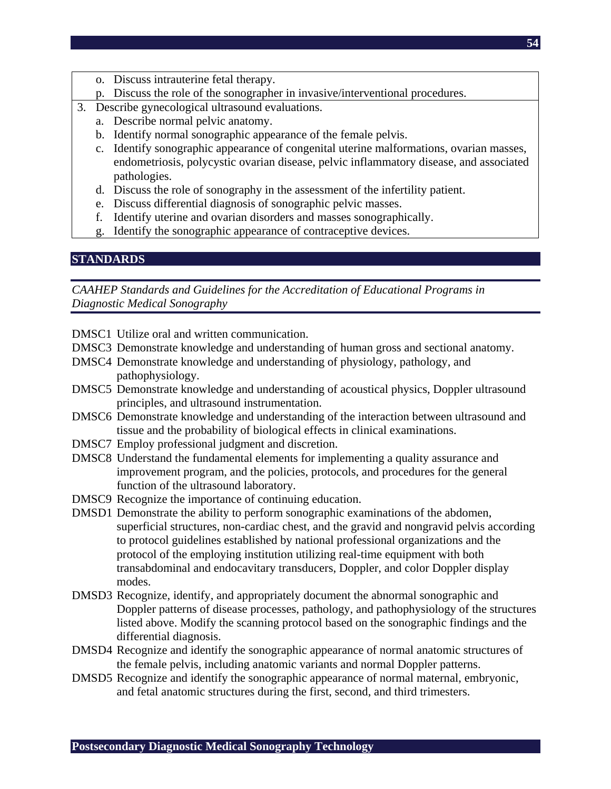- o. Discuss intrauterine fetal therapy.
- p. Discuss the role of the sonographer in invasive/interventional procedures.
- 3. Describe gynecological ultrasound evaluations.
	- a. Describe normal pelvic anatomy.
	- b. Identify normal sonographic appearance of the female pelvis.
	- c. Identify sonographic appearance of congenital uterine malformations, ovarian masses, endometriosis, polycystic ovarian disease, pelvic inflammatory disease, and associated pathologies.
	- d. Discuss the role of sonography in the assessment of the infertility patient.
	- e. Discuss differential diagnosis of sonographic pelvic masses.
	- f. Identify uterine and ovarian disorders and masses sonographically.
	- g. Identify the sonographic appearance of contraceptive devices.

#### **STANDARDS**

- DMSC1 Utilize oral and written communication.
- DMSC3 Demonstrate knowledge and understanding of human gross and sectional anatomy.
- DMSC4 Demonstrate knowledge and understanding of physiology, pathology, and pathophysiology.
- DMSC5 Demonstrate knowledge and understanding of acoustical physics, Doppler ultrasound principles, and ultrasound instrumentation.
- DMSC6 Demonstrate knowledge and understanding of the interaction between ultrasound and tissue and the probability of biological effects in clinical examinations.
- DMSC7 Employ professional judgment and discretion.
- DMSC8 Understand the fundamental elements for implementing a quality assurance and improvement program, and the policies, protocols, and procedures for the general function of the ultrasound laboratory.
- DMSC9 Recognize the importance of continuing education.
- DMSD1 Demonstrate the ability to perform sonographic examinations of the abdomen, superficial structures, non-cardiac chest, and the gravid and nongravid pelvis according to protocol guidelines established by national professional organizations and the protocol of the employing institution utilizing real-time equipment with both transabdominal and endocavitary transducers, Doppler, and color Doppler display modes.
- DMSD3 Recognize, identify, and appropriately document the abnormal sonographic and Doppler patterns of disease processes, pathology, and pathophysiology of the structures listed above. Modify the scanning protocol based on the sonographic findings and the differential diagnosis.
- DMSD4 Recognize and identify the sonographic appearance of normal anatomic structures of the female pelvis, including anatomic variants and normal Doppler patterns.
- DMSD5 Recognize and identify the sonographic appearance of normal maternal, embryonic, and fetal anatomic structures during the first, second, and third trimesters.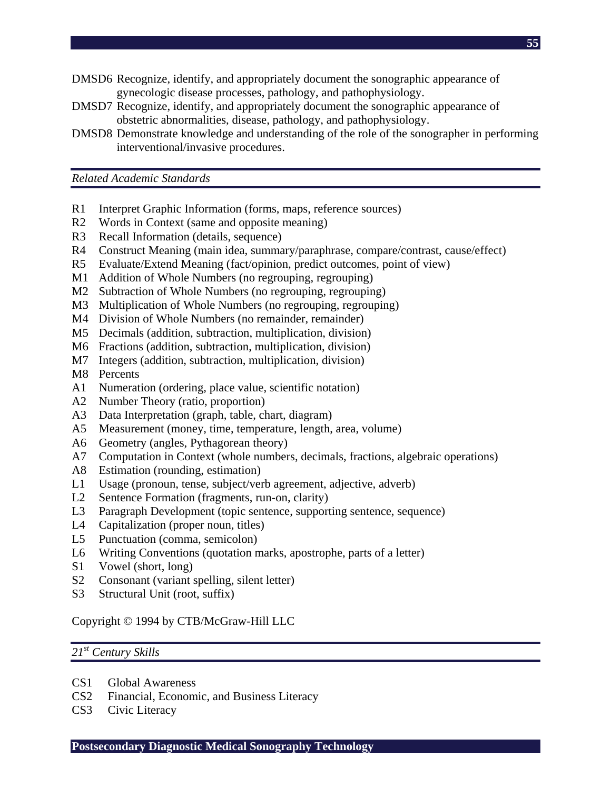- DMSD6 Recognize, identify, and appropriately document the sonographic appearance of gynecologic disease processes, pathology, and pathophysiology.
- DMSD7 Recognize, identify, and appropriately document the sonographic appearance of obstetric abnormalities, disease, pathology, and pathophysiology.
- DMSD8 Demonstrate knowledge and understanding of the role of the sonographer in performing interventional/invasive procedures.

 **55**

*Related Academic Standards* 

- R1 Interpret Graphic Information (forms, maps, reference sources)
- R2 Words in Context (same and opposite meaning)
- R3 Recall Information (details, sequence)
- R4 Construct Meaning (main idea, summary/paraphrase, compare/contrast, cause/effect)
- R5 Evaluate/Extend Meaning (fact/opinion, predict outcomes, point of view)
- M1 Addition of Whole Numbers (no regrouping, regrouping)
- M2 Subtraction of Whole Numbers (no regrouping, regrouping)
- M3 Multiplication of Whole Numbers (no regrouping, regrouping)
- M4 Division of Whole Numbers (no remainder, remainder)
- M5 Decimals (addition, subtraction, multiplication, division)
- M6 Fractions (addition, subtraction, multiplication, division)
- M7 Integers (addition, subtraction, multiplication, division)
- M8 Percents
- A1 Numeration (ordering, place value, scientific notation)
- A2 Number Theory (ratio, proportion)
- A3 Data Interpretation (graph, table, chart, diagram)
- A5 Measurement (money, time, temperature, length, area, volume)
- A6 Geometry (angles, Pythagorean theory)
- A7 Computation in Context (whole numbers, decimals, fractions, algebraic operations)
- A8 Estimation (rounding, estimation)
- L1 Usage (pronoun, tense, subject/verb agreement, adjective, adverb)
- L2 Sentence Formation (fragments, run-on, clarity)
- L3 Paragraph Development (topic sentence, supporting sentence, sequence)
- L4 Capitalization (proper noun, titles)
- L5 Punctuation (comma, semicolon)
- L6 Writing Conventions (quotation marks, apostrophe, parts of a letter)
- S1 Vowel (short, long)
- S2 Consonant (variant spelling, silent letter)
- S3 Structural Unit (root, suffix)

Copyright © 1994 by CTB/McGraw-Hill LLC

#### *21st Century Skills*

- CS1 Global Awareness
- CS2 Financial, Economic, and Business Literacy
- CS3 Civic Literacy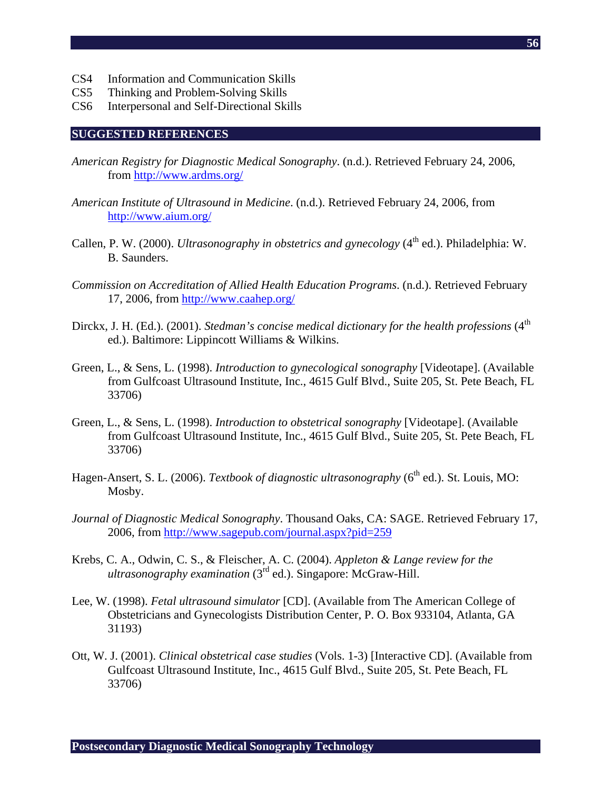- CS4 Information and Communication Skills
- CS5 Thinking and Problem-Solving Skills
- CS6 Interpersonal and Self-Directional Skills

#### **SUGGESTED REFERENCES**

- *American Registry for Diagnostic Medical Sonography*. (n.d.). Retrieved February 24, 2006, from http://www.ardms.org/
- *American Institute of Ultrasound in Medicine*. (n.d.). Retrieved February 24, 2006, from http://www.aium.org/
- Callen, P. W. (2000). *Ultrasonography in obstetrics and gynecology* (4<sup>th</sup> ed.). Philadelphia: W. B. Saunders.
- *Commission on Accreditation of Allied Health Education Programs*. (n.d.). Retrieved February 17, 2006, from http://www.caahep.org/
- Dirckx, J. H. (Ed.). (2001). *Stedman's concise medical dictionary for the health professions* (4<sup>th</sup> ed.). Baltimore: Lippincott Williams & Wilkins.
- Green, L., & Sens, L. (1998). *Introduction to gynecological sonography* [Videotape]. (Available from Gulfcoast Ultrasound Institute, Inc., 4615 Gulf Blvd., Suite 205, St. Pete Beach, FL 33706)
- Green, L., & Sens, L. (1998). *Introduction to obstetrical sonography* [Videotape]. (Available from Gulfcoast Ultrasound Institute, Inc., 4615 Gulf Blvd., Suite 205, St. Pete Beach, FL 33706)
- Hagen-Ansert, S. L. (2006). *Textbook of diagnostic ultrasonography* (6<sup>th</sup> ed.). St. Louis, MO: Mosby.
- *Journal of Diagnostic Medical Sonography*. Thousand Oaks, CA: SAGE. Retrieved February 17, 2006, from http://www.sagepub.com/journal.aspx?pid=259
- Krebs, C. A., Odwin, C. S., & Fleischer, A. C. (2004). *Appleton & Lange review for the ultrasonography examination* (3rd ed.). Singapore: McGraw-Hill.
- Lee, W. (1998). *Fetal ultrasound simulator* [CD]. (Available from The American College of Obstetricians and Gynecologists Distribution Center, P. O. Box 933104, Atlanta, GA 31193)
- Ott, W. J. (2001). *Clinical obstetrical case studies* (Vols. 1-3) [Interactive CD]. (Available from Gulfcoast Ultrasound Institute, Inc., 4615 Gulf Blvd., Suite 205, St. Pete Beach, FL 33706)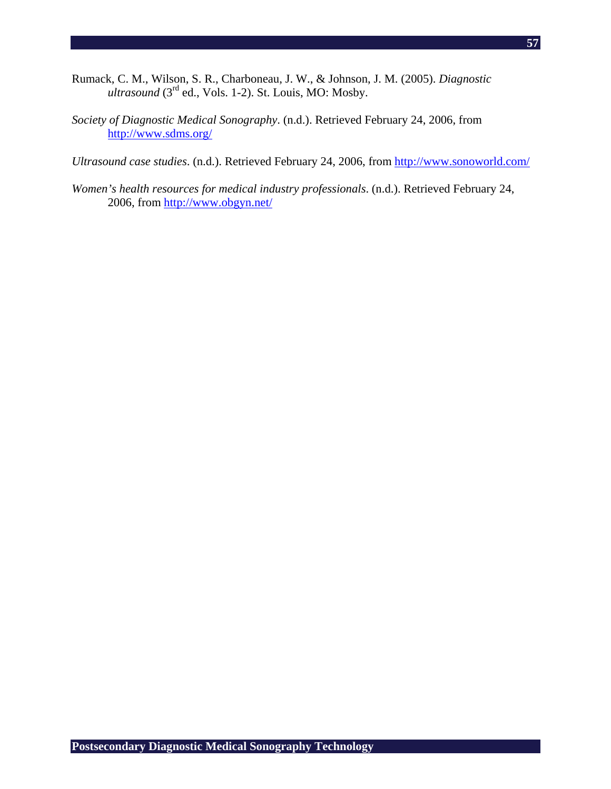- Rumack, C. M., Wilson, S. R., Charboneau, J. W., & Johnson, J. M. (2005). *Diagnostic ultrasound* (3rd ed., Vols. 1-2). St. Louis, MO: Mosby.
- *Society of Diagnostic Medical Sonography*. (n.d.). Retrieved February 24, 2006, from http://www.sdms.org/

*Ultrasound case studies*. (n.d.). Retrieved February 24, 2006, from http://www.sonoworld.com/

*Women's health resources for medical industry professionals*. (n.d.). Retrieved February 24, 2006, from http://www.obgyn.net/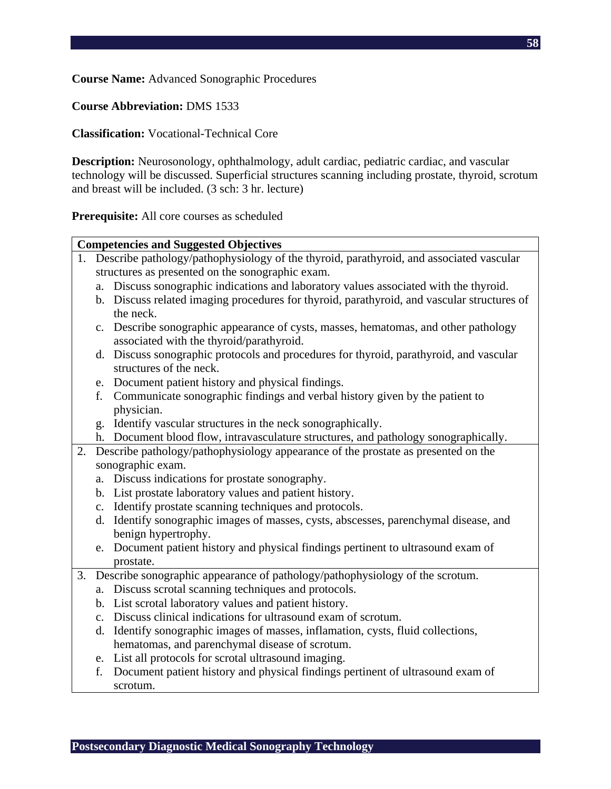**Course Name:** Advanced Sonographic Procedures

**Course Abbreviation:** DMS 1533

**Classification:** Vocational-Technical Core

**Description:** Neurosonology, ophthalmology, adult cardiac, pediatric cardiac, and vascular technology will be discussed. Superficial structures scanning including prostate, thyroid, scrotum and breast will be included. (3 sch: 3 hr. lecture)

**Prerequisite:** All core courses as scheduled

|    |                                                                                            | <b>Competencies and Suggested Objectives</b>                                                                                    |  |  |
|----|--------------------------------------------------------------------------------------------|---------------------------------------------------------------------------------------------------------------------------------|--|--|
|    | 1. Describe pathology/pathophysiology of the thyroid, parathyroid, and associated vascular |                                                                                                                                 |  |  |
|    | structures as presented on the sonographic exam.                                           |                                                                                                                                 |  |  |
|    |                                                                                            | a. Discuss sonographic indications and laboratory values associated with the thyroid.                                           |  |  |
|    |                                                                                            | b. Discuss related imaging procedures for thyroid, parathyroid, and vascular structures of<br>the neck.                         |  |  |
|    |                                                                                            | c. Describe sonographic appearance of cysts, masses, hematomas, and other pathology<br>associated with the thyroid/parathyroid. |  |  |
|    |                                                                                            | d. Discuss sonographic protocols and procedures for thyroid, parathyroid, and vascular<br>structures of the neck.               |  |  |
|    |                                                                                            | e. Document patient history and physical findings.                                                                              |  |  |
|    | f.                                                                                         | Communicate sonographic findings and verbal history given by the patient to                                                     |  |  |
|    |                                                                                            | physician.                                                                                                                      |  |  |
|    |                                                                                            | g. Identify vascular structures in the neck sonographically.                                                                    |  |  |
|    |                                                                                            | h. Document blood flow, intravasculature structures, and pathology sonographically.                                             |  |  |
| 2. |                                                                                            | Describe pathology/pathophysiology appearance of the prostate as presented on the                                               |  |  |
|    |                                                                                            | sonographic exam.                                                                                                               |  |  |
|    |                                                                                            | a. Discuss indications for prostate sonography.                                                                                 |  |  |
|    |                                                                                            | b. List prostate laboratory values and patient history.                                                                         |  |  |
|    |                                                                                            | c. Identify prostate scanning techniques and protocols.                                                                         |  |  |
|    |                                                                                            | d. Identify sonographic images of masses, cysts, abscesses, parenchymal disease, and                                            |  |  |
|    |                                                                                            | benign hypertrophy.                                                                                                             |  |  |
|    |                                                                                            | e. Document patient history and physical findings pertinent to ultrasound exam of                                               |  |  |
|    |                                                                                            | prostate.                                                                                                                       |  |  |
| 3. |                                                                                            | Describe sonographic appearance of pathology/pathophysiology of the scrotum.                                                    |  |  |
|    |                                                                                            | a. Discuss scrotal scanning techniques and protocols.                                                                           |  |  |
|    |                                                                                            | b. List scrotal laboratory values and patient history.                                                                          |  |  |
|    |                                                                                            | c. Discuss clinical indications for ultrasound exam of scrotum.                                                                 |  |  |
|    |                                                                                            | d. Identify sonographic images of masses, inflamation, cysts, fluid collections,                                                |  |  |
|    |                                                                                            | hematomas, and parenchymal disease of scrotum.                                                                                  |  |  |
|    |                                                                                            | Let all nucleosals for senatel ultresseund imaging                                                                              |  |  |

- e. List all protocols for scrotal ultrasound imaging.
- f. Document patient history and physical findings pertinent of ultrasound exam of scrotum.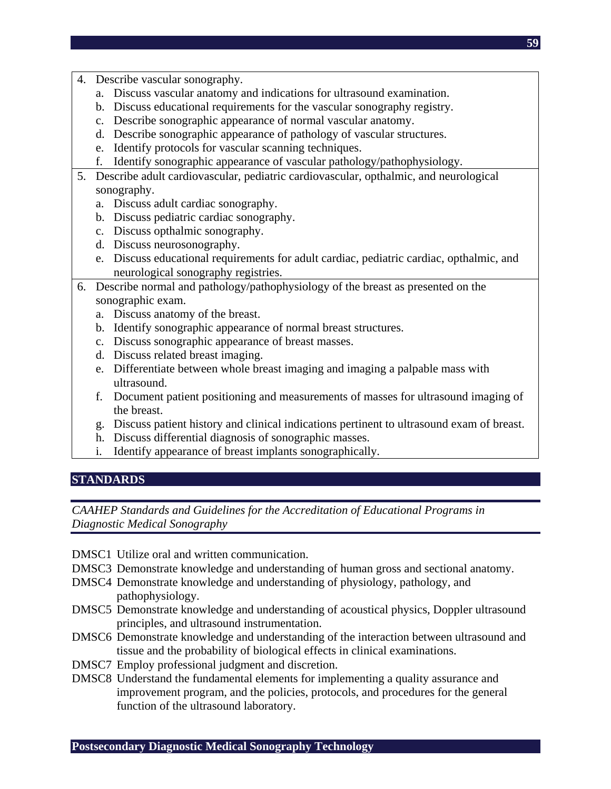- 4. Describe vascular sonography.
	- a. Discuss vascular anatomy and indications for ultrasound examination.
	- b. Discuss educational requirements for the vascular sonography registry.
	- c. Describe sonographic appearance of normal vascular anatomy.
	- d. Describe sonographic appearance of pathology of vascular structures.
	- e. Identify protocols for vascular scanning techniques.
	- f. Identify sonographic appearance of vascular pathology/pathophysiology.
- 5. Describe adult cardiovascular, pediatric cardiovascular, opthalmic, and neurological sonography.
	- a. Discuss adult cardiac sonography.
	- b. Discuss pediatric cardiac sonography.
	- c. Discuss opthalmic sonography.
	- d. Discuss neurosonography.
	- e. Discuss educational requirements for adult cardiac, pediatric cardiac, opthalmic, and neurological sonography registries.
- 6. Describe normal and pathology/pathophysiology of the breast as presented on the sonographic exam.
	- a. Discuss anatomy of the breast.
	- b. Identify sonographic appearance of normal breast structures.
	- c. Discuss sonographic appearance of breast masses.
	- d. Discuss related breast imaging.
	- e. Differentiate between whole breast imaging and imaging a palpable mass with ultrasound.
	- f. Document patient positioning and measurements of masses for ultrasound imaging of the breast.
	- g. Discuss patient history and clinical indications pertinent to ultrasound exam of breast.
	- h. Discuss differential diagnosis of sonographic masses.
	- i. Identify appearance of breast implants sonographically.

## **STANDARDS**

- DMSC1 Utilize oral and written communication.
- DMSC3 Demonstrate knowledge and understanding of human gross and sectional anatomy.
- DMSC4 Demonstrate knowledge and understanding of physiology, pathology, and pathophysiology.
- DMSC5 Demonstrate knowledge and understanding of acoustical physics, Doppler ultrasound principles, and ultrasound instrumentation.
- DMSC6 Demonstrate knowledge and understanding of the interaction between ultrasound and tissue and the probability of biological effects in clinical examinations.
- DMSC7 Employ professional judgment and discretion.
- DMSC8 Understand the fundamental elements for implementing a quality assurance and improvement program, and the policies, protocols, and procedures for the general function of the ultrasound laboratory.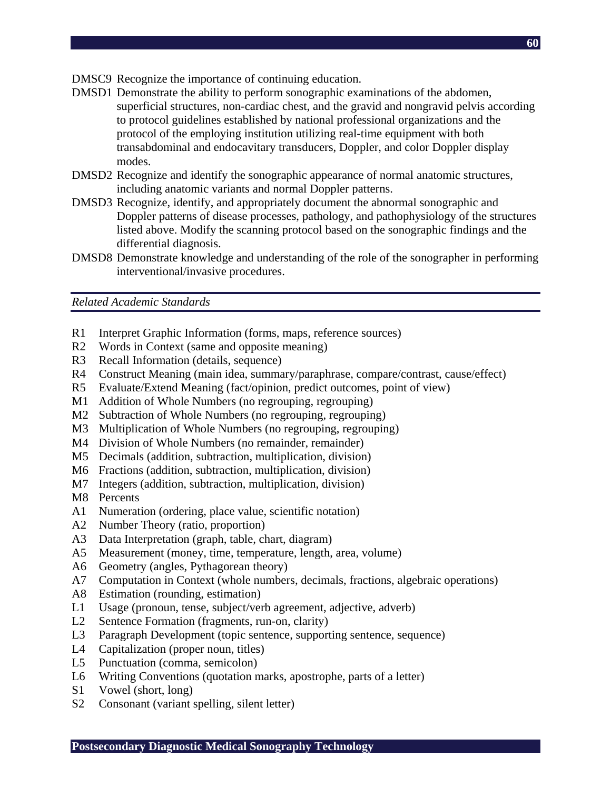- DMSC9 Recognize the importance of continuing education.
- DMSD1 Demonstrate the ability to perform sonographic examinations of the abdomen, superficial structures, non-cardiac chest, and the gravid and nongravid pelvis according to protocol guidelines established by national professional organizations and the protocol of the employing institution utilizing real-time equipment with both transabdominal and endocavitary transducers, Doppler, and color Doppler display modes.
- DMSD2 Recognize and identify the sonographic appearance of normal anatomic structures, including anatomic variants and normal Doppler patterns.
- DMSD3 Recognize, identify, and appropriately document the abnormal sonographic and Doppler patterns of disease processes, pathology, and pathophysiology of the structures listed above. Modify the scanning protocol based on the sonographic findings and the differential diagnosis.
- DMSD8 Demonstrate knowledge and understanding of the role of the sonographer in performing interventional/invasive procedures.

*Related Academic Standards* 

- R1 Interpret Graphic Information (forms, maps, reference sources)
- R2 Words in Context (same and opposite meaning)
- R3 Recall Information (details, sequence)
- R4 Construct Meaning (main idea, summary/paraphrase, compare/contrast, cause/effect)
- R5 Evaluate/Extend Meaning (fact/opinion, predict outcomes, point of view)
- M1 Addition of Whole Numbers (no regrouping, regrouping)
- M2 Subtraction of Whole Numbers (no regrouping, regrouping)
- M3 Multiplication of Whole Numbers (no regrouping, regrouping)
- M4 Division of Whole Numbers (no remainder, remainder)
- M5 Decimals (addition, subtraction, multiplication, division)
- M6 Fractions (addition, subtraction, multiplication, division)
- M7 Integers (addition, subtraction, multiplication, division)
- M8 Percents
- A1 Numeration (ordering, place value, scientific notation)
- A2 Number Theory (ratio, proportion)
- A3 Data Interpretation (graph, table, chart, diagram)
- A5 Measurement (money, time, temperature, length, area, volume)
- A6 Geometry (angles, Pythagorean theory)
- A7 Computation in Context (whole numbers, decimals, fractions, algebraic operations)
- A8 Estimation (rounding, estimation)
- L1 Usage (pronoun, tense, subject/verb agreement, adjective, adverb)
- L2 Sentence Formation (fragments, run-on, clarity)
- L3 Paragraph Development (topic sentence, supporting sentence, sequence)
- L4 Capitalization (proper noun, titles)
- L5 Punctuation (comma, semicolon)
- L6 Writing Conventions (quotation marks, apostrophe, parts of a letter)
- S1 Vowel (short, long)
- S2 Consonant (variant spelling, silent letter)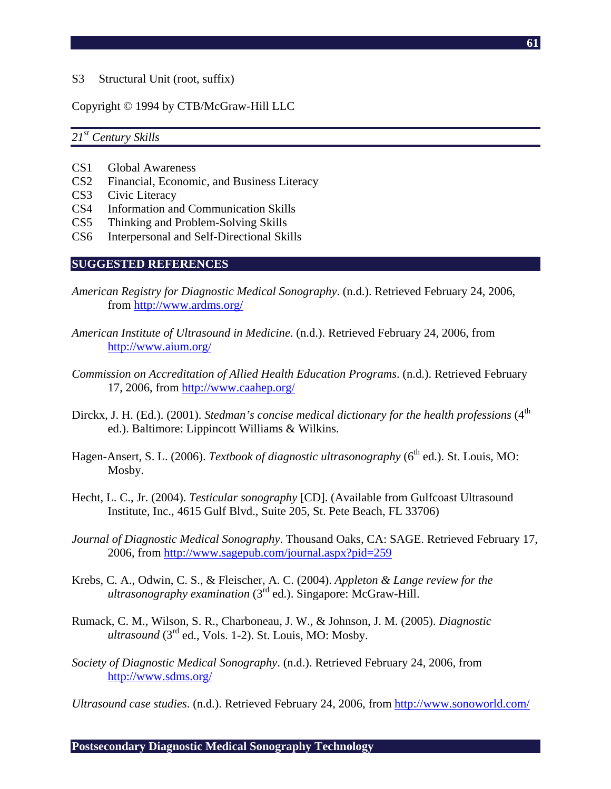S3 Structural Unit (root, suffix)

### Copyright © 1994 by CTB/McGraw-Hill LLC

### *21st Century Skills*

- CS1 Global Awareness
- CS2 Financial, Economic, and Business Literacy
- CS3 Civic Literacy
- CS4 Information and Communication Skills
- CS5 Thinking and Problem-Solving Skills
- CS6 Interpersonal and Self-Directional Skills

#### **SUGGESTED REFERENCES**

- *American Registry for Diagnostic Medical Sonography*. (n.d.). Retrieved February 24, 2006, from http://www.ardms.org/
- *American Institute of Ultrasound in Medicine*. (n.d.). Retrieved February 24, 2006, from http://www.aium.org/
- *Commission on Accreditation of Allied Health Education Programs*. (n.d.). Retrieved February 17, 2006, from http://www.caahep.org/
- Dirckx, J. H. (Ed.). (2001). *Stedman's concise medical dictionary for the health professions* (4<sup>th</sup>) ed.). Baltimore: Lippincott Williams & Wilkins.
- Hagen-Ansert, S. L. (2006). *Textbook of diagnostic ultrasonography* (6<sup>th</sup> ed.). St. Louis, MO: Mosby.
- Hecht, L. C., Jr. (2004). *Testicular sonography* [CD]. (Available from Gulfcoast Ultrasound Institute, Inc., 4615 Gulf Blvd., Suite 205, St. Pete Beach, FL 33706)
- *Journal of Diagnostic Medical Sonography*. Thousand Oaks, CA: SAGE. Retrieved February 17, 2006, from http://www.sagepub.com/journal.aspx?pid=259
- Krebs, C. A., Odwin, C. S., & Fleischer, A. C. (2004). *Appleton & Lange review for the ultrasonography examination* (3rd ed.). Singapore: McGraw-Hill.
- Rumack, C. M., Wilson, S. R., Charboneau, J. W., & Johnson, J. M. (2005). *Diagnostic*   $ultrasound$  ( $3<sup>rd</sup>$  ed., Vols. 1-2). St. Louis, MO: Mosby.
- *Society of Diagnostic Medical Sonography*. (n.d.). Retrieved February 24, 2006, from http://www.sdms.org/

*Ultrasound case studies*. (n.d.). Retrieved February 24, 2006, from http://www.sonoworld.com/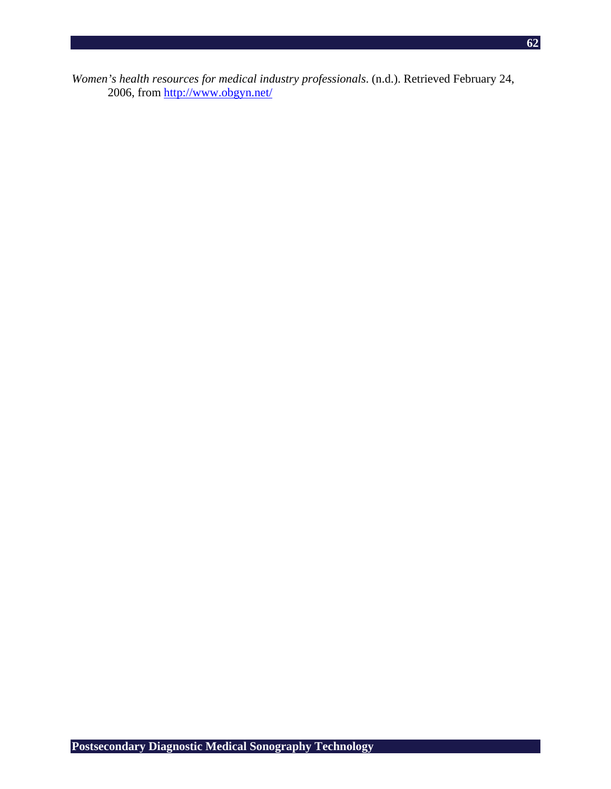*Women's health resources for medical industry professionals*. (n.d.). Retrieved February 24, 2006, from http://www.obgyn.net/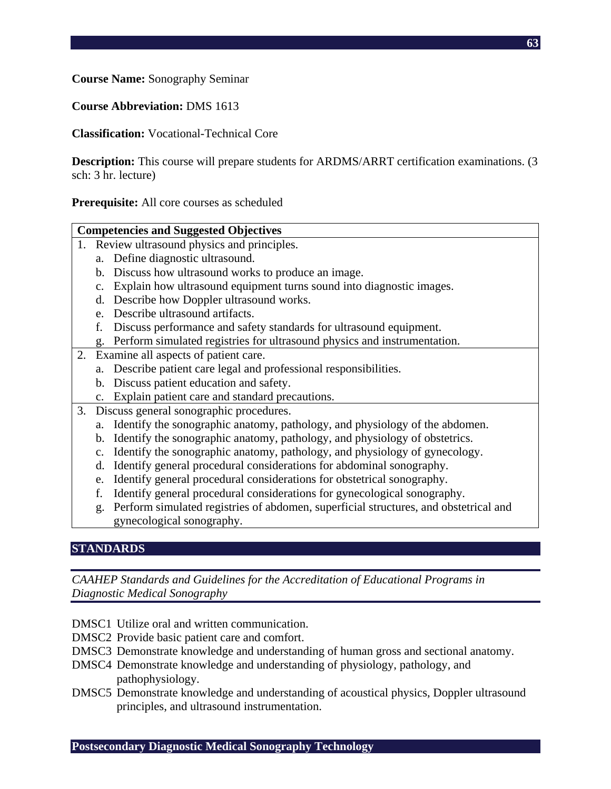**Course Name:** Sonography Seminar

**Course Abbreviation:** DMS 1613

**Classification:** Vocational-Technical Core

**Description:** This course will prepare students for ARDMS/ARRT certification examinations. (3 sch: 3 hr. lecture)

**Prerequisite:** All core courses as scheduled

|    | <b>Competencies and Suggested Objectives</b>                                                 |  |  |  |
|----|----------------------------------------------------------------------------------------------|--|--|--|
|    | 1. Review ultrasound physics and principles.                                                 |  |  |  |
|    | a. Define diagnostic ultrasound.                                                             |  |  |  |
|    | Discuss how ultrasound works to produce an image.<br>b.                                      |  |  |  |
|    | Explain how ultrasound equipment turns sound into diagnostic images.<br>c.                   |  |  |  |
|    | Describe how Doppler ultrasound works.<br>d.                                                 |  |  |  |
|    | Describe ultrasound artifacts.<br>e.                                                         |  |  |  |
|    | Discuss performance and safety standards for ultrasound equipment.                           |  |  |  |
|    | g. Perform simulated registries for ultrasound physics and instrumentation.                  |  |  |  |
| 2. | Examine all aspects of patient care.                                                         |  |  |  |
|    | a. Describe patient care legal and professional responsibilities.                            |  |  |  |
|    | b. Discuss patient education and safety.                                                     |  |  |  |
|    | c. Explain patient care and standard precautions.                                            |  |  |  |
| 3. | Discuss general sonographic procedures.                                                      |  |  |  |
|    | a. Identify the sonographic anatomy, pathology, and physiology of the abdomen.               |  |  |  |
|    | Identify the sonographic anatomy, pathology, and physiology of obstetrics.<br>b.             |  |  |  |
|    | Identify the sonographic anatomy, pathology, and physiology of gynecology.<br>$\mathbf{c}$ . |  |  |  |
|    | Identify general procedural considerations for abdominal sonography.<br>d.                   |  |  |  |
|    | Identify general procedural considerations for obstetrical sonography.<br>e.                 |  |  |  |
|    | Identify general procedural considerations for gynecological sonography.<br>f.               |  |  |  |
|    | Perform simulated registries of abdomen, superficial structures, and obstetrical and<br>g.   |  |  |  |
|    | gynecological sonography.                                                                    |  |  |  |

## **STANDARDS**

- DMSC1 Utilize oral and written communication.
- DMSC2 Provide basic patient care and comfort.
- DMSC3 Demonstrate knowledge and understanding of human gross and sectional anatomy.
- DMSC4 Demonstrate knowledge and understanding of physiology, pathology, and pathophysiology.
- DMSC5 Demonstrate knowledge and understanding of acoustical physics, Doppler ultrasound principles, and ultrasound instrumentation.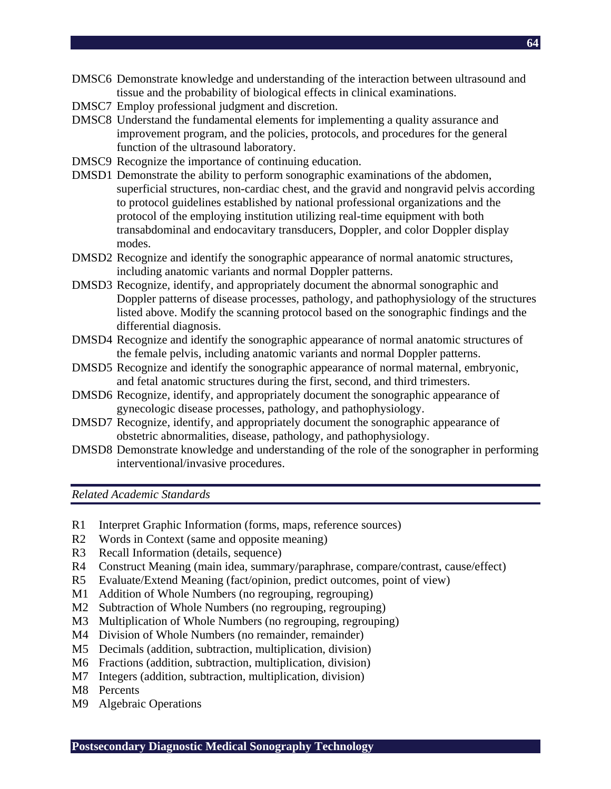- DMSC6 Demonstrate knowledge and understanding of the interaction between ultrasound and tissue and the probability of biological effects in clinical examinations.
- DMSC7 Employ professional judgment and discretion.
- DMSC8 Understand the fundamental elements for implementing a quality assurance and improvement program, and the policies, protocols, and procedures for the general function of the ultrasound laboratory.
- DMSC9 Recognize the importance of continuing education.
- DMSD1 Demonstrate the ability to perform sonographic examinations of the abdomen, superficial structures, non-cardiac chest, and the gravid and nongravid pelvis according to protocol guidelines established by national professional organizations and the protocol of the employing institution utilizing real-time equipment with both transabdominal and endocavitary transducers, Doppler, and color Doppler display modes.
- DMSD2 Recognize and identify the sonographic appearance of normal anatomic structures, including anatomic variants and normal Doppler patterns.
- DMSD3 Recognize, identify, and appropriately document the abnormal sonographic and Doppler patterns of disease processes, pathology, and pathophysiology of the structures listed above. Modify the scanning protocol based on the sonographic findings and the differential diagnosis.
- DMSD4 Recognize and identify the sonographic appearance of normal anatomic structures of the female pelvis, including anatomic variants and normal Doppler patterns.
- DMSD5 Recognize and identify the sonographic appearance of normal maternal, embryonic, and fetal anatomic structures during the first, second, and third trimesters.
- DMSD6 Recognize, identify, and appropriately document the sonographic appearance of gynecologic disease processes, pathology, and pathophysiology.
- DMSD7 Recognize, identify, and appropriately document the sonographic appearance of obstetric abnormalities, disease, pathology, and pathophysiology.
- DMSD8 Demonstrate knowledge and understanding of the role of the sonographer in performing interventional/invasive procedures.

*Related Academic Standards* 

- R1 Interpret Graphic Information (forms, maps, reference sources)
- R2 Words in Context (same and opposite meaning)
- R3 Recall Information (details, sequence)
- R4 Construct Meaning (main idea, summary/paraphrase, compare/contrast, cause/effect)
- R5 Evaluate/Extend Meaning (fact/opinion, predict outcomes, point of view)
- M1 Addition of Whole Numbers (no regrouping, regrouping)
- M2 Subtraction of Whole Numbers (no regrouping, regrouping)
- M3 Multiplication of Whole Numbers (no regrouping, regrouping)
- M4 Division of Whole Numbers (no remainder, remainder)
- M5 Decimals (addition, subtraction, multiplication, division)
- M6 Fractions (addition, subtraction, multiplication, division)
- M7 Integers (addition, subtraction, multiplication, division)
- M8 Percents
- M9 Algebraic Operations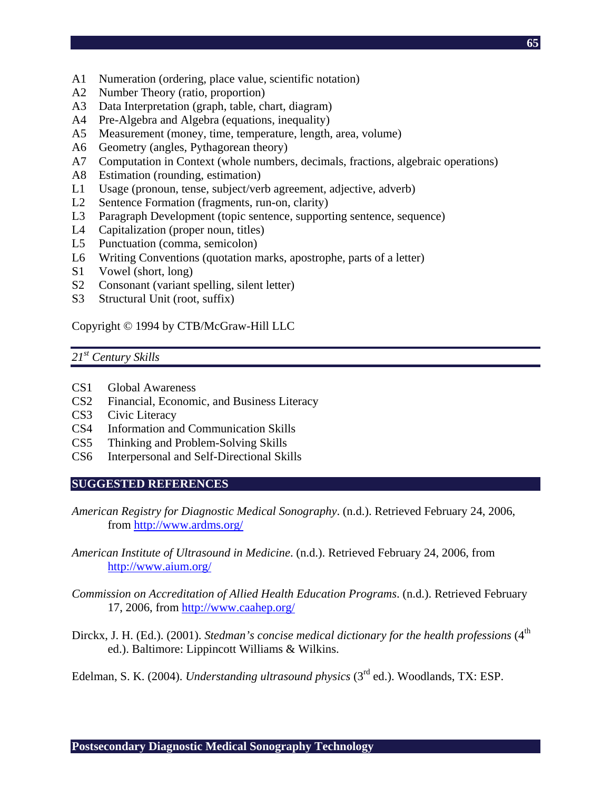- A1 Numeration (ordering, place value, scientific notation)
- A2 Number Theory (ratio, proportion)
- A3 Data Interpretation (graph, table, chart, diagram)
- A4 Pre-Algebra and Algebra (equations, inequality)
- A5 Measurement (money, time, temperature, length, area, volume)
- A6 Geometry (angles, Pythagorean theory)
- A7 Computation in Context (whole numbers, decimals, fractions, algebraic operations)
- A8 Estimation (rounding, estimation)
- L1 Usage (pronoun, tense, subject/verb agreement, adjective, adverb)
- L2 Sentence Formation (fragments, run-on, clarity)
- L3 Paragraph Development (topic sentence, supporting sentence, sequence)
- L4 Capitalization (proper noun, titles)
- L5 Punctuation (comma, semicolon)
- L6 Writing Conventions (quotation marks, apostrophe, parts of a letter)
- S1 Vowel (short, long)
- S2 Consonant (variant spelling, silent letter)
- S3 Structural Unit (root, suffix)

Copyright © 1994 by CTB/McGraw-Hill LLC

## *21st Century Skills*

- CS1 Global Awareness
- CS2 Financial, Economic, and Business Literacy
- CS3 Civic Literacy
- CS4 Information and Communication Skills
- CS5 Thinking and Problem-Solving Skills
- CS6 Interpersonal and Self-Directional Skills

#### **SUGGESTED REFERENCES**

- *American Registry for Diagnostic Medical Sonography*. (n.d.). Retrieved February 24, 2006, from http://www.ardms.org/
- *American Institute of Ultrasound in Medicine*. (n.d.). Retrieved February 24, 2006, from http://www.aium.org/
- *Commission on Accreditation of Allied Health Education Programs*. (n.d.). Retrieved February 17, 2006, from http://www.caahep.org/
- Dirckx, J. H. (Ed.). (2001). *Stedman's concise medical dictionary for the health professions* (4<sup>th</sup> ed.). Baltimore: Lippincott Williams & Wilkins.

Edelman, S. K. (2004). *Understanding ultrasound physics* (3rd ed.). Woodlands, TX: ESP.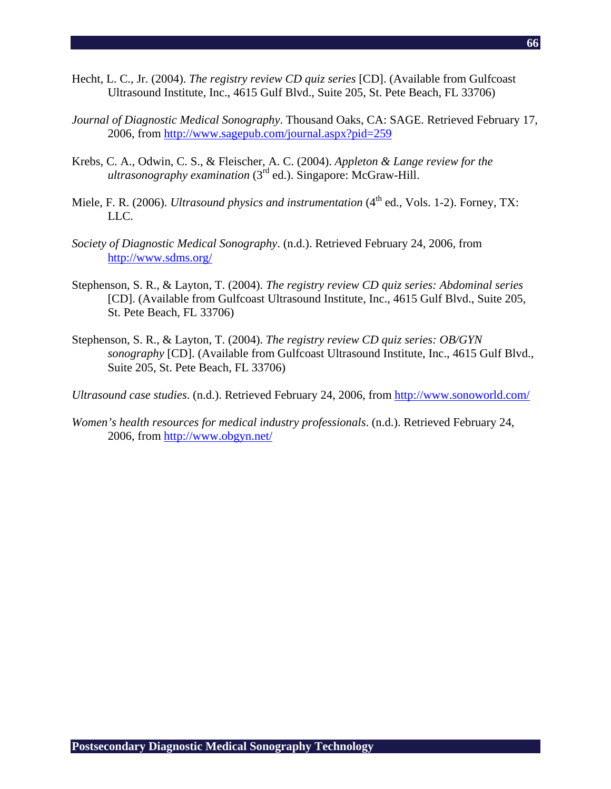- Hecht, L. C., Jr. (2004). *The registry review CD quiz series* [CD]. (Available from Gulfcoast Ultrasound Institute, Inc., 4615 Gulf Blvd., Suite 205, St. Pete Beach, FL 33706)
- *Journal of Diagnostic Medical Sonography*. Thousand Oaks, CA: SAGE. Retrieved February 17, 2006, from http://www.sagepub.com/journal.aspx?pid=259
- Krebs, C. A., Odwin, C. S., & Fleischer, A. C. (2004). *Appleton & Lange review for the ultrasonography examination* (3<sup>rd</sup> ed.). Singapore: McGraw-Hill.
- Miele, F. R. (2006). *Ultrasound physics and instrumentation* (4<sup>th</sup> ed., Vols. 1-2). Forney, TX: LLC.
- *Society of Diagnostic Medical Sonography*. (n.d.). Retrieved February 24, 2006, from http://www.sdms.org/
- Stephenson, S. R., & Layton, T. (2004). *The registry review CD quiz series: Abdominal series* [CD]. (Available from Gulfcoast Ultrasound Institute, Inc., 4615 Gulf Blvd., Suite 205, St. Pete Beach, FL 33706)
- Stephenson, S. R., & Layton, T. (2004). *The registry review CD quiz series: OB/GYN sonography* [CD]. (Available from Gulfcoast Ultrasound Institute, Inc., 4615 Gulf Blvd., Suite 205, St. Pete Beach, FL 33706)

*Ultrasound case studies*. (n.d.). Retrieved February 24, 2006, from http://www.sonoworld.com/

*Women's health resources for medical industry professionals*. (n.d.). Retrieved February 24, 2006, from http://www.obgyn.net/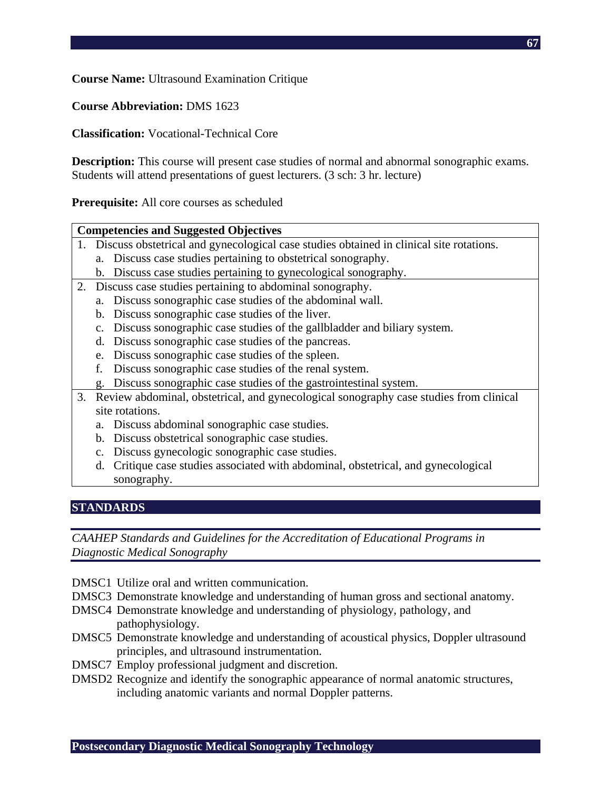**Course Name:** Ultrasound Examination Critique

**Course Abbreviation:** DMS 1623

**Classification:** Vocational-Technical Core

**Description:** This course will present case studies of normal and abnormal sonographic exams. Students will attend presentations of guest lecturers. (3 sch: 3 hr. lecture)

**Prerequisite:** All core courses as scheduled

| <b>Competencies and Suggested Objectives</b>                                               |  |  |  |  |
|--------------------------------------------------------------------------------------------|--|--|--|--|
| 1. Discuss obstetrical and gynecological case studies obtained in clinical site rotations. |  |  |  |  |
| a. Discuss case studies pertaining to obstetrical sonography.                              |  |  |  |  |
| b. Discuss case studies pertaining to gynecological sonography.                            |  |  |  |  |
| 2. Discuss case studies pertaining to abdominal sonography.                                |  |  |  |  |
| a. Discuss sonographic case studies of the abdominal wall.                                 |  |  |  |  |
| Discuss sonographic case studies of the liver.<br>b.                                       |  |  |  |  |
| Discuss sonographic case studies of the gallbladder and biliary system.<br>$C_{\bullet}$   |  |  |  |  |
| Discuss sonographic case studies of the pancreas.<br>d.                                    |  |  |  |  |
| Discuss sonographic case studies of the spleen.<br>e.                                      |  |  |  |  |
| Discuss sonographic case studies of the renal system.<br>f.                                |  |  |  |  |
| g. Discuss sonographic case studies of the gastrointestinal system.                        |  |  |  |  |
| 3. Review abdominal, obstetrical, and gynecological sonography case studies from clinical  |  |  |  |  |
| site rotations.                                                                            |  |  |  |  |
| Discuss abdominal sonographic case studies.<br>a.                                          |  |  |  |  |
| Discuss obstetrical sonographic case studies.<br>b.                                        |  |  |  |  |
| Discuss gynecologic sonographic case studies.<br>$\mathbf{c}$ .                            |  |  |  |  |
| Critique case studies associated with abdominal, obstetrical, and gynecological<br>d.      |  |  |  |  |
| sonography.                                                                                |  |  |  |  |

## **STANDARDS**

- DMSC1 Utilize oral and written communication.
- DMSC3 Demonstrate knowledge and understanding of human gross and sectional anatomy.
- DMSC4 Demonstrate knowledge and understanding of physiology, pathology, and pathophysiology.
- DMSC5 Demonstrate knowledge and understanding of acoustical physics, Doppler ultrasound principles, and ultrasound instrumentation.
- DMSC7 Employ professional judgment and discretion.
- DMSD2 Recognize and identify the sonographic appearance of normal anatomic structures, including anatomic variants and normal Doppler patterns.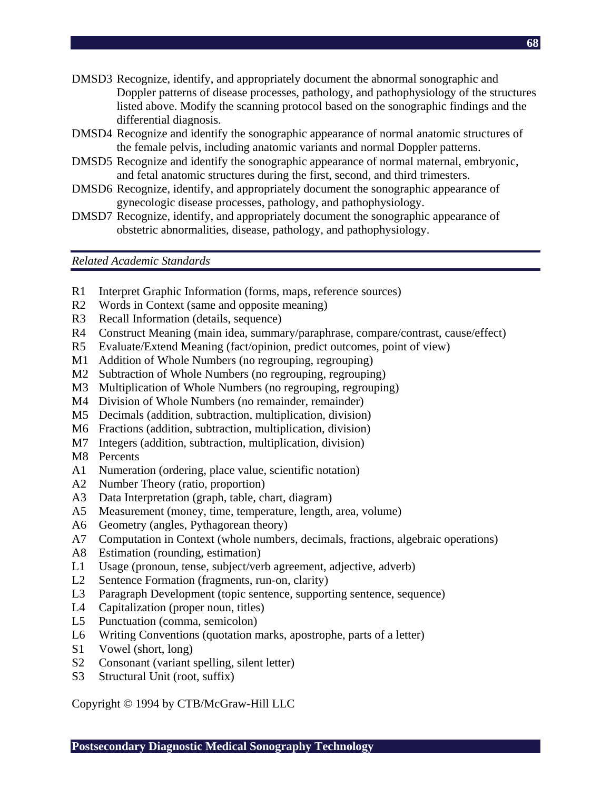- DMSD3 Recognize, identify, and appropriately document the abnormal sonographic and Doppler patterns of disease processes, pathology, and pathophysiology of the structures listed above. Modify the scanning protocol based on the sonographic findings and the differential diagnosis.
- DMSD4 Recognize and identify the sonographic appearance of normal anatomic structures of the female pelvis, including anatomic variants and normal Doppler patterns.
- DMSD5 Recognize and identify the sonographic appearance of normal maternal, embryonic, and fetal anatomic structures during the first, second, and third trimesters.
- DMSD6 Recognize, identify, and appropriately document the sonographic appearance of gynecologic disease processes, pathology, and pathophysiology.
- DMSD7 Recognize, identify, and appropriately document the sonographic appearance of obstetric abnormalities, disease, pathology, and pathophysiology.

*Related Academic Standards* 

- R1 Interpret Graphic Information (forms, maps, reference sources)
- R2 Words in Context (same and opposite meaning)
- R3 Recall Information (details, sequence)
- R4 Construct Meaning (main idea, summary/paraphrase, compare/contrast, cause/effect)
- R5 Evaluate/Extend Meaning (fact/opinion, predict outcomes, point of view)
- M1 Addition of Whole Numbers (no regrouping, regrouping)
- M2 Subtraction of Whole Numbers (no regrouping, regrouping)
- M3 Multiplication of Whole Numbers (no regrouping, regrouping)
- M4 Division of Whole Numbers (no remainder, remainder)
- M5 Decimals (addition, subtraction, multiplication, division)
- M6 Fractions (addition, subtraction, multiplication, division)
- M7 Integers (addition, subtraction, multiplication, division)
- M8 Percents
- A1 Numeration (ordering, place value, scientific notation)
- A2 Number Theory (ratio, proportion)
- A3 Data Interpretation (graph, table, chart, diagram)
- A5 Measurement (money, time, temperature, length, area, volume)
- A6 Geometry (angles, Pythagorean theory)
- A7 Computation in Context (whole numbers, decimals, fractions, algebraic operations)
- A8 Estimation (rounding, estimation)
- L1 Usage (pronoun, tense, subject/verb agreement, adjective, adverb)
- L2 Sentence Formation (fragments, run-on, clarity)
- L3 Paragraph Development (topic sentence, supporting sentence, sequence)
- L4 Capitalization (proper noun, titles)
- L5 Punctuation (comma, semicolon)
- L6 Writing Conventions (quotation marks, apostrophe, parts of a letter)
- S1 Vowel (short, long)
- S2 Consonant (variant spelling, silent letter)
- S3 Structural Unit (root, suffix)

Copyright © 1994 by CTB/McGraw-Hill LLC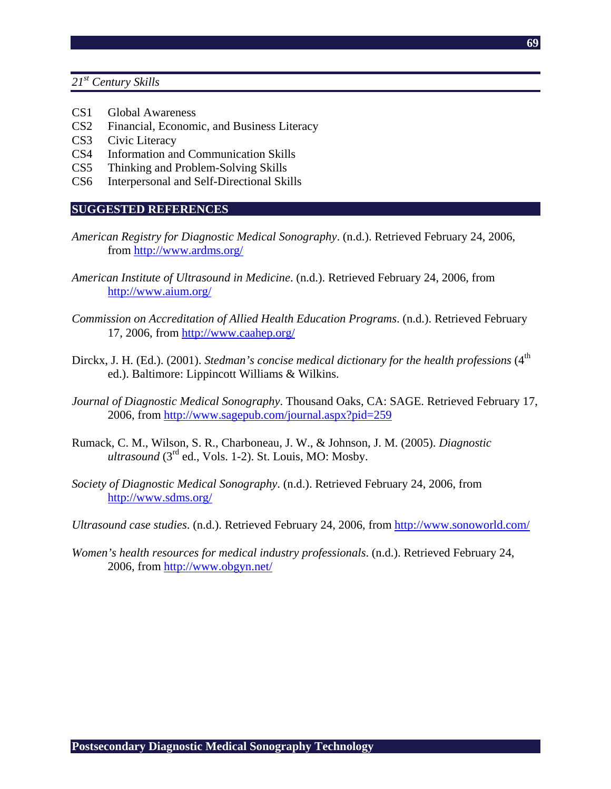*21st Century Skills* 

- CS1 Global Awareness
- CS2 Financial, Economic, and Business Literacy
- CS3 Civic Literacy
- CS4 Information and Communication Skills
- CS5 Thinking and Problem-Solving Skills
- CS6 Interpersonal and Self-Directional Skills

## **SUGGESTED REFERENCES**

*American Registry for Diagnostic Medical Sonography*. (n.d.). Retrieved February 24, 2006, from http://www.ardms.org/

 **69**

- *American Institute of Ultrasound in Medicine*. (n.d.). Retrieved February 24, 2006, from http://www.aium.org/
- *Commission on Accreditation of Allied Health Education Programs*. (n.d.). Retrieved February 17, 2006, from http://www.caahep.org/
- Dirckx, J. H. (Ed.). (2001). *Stedman's concise medical dictionary for the health professions* (4<sup>th</sup> ed.). Baltimore: Lippincott Williams & Wilkins.
- *Journal of Diagnostic Medical Sonography*. Thousand Oaks, CA: SAGE. Retrieved February 17, 2006, from http://www.sagepub.com/journal.aspx?pid=259
- Rumack, C. M., Wilson, S. R., Charboneau, J. W., & Johnson, J. M. (2005). *Diagnostic ultrasound* (3rd ed., Vols. 1-2). St. Louis, MO: Mosby.
- *Society of Diagnostic Medical Sonography*. (n.d.). Retrieved February 24, 2006, from http://www.sdms.org/
- *Ultrasound case studies*. (n.d.). Retrieved February 24, 2006, from http://www.sonoworld.com/
- *Women's health resources for medical industry professionals*. (n.d.). Retrieved February 24, 2006, from http://www.obgyn.net/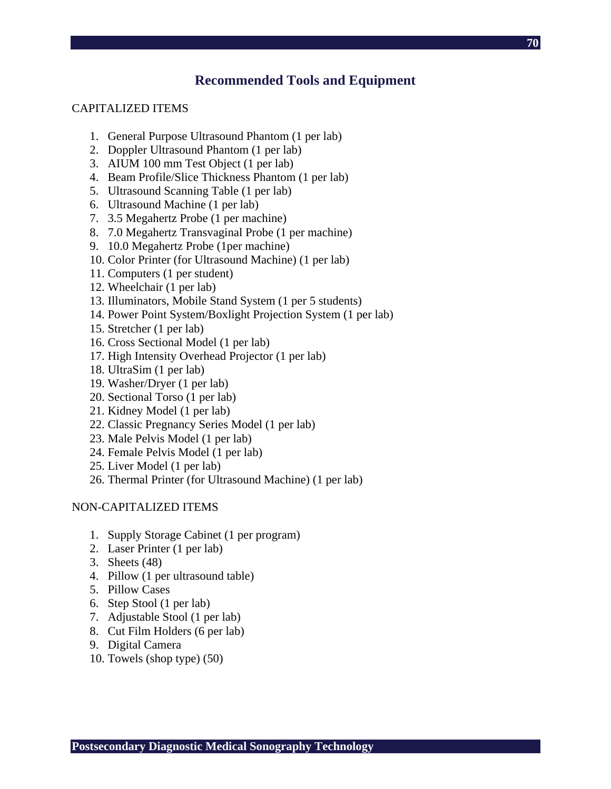## **Recommended Tools and Equipment**

#### CAPITALIZED ITEMS

- 1. General Purpose Ultrasound Phantom (1 per lab)
- 2. Doppler Ultrasound Phantom (1 per lab)
- 3. AIUM 100 mm Test Object (1 per lab)
- 4. Beam Profile/Slice Thickness Phantom (1 per lab)
- 5. Ultrasound Scanning Table (1 per lab)
- 6. Ultrasound Machine (1 per lab)
- 7. 3.5 Megahertz Probe (1 per machine)
- 8. 7.0 Megahertz Transvaginal Probe (1 per machine)
- 9. 10.0 Megahertz Probe (1per machine)
- 10. Color Printer (for Ultrasound Machine) (1 per lab)
- 11. Computers (1 per student)
- 12. Wheelchair (1 per lab)
- 13. Illuminators, Mobile Stand System (1 per 5 students)
- 14. Power Point System/Boxlight Projection System (1 per lab)
- 15. Stretcher (1 per lab)
- 16. Cross Sectional Model (1 per lab)
- 17. High Intensity Overhead Projector (1 per lab)
- 18. UltraSim (1 per lab)
- 19. Washer/Dryer (1 per lab)
- 20. Sectional Torso (1 per lab)
- 21. Kidney Model (1 per lab)
- 22. Classic Pregnancy Series Model (1 per lab)
- 23. Male Pelvis Model (1 per lab)
- 24. Female Pelvis Model (1 per lab)
- 25. Liver Model (1 per lab)
- 26. Thermal Printer (for Ultrasound Machine) (1 per lab)

#### NON-CAPITALIZED ITEMS

- 1. Supply Storage Cabinet (1 per program)
- 2. Laser Printer (1 per lab)
- 3. Sheets (48)
- 4. Pillow (1 per ultrasound table)
- 5. Pillow Cases
- 6. Step Stool (1 per lab)
- 7. Adjustable Stool (1 per lab)
- 8. Cut Film Holders (6 per lab)
- 9. Digital Camera
- 10. Towels (shop type) (50)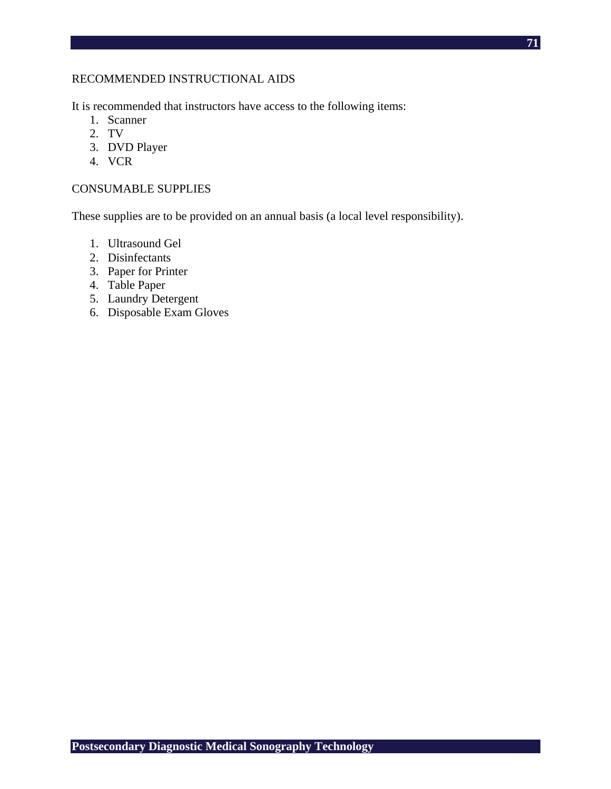## RECOMMENDED INSTRUCTIONAL AIDS

It is recommended that instructors have access to the following items:

- 1. Scanner
- 2. TV
- 3. DVD Player
- 4. VCR

## CONSUMABLE SUPPLIES

These supplies are to be provided on an annual basis (a local level responsibility).

- 1. Ultrasound Gel
- 2. Disinfectants
- 3. Paper for Printer
- 4. Table Paper
- 5. Laundry Detergent
- 6. Disposable Exam Gloves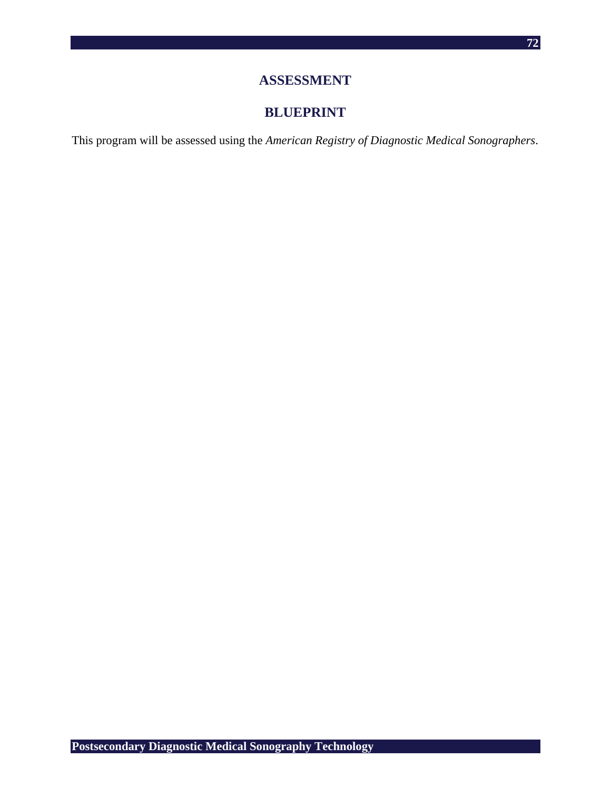## **ASSESSMENT**

# **BLUEPRINT**

This program will be assessed using the *American Registry of Diagnostic Medical Sonographers*.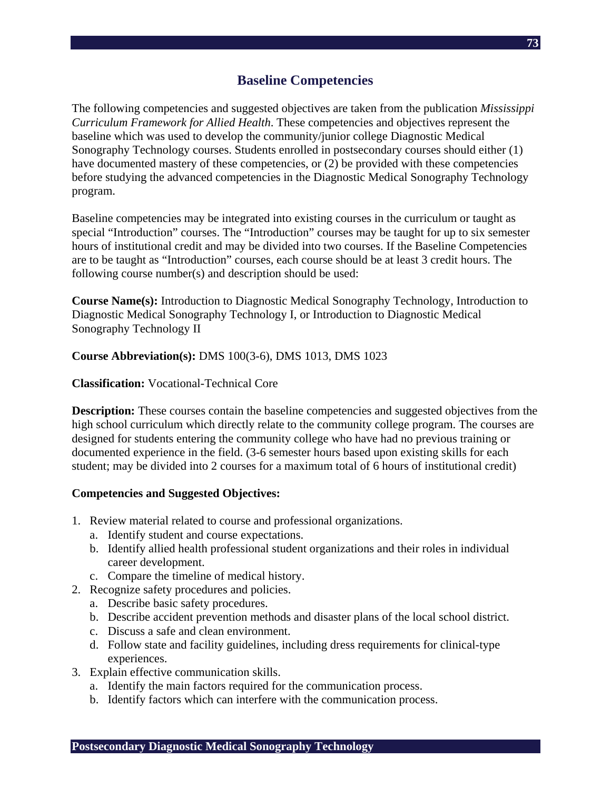The following competencies and suggested objectives are taken from the publication *Mississippi Curriculum Framework for Allied Health*. These competencies and objectives represent the baseline which was used to develop the community/junior college Diagnostic Medical Sonography Technology courses. Students enrolled in postsecondary courses should either (1) have documented mastery of these competencies, or (2) be provided with these competencies before studying the advanced competencies in the Diagnostic Medical Sonography Technology program.

Baseline competencies may be integrated into existing courses in the curriculum or taught as special "Introduction" courses. The "Introduction" courses may be taught for up to six semester hours of institutional credit and may be divided into two courses. If the Baseline Competencies are to be taught as "Introduction" courses, each course should be at least 3 credit hours. The following course number(s) and description should be used:

**Course Name(s):** Introduction to Diagnostic Medical Sonography Technology, Introduction to Diagnostic Medical Sonography Technology I, or Introduction to Diagnostic Medical Sonography Technology II

### **Course Abbreviation(s):** DMS 100(3-6), DMS 1013, DMS 1023

### **Classification:** Vocational-Technical Core

**Description:** These courses contain the baseline competencies and suggested objectives from the high school curriculum which directly relate to the community college program. The courses are designed for students entering the community college who have had no previous training or documented experience in the field. (3-6 semester hours based upon existing skills for each student; may be divided into 2 courses for a maximum total of 6 hours of institutional credit)

### **Competencies and Suggested Objectives:**

- 1. Review material related to course and professional organizations.
	- a. Identify student and course expectations.
	- b. Identify allied health professional student organizations and their roles in individual career development.
	- c. Compare the timeline of medical history.
- 2. Recognize safety procedures and policies.
	- a. Describe basic safety procedures.
	- b. Describe accident prevention methods and disaster plans of the local school district.
	- c. Discuss a safe and clean environment.
	- d. Follow state and facility guidelines, including dress requirements for clinical-type experiences.
- 3. Explain effective communication skills.
	- a. Identify the main factors required for the communication process.
	- b. Identify factors which can interfere with the communication process.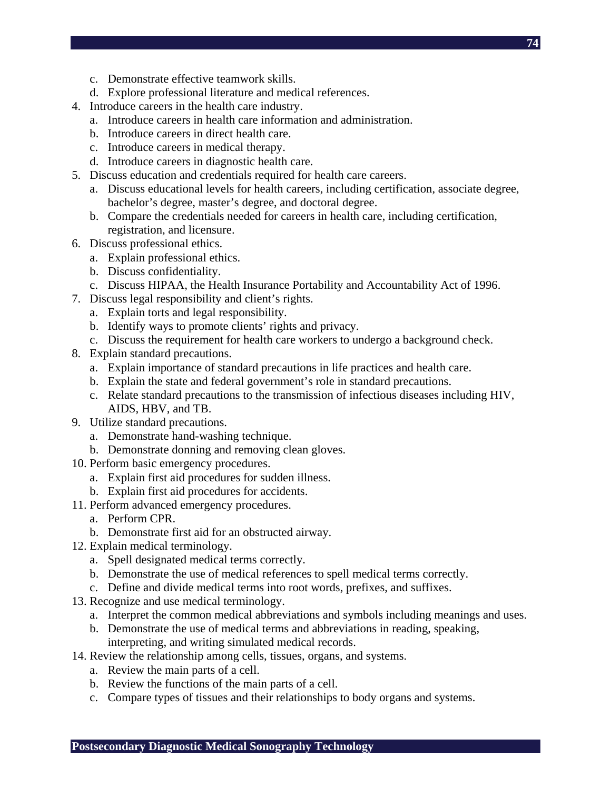- c. Demonstrate effective teamwork skills.
- d. Explore professional literature and medical references.
- 4. Introduce careers in the health care industry.
	- a. Introduce careers in health care information and administration.
	- b. Introduce careers in direct health care.
	- c. Introduce careers in medical therapy.
	- d. Introduce careers in diagnostic health care.
- 5. Discuss education and credentials required for health care careers.
	- a. Discuss educational levels for health careers, including certification, associate degree, bachelor's degree, master's degree, and doctoral degree.
	- b. Compare the credentials needed for careers in health care, including certification, registration, and licensure.
- 6. Discuss professional ethics.
	- a. Explain professional ethics.
	- b. Discuss confidentiality.
	- c. Discuss HIPAA, the Health Insurance Portability and Accountability Act of 1996.
- 7. Discuss legal responsibility and client's rights.
	- a. Explain torts and legal responsibility.
	- b. Identify ways to promote clients' rights and privacy.
	- c. Discuss the requirement for health care workers to undergo a background check.
- 8. Explain standard precautions.
	- a. Explain importance of standard precautions in life practices and health care.
	- b. Explain the state and federal government's role in standard precautions.
	- c. Relate standard precautions to the transmission of infectious diseases including HIV, AIDS, HBV, and TB.
- 9. Utilize standard precautions.
	- a. Demonstrate hand-washing technique.
	- b. Demonstrate donning and removing clean gloves.
- 10. Perform basic emergency procedures.
	- a. Explain first aid procedures for sudden illness.
	- b. Explain first aid procedures for accidents.
- 11. Perform advanced emergency procedures.
	- a. Perform CPR.
	- b. Demonstrate first aid for an obstructed airway.
- 12. Explain medical terminology.
	- a. Spell designated medical terms correctly.
	- b. Demonstrate the use of medical references to spell medical terms correctly.
	- c. Define and divide medical terms into root words, prefixes, and suffixes.
- 13. Recognize and use medical terminology.
	- a. Interpret the common medical abbreviations and symbols including meanings and uses.
	- b. Demonstrate the use of medical terms and abbreviations in reading, speaking, interpreting, and writing simulated medical records.
- 14. Review the relationship among cells, tissues, organs, and systems.
	- a. Review the main parts of a cell.
	- b. Review the functions of the main parts of a cell.
	- c. Compare types of tissues and their relationships to body organs and systems.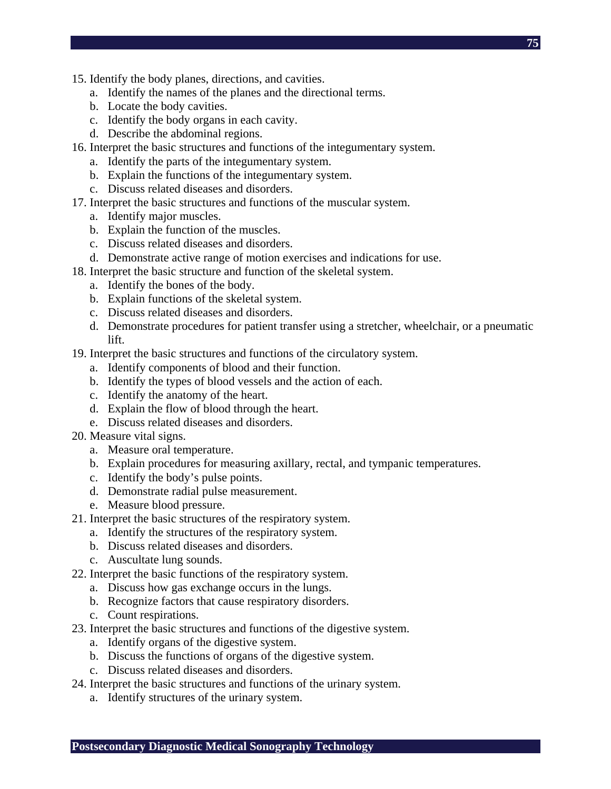- **75**
- 15. Identify the body planes, directions, and cavities.
	- a. Identify the names of the planes and the directional terms.
	- b. Locate the body cavities.
	- c. Identify the body organs in each cavity.
	- d. Describe the abdominal regions.
- 16. Interpret the basic structures and functions of the integumentary system.
	- a. Identify the parts of the integumentary system.
	- b. Explain the functions of the integumentary system.
	- c. Discuss related diseases and disorders.
- 17. Interpret the basic structures and functions of the muscular system.
	- a. Identify major muscles.
	- b. Explain the function of the muscles.
	- c. Discuss related diseases and disorders.
	- d. Demonstrate active range of motion exercises and indications for use.
- 18. Interpret the basic structure and function of the skeletal system.
	- a. Identify the bones of the body.
	- b. Explain functions of the skeletal system.
	- c. Discuss related diseases and disorders.
	- d. Demonstrate procedures for patient transfer using a stretcher, wheelchair, or a pneumatic lift.
- 19. Interpret the basic structures and functions of the circulatory system.
	- a. Identify components of blood and their function.
	- b. Identify the types of blood vessels and the action of each.
	- c. Identify the anatomy of the heart.
	- d. Explain the flow of blood through the heart.
	- e. Discuss related diseases and disorders.
- 20. Measure vital signs.
	- a. Measure oral temperature.
	- b. Explain procedures for measuring axillary, rectal, and tympanic temperatures.
	- c. Identify the body's pulse points.
	- d. Demonstrate radial pulse measurement.
	- e. Measure blood pressure.
- 21. Interpret the basic structures of the respiratory system.
	- a. Identify the structures of the respiratory system.
	- b. Discuss related diseases and disorders.
	- c. Auscultate lung sounds.
- 22. Interpret the basic functions of the respiratory system.
	- a. Discuss how gas exchange occurs in the lungs.
	- b. Recognize factors that cause respiratory disorders.
	- c. Count respirations.
- 23. Interpret the basic structures and functions of the digestive system.
	- a. Identify organs of the digestive system.
	- b. Discuss the functions of organs of the digestive system.
	- c. Discuss related diseases and disorders.
- 24. Interpret the basic structures and functions of the urinary system.
	- a. Identify structures of the urinary system.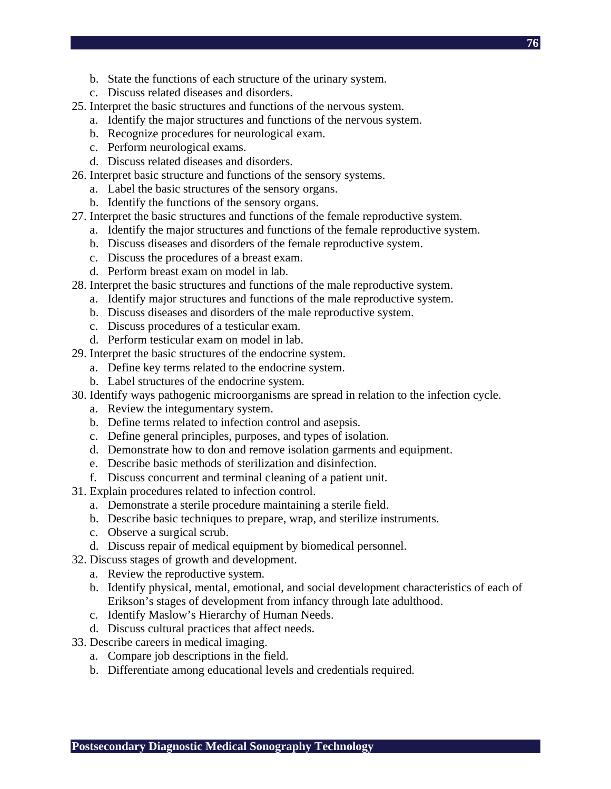- b. State the functions of each structure of the urinary system.
- c. Discuss related diseases and disorders.
- 25. Interpret the basic structures and functions of the nervous system.
	- a. Identify the major structures and functions of the nervous system.
	- b. Recognize procedures for neurological exam.
	- c. Perform neurological exams.
	- d. Discuss related diseases and disorders.
- 26. Interpret basic structure and functions of the sensory systems.
	- a. Label the basic structures of the sensory organs.
	- b. Identify the functions of the sensory organs.
- 27. Interpret the basic structures and functions of the female reproductive system.
	- a. Identify the major structures and functions of the female reproductive system.
	- b. Discuss diseases and disorders of the female reproductive system.
	- c. Discuss the procedures of a breast exam.
	- d. Perform breast exam on model in lab.
- 28. Interpret the basic structures and functions of the male reproductive system.
	- a. Identify major structures and functions of the male reproductive system.
	- b. Discuss diseases and disorders of the male reproductive system.
	- c. Discuss procedures of a testicular exam.
	- d. Perform testicular exam on model in lab.
- 29. Interpret the basic structures of the endocrine system.
	- a. Define key terms related to the endocrine system.
	- b. Label structures of the endocrine system.
- 30. Identify ways pathogenic microorganisms are spread in relation to the infection cycle.
	- a. Review the integumentary system.
	- b. Define terms related to infection control and asepsis.
	- c. Define general principles, purposes, and types of isolation.
	- d. Demonstrate how to don and remove isolation garments and equipment.
	- e. Describe basic methods of sterilization and disinfection.
	- f. Discuss concurrent and terminal cleaning of a patient unit.
- 31. Explain procedures related to infection control.
	- a. Demonstrate a sterile procedure maintaining a sterile field.
	- b. Describe basic techniques to prepare, wrap, and sterilize instruments.
	- c. Observe a surgical scrub.
	- d. Discuss repair of medical equipment by biomedical personnel.
- 32. Discuss stages of growth and development.
	- a. Review the reproductive system.
	- b. Identify physical, mental, emotional, and social development characteristics of each of Erikson's stages of development from infancy through late adulthood.
	- c. Identify Maslow's Hierarchy of Human Needs.
	- d. Discuss cultural practices that affect needs.
- 33. Describe careers in medical imaging.
	- a. Compare job descriptions in the field.
	- b. Differentiate among educational levels and credentials required.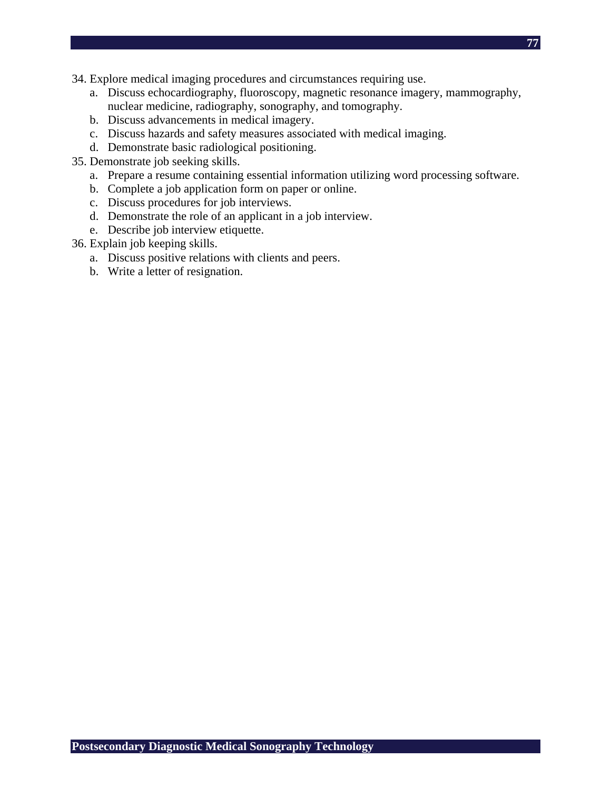- **77**
- 34. Explore medical imaging procedures and circumstances requiring use.
	- a. Discuss echocardiography, fluoroscopy, magnetic resonance imagery, mammography, nuclear medicine, radiography, sonography, and tomography.
	- b. Discuss advancements in medical imagery.
	- c. Discuss hazards and safety measures associated with medical imaging.
	- d. Demonstrate basic radiological positioning.
- 35. Demonstrate job seeking skills.
	- a. Prepare a resume containing essential information utilizing word processing software.
	- b. Complete a job application form on paper or online.
	- c. Discuss procedures for job interviews.
	- d. Demonstrate the role of an applicant in a job interview.
	- e. Describe job interview etiquette.
- 36. Explain job keeping skills.
	- a. Discuss positive relations with clients and peers.
	- b. Write a letter of resignation.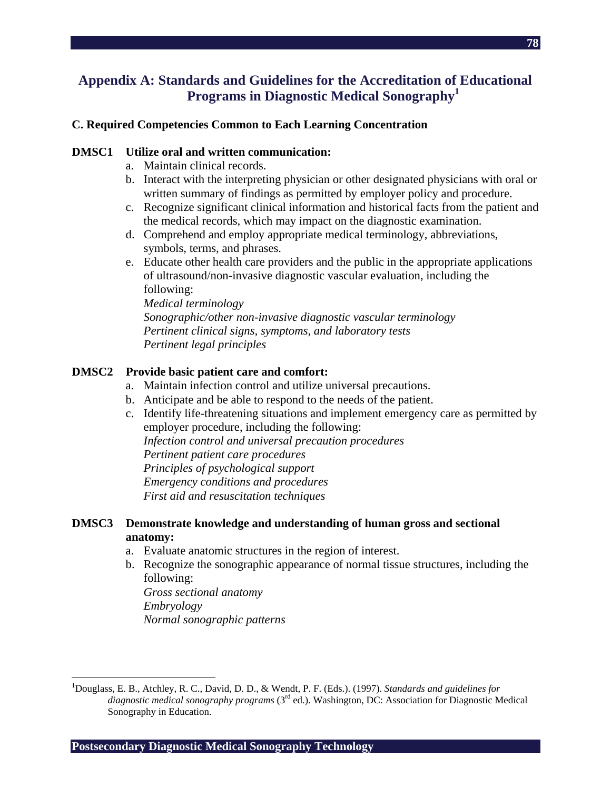## **Appendix A: Standards and Guidelines for the Accreditation of Educational Programs in Diagnostic Medical Sonography1**

### **C. Required Competencies Common to Each Learning Concentration**

#### **DMSC1 Utilize oral and written communication:**

- a. Maintain clinical records.
- b. Interact with the interpreting physician or other designated physicians with oral or written summary of findings as permitted by employer policy and procedure.
- c. Recognize significant clinical information and historical facts from the patient and the medical records, which may impact on the diagnostic examination.
- d. Comprehend and employ appropriate medical terminology, abbreviations, symbols, terms, and phrases.
- e. Educate other health care providers and the public in the appropriate applications of ultrasound/non-invasive diagnostic vascular evaluation, including the following:

*Medical terminology Sonographic/other non-invasive diagnostic vascular terminology Pertinent clinical signs, symptoms, and laboratory tests Pertinent legal principles* 

### **DMSC2 Provide basic patient care and comfort:**

- a. Maintain infection control and utilize universal precautions.
- b. Anticipate and be able to respond to the needs of the patient.
- c. Identify life-threatening situations and implement emergency care as permitted by employer procedure, including the following: *Infection control and universal precaution procedures Pertinent patient care procedures Principles of psychological support Emergency conditions and procedures First aid and resuscitation techniques*

### **DMSC3 Demonstrate knowledge and understanding of human gross and sectional anatomy:**

- a. Evaluate anatomic structures in the region of interest.
- b. Recognize the sonographic appearance of normal tissue structures, including the following:

*Gross sectional anatomy Embryology Normal sonographic patterns* 

 $\overline{a}$ 

**Postsecondary Diagnostic Medical Sonography Technology** 

<sup>&</sup>lt;sup>1</sup>Douglass, E. B., Atchley, R. C., David, D. D., & Wendt, P. F. (Eds.). (1997). *Standards and guidelines for diagnostic medical sonography programs* (3rd ed.). Washington, DC: Association for Diagnostic Medical Sonography in Education.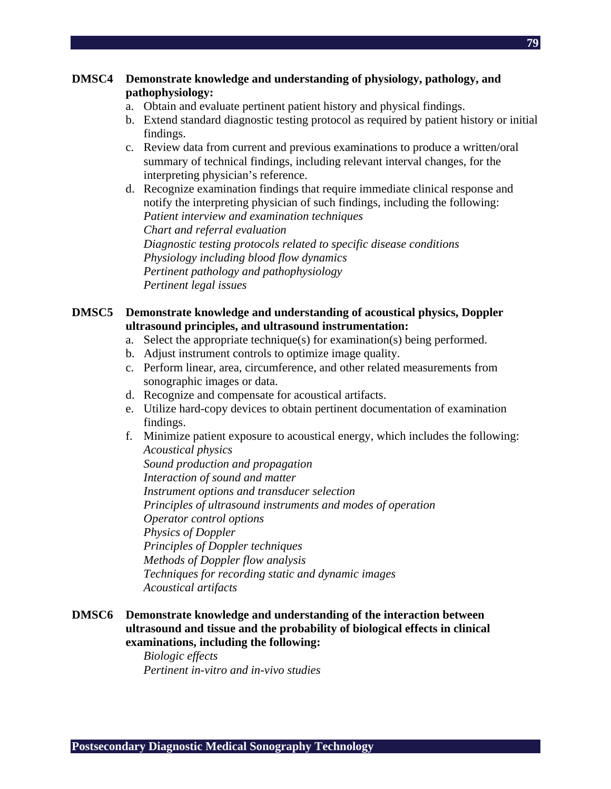- a. Obtain and evaluate pertinent patient history and physical findings.
- b. Extend standard diagnostic testing protocol as required by patient history or initial findings.
- c. Review data from current and previous examinations to produce a written/oral summary of technical findings, including relevant interval changes, for the interpreting physician's reference.
- d. Recognize examination findings that require immediate clinical response and notify the interpreting physician of such findings, including the following: *Patient interview and examination techniques Chart and referral evaluation Diagnostic testing protocols related to specific disease conditions Physiology including blood flow dynamics Pertinent pathology and pathophysiology Pertinent legal issues*

### **DMSC5 Demonstrate knowledge and understanding of acoustical physics, Doppler ultrasound principles, and ultrasound instrumentation:**

- a. Select the appropriate technique(s) for examination(s) being performed.
- b. Adjust instrument controls to optimize image quality.
- c. Perform linear, area, circumference, and other related measurements from sonographic images or data.
- d. Recognize and compensate for acoustical artifacts.
- e. Utilize hard-copy devices to obtain pertinent documentation of examination findings.
- f. Minimize patient exposure to acoustical energy, which includes the following: *Acoustical physics*

*Sound production and propagation Interaction of sound and matter Instrument options and transducer selection Principles of ultrasound instruments and modes of operation Operator control options Physics of Doppler Principles of Doppler techniques Methods of Doppler flow analysis Techniques for recording static and dynamic images Acoustical artifacts* 

**DMSC6 Demonstrate knowledge and understanding of the interaction between ultrasound and tissue and the probability of biological effects in clinical examinations, including the following:** 

> *Biologic effects Pertinent in-vitro and in-vivo studies*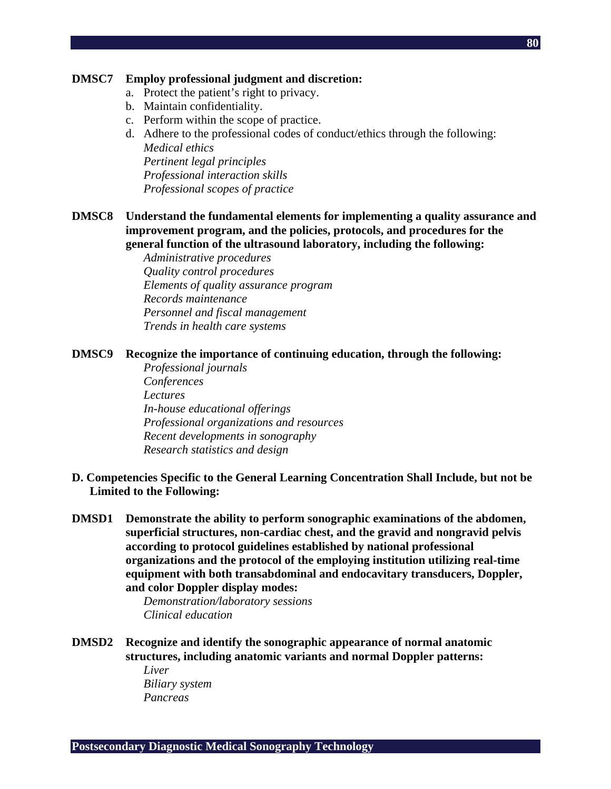#### **DMSC7 Employ professional judgment and discretion:**

- a. Protect the patient's right to privacy.
- b. Maintain confidentiality.
- c. Perform within the scope of practice.
- d. Adhere to the professional codes of conduct/ethics through the following: *Medical ethics Pertinent legal principles Professional interaction skills Professional scopes of practice*
- **DMSC8 Understand the fundamental elements for implementing a quality assurance and improvement program, and the policies, protocols, and procedures for the general function of the ultrasound laboratory, including the following:**

*Administrative procedures Quality control procedures Elements of quality assurance program Records maintenance Personnel and fiscal management Trends in health care systems* 

#### **DMSC9 Recognize the importance of continuing education, through the following:**

- *Professional journals Conferences Lectures In-house educational offerings Professional organizations and resources Recent developments in sonography Research statistics and design*
- **D. Competencies Specific to the General Learning Concentration Shall Include, but not be Limited to the Following:**
- **DMSD1 Demonstrate the ability to perform sonographic examinations of the abdomen, superficial structures, non-cardiac chest, and the gravid and nongravid pelvis according to protocol guidelines established by national professional organizations and the protocol of the employing institution utilizing real-time equipment with both transabdominal and endocavitary transducers, Doppler, and color Doppler display modes:**

*Demonstration/laboratory sessions Clinical education* 

- **DMSD2 Recognize and identify the sonographic appearance of normal anatomic structures, including anatomic variants and normal Doppler patterns:** 
	- *Liver Biliary system Pancreas*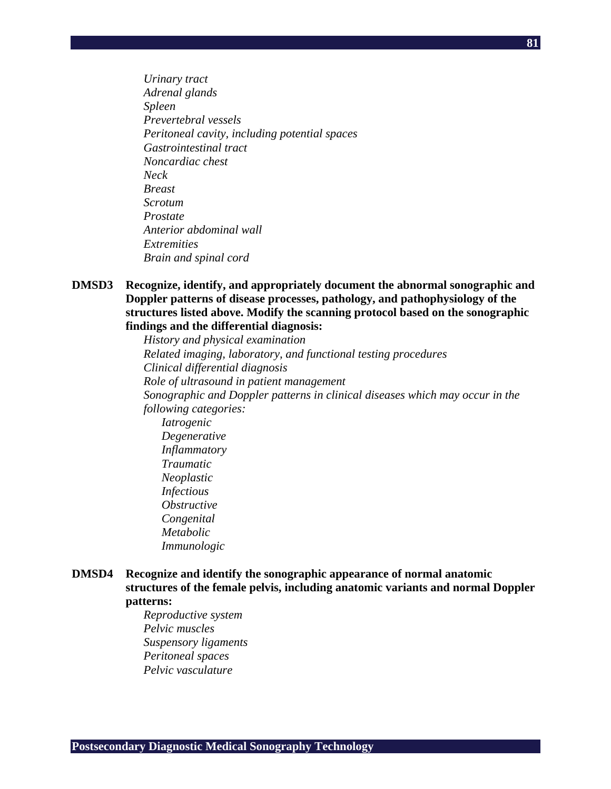*Urinary tract Adrenal glands Spleen Prevertebral vessels Peritoneal cavity, including potential spaces Gastrointestinal tract Noncardiac chest Neck Breast Scrotum Prostate Anterior abdominal wall Extremities Brain and spinal cord* 

### **DMSD3 Recognize, identify, and appropriately document the abnormal sonographic and Doppler patterns of disease processes, pathology, and pathophysiology of the structures listed above. Modify the scanning protocol based on the sonographic findings and the differential diagnosis:**

*History and physical examination Related imaging, laboratory, and functional testing procedures Clinical differential diagnosis Role of ultrasound in patient management Sonographic and Doppler patterns in clinical diseases which may occur in the following categories: Iatrogenic Degenerative Inflammatory Traumatic Neoplastic Infectious Obstructive Congenital Metabolic Immunologic* 

### **DMSD4 Recognize and identify the sonographic appearance of normal anatomic structures of the female pelvis, including anatomic variants and normal Doppler patterns:**

*Reproductive system Pelvic muscles Suspensory ligaments Peritoneal spaces Pelvic vasculature*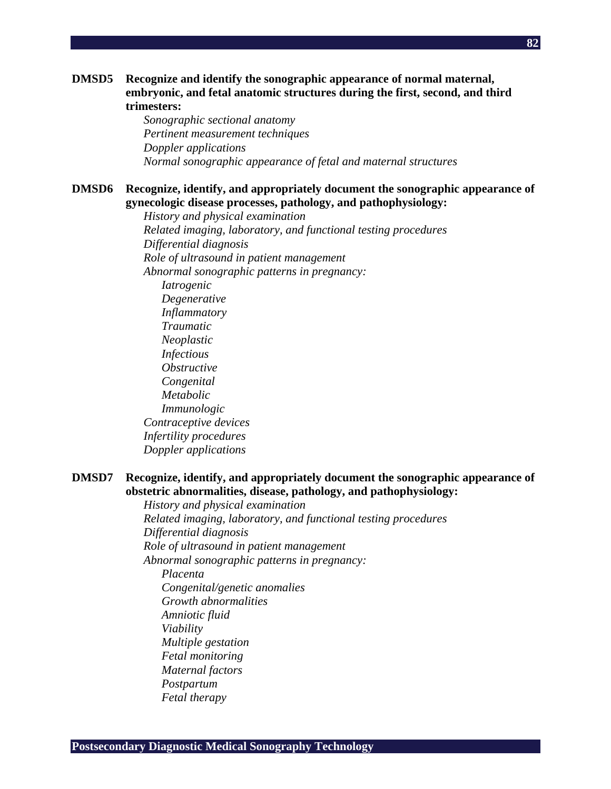#### **DMSD5 Recognize and identify the sonographic appearance of normal maternal, embryonic, and fetal anatomic structures during the first, second, and third trimesters:**

*Sonographic sectional anatomy Pertinent measurement techniques Doppler applications Normal sonographic appearance of fetal and maternal structures* 

#### **DMSD6 Recognize, identify, and appropriately document the sonographic appearance of gynecologic disease processes, pathology, and pathophysiology:**

*History and physical examination Related imaging, laboratory, and functional testing procedures Differential diagnosis Role of ultrasound in patient management Abnormal sonographic patterns in pregnancy: Iatrogenic Degenerative Inflammatory Traumatic Neoplastic Infectious Obstructive Congenital Metabolic Immunologic Contraceptive devices Infertility procedures Doppler applications* 

### **DMSD7 Recognize, identify, and appropriately document the sonographic appearance of obstetric abnormalities, disease, pathology, and pathophysiology:**

*History and physical examination Related imaging, laboratory, and functional testing procedures Differential diagnosis Role of ultrasound in patient management Abnormal sonographic patterns in pregnancy: Placenta Congenital/genetic anomalies Growth abnormalities Amniotic fluid Viability Multiple gestation Fetal monitoring Maternal factors Postpartum Fetal therapy*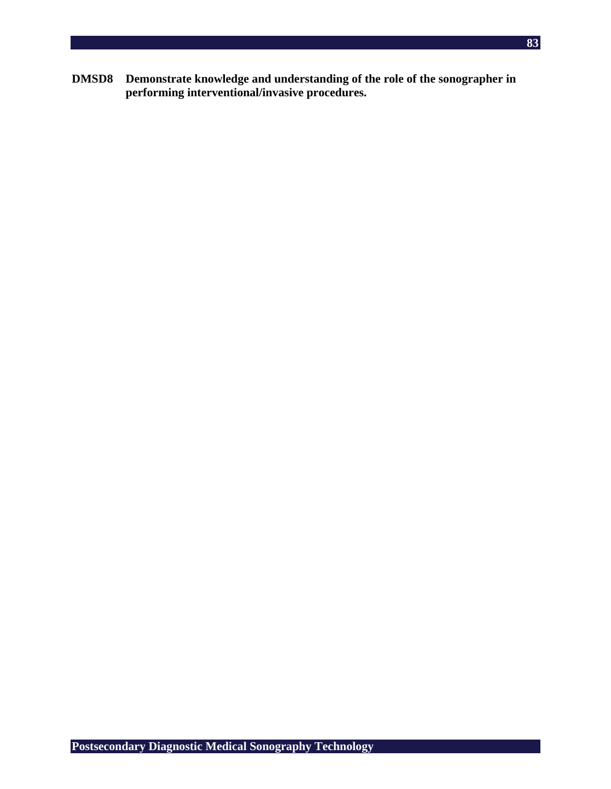**DMSD8 Demonstrate knowledge and understanding of the role of the sonographer in performing interventional/invasive procedures.**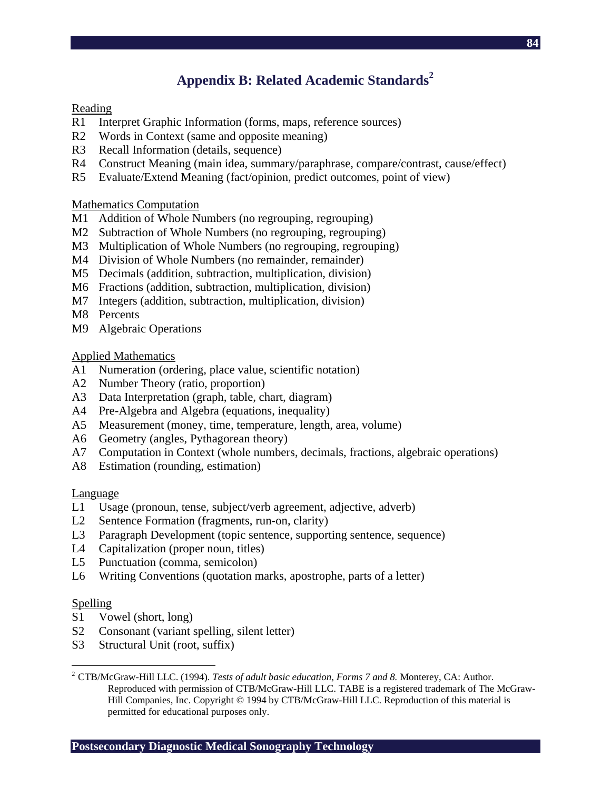# **Appendix B: Related Academic Standards<sup>2</sup>**

### **Reading**

- R1 Interpret Graphic Information (forms, maps, reference sources)
- R2 Words in Context (same and opposite meaning)
- R3 Recall Information (details, sequence)
- R4 Construct Meaning (main idea, summary/paraphrase, compare/contrast, cause/effect)
- R5 Evaluate/Extend Meaning (fact/opinion, predict outcomes, point of view)

### Mathematics Computation

- M1 Addition of Whole Numbers (no regrouping, regrouping)
- M2 Subtraction of Whole Numbers (no regrouping, regrouping)
- M3 Multiplication of Whole Numbers (no regrouping, regrouping)
- M4 Division of Whole Numbers (no remainder, remainder)
- M5 Decimals (addition, subtraction, multiplication, division)
- M6 Fractions (addition, subtraction, multiplication, division)
- M7 Integers (addition, subtraction, multiplication, division)
- M8 Percents
- M9 Algebraic Operations

### Applied Mathematics

- A1 Numeration (ordering, place value, scientific notation)
- A2 Number Theory (ratio, proportion)
- A3 Data Interpretation (graph, table, chart, diagram)
- A4 Pre-Algebra and Algebra (equations, inequality)
- A5 Measurement (money, time, temperature, length, area, volume)
- A6 Geometry (angles, Pythagorean theory)
- A7 Computation in Context (whole numbers, decimals, fractions, algebraic operations)
- A8 Estimation (rounding, estimation)

### Language

- L1 Usage (pronoun, tense, subject/verb agreement, adjective, adverb)
- L2 Sentence Formation (fragments, run-on, clarity)
- L3 Paragraph Development (topic sentence, supporting sentence, sequence)
- L4 Capitalization (proper noun, titles)
- L5 Punctuation (comma, semicolon)
- L6 Writing Conventions (quotation marks, apostrophe, parts of a letter)

### Spelling

- S1 Vowel (short, long)
- S2 Consonant (variant spelling, silent letter)
- S3 Structural Unit (root, suffix)

 $\overline{a}$ <sup>2</sup> CTB/McGraw-Hill LLC. (1994). *Tests of adult basic education, Forms 7 and 8.* Monterey, CA: Author. Reproduced with permission of CTB/McGraw-Hill LLC. TABE is a registered trademark of The McGraw-Hill Companies, Inc. Copyright © 1994 by CTB/McGraw-Hill LLC. Reproduction of this material is permitted for educational purposes only.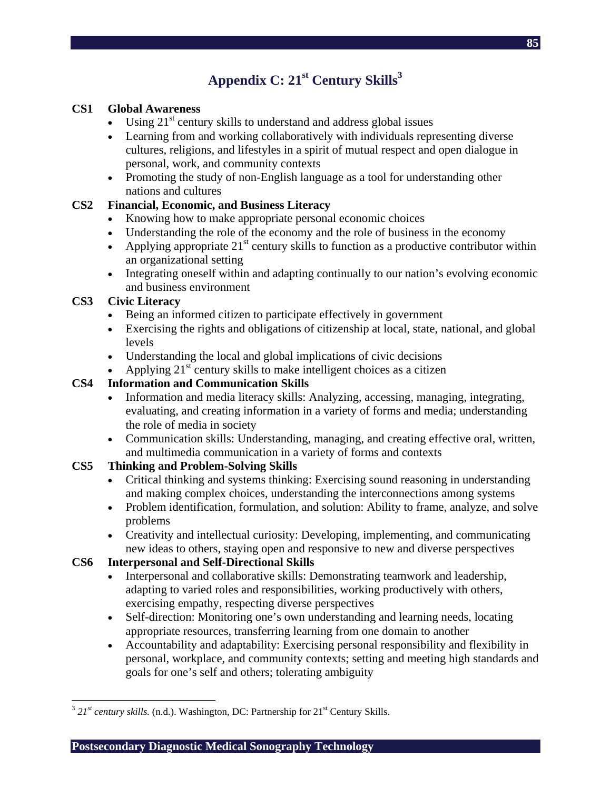# **Appendix C: 21st Century Skills3**

### **CS1 Global Awareness**

- Using  $21<sup>st</sup>$  century skills to understand and address global issues
- Learning from and working collaboratively with individuals representing diverse cultures, religions, and lifestyles in a spirit of mutual respect and open dialogue in personal, work, and community contexts
- Promoting the study of non-English language as a tool for understanding other nations and cultures

### **CS2 Financial, Economic, and Business Literacy**

- Knowing how to make appropriate personal economic choices
- Understanding the role of the economy and the role of business in the economy
- Applying appropriate  $21<sup>st</sup>$  century skills to function as a productive contributor within an organizational setting
- Integrating oneself within and adapting continually to our nation's evolving economic and business environment

### **CS3 Civic Literacy**

- Being an informed citizen to participate effectively in government
- Exercising the rights and obligations of citizenship at local, state, national, and global levels
- Understanding the local and global implications of civic decisions
- Applying  $21<sup>st</sup>$  century skills to make intelligent choices as a citizen

### **CS4 Information and Communication Skills**

- Information and media literacy skills: Analyzing, accessing, managing, integrating, evaluating, and creating information in a variety of forms and media; understanding the role of media in society
- Communication skills: Understanding, managing, and creating effective oral, written, and multimedia communication in a variety of forms and contexts

### **CS5 Thinking and Problem-Solving Skills**

- Critical thinking and systems thinking: Exercising sound reasoning in understanding and making complex choices, understanding the interconnections among systems
- Problem identification, formulation, and solution: Ability to frame, analyze, and solve problems
- Creativity and intellectual curiosity: Developing, implementing, and communicating new ideas to others, staying open and responsive to new and diverse perspectives

## **CS6 Interpersonal and Self-Directional Skills**

- Interpersonal and collaborative skills: Demonstrating teamwork and leadership, adapting to varied roles and responsibilities, working productively with others, exercising empathy, respecting diverse perspectives
- Self-direction: Monitoring one's own understanding and learning needs, locating appropriate resources, transferring learning from one domain to another
- Accountability and adaptability: Exercising personal responsibility and flexibility in personal, workplace, and community contexts; setting and meeting high standards and goals for one's self and others; tolerating ambiguity

 $\overline{a}$  $3$   $21<sup>st</sup>$  *century skills.* (n.d.). Washington, DC: Partnership for  $21<sup>st</sup>$  Century Skills.